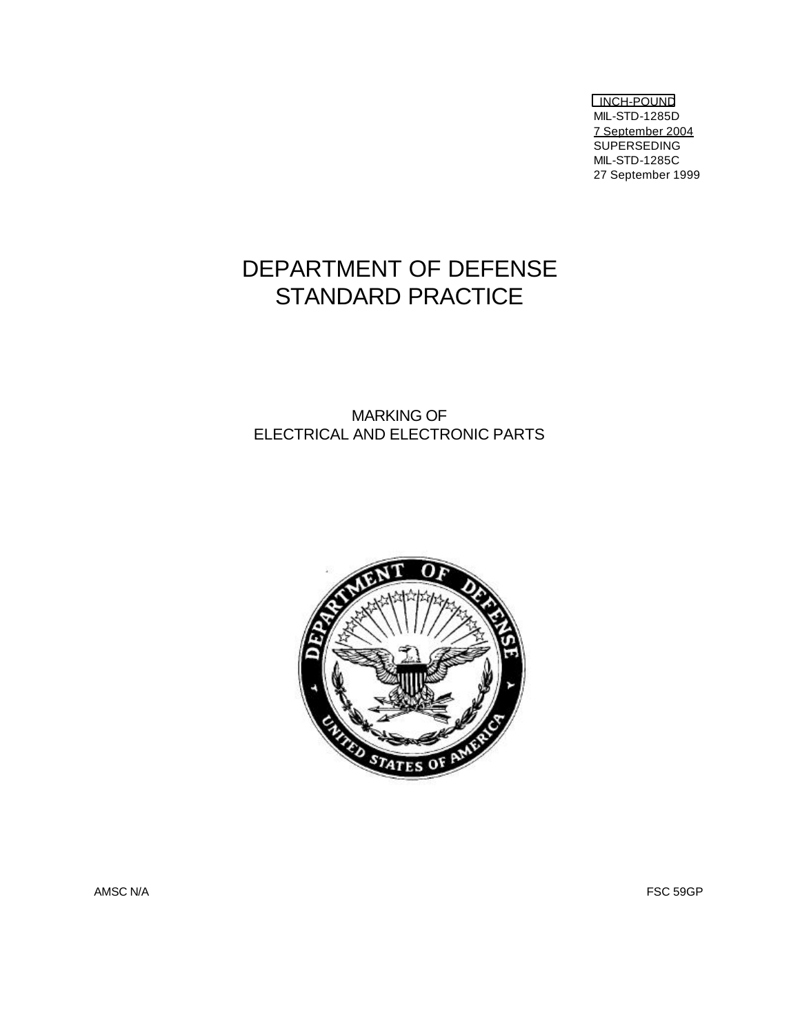INCH-POUND MIL-STD-1285D 7 September 2004 SUPERSEDING MIL-STD-1285C 27 September 1999

# DEPARTMENT OF DEFENSE STANDARD PRACTICE

# MARKING OF ELECTRICAL AND ELECTRONIC PARTS



AMSC N/A FSC 59GP  $\sim$  FSC 59GP  $\sim$  FSC 59GP  $\sim$  FSC 59GP  $\sim$  FSC 59GP  $\sim$  FSC 59GP  $\sim$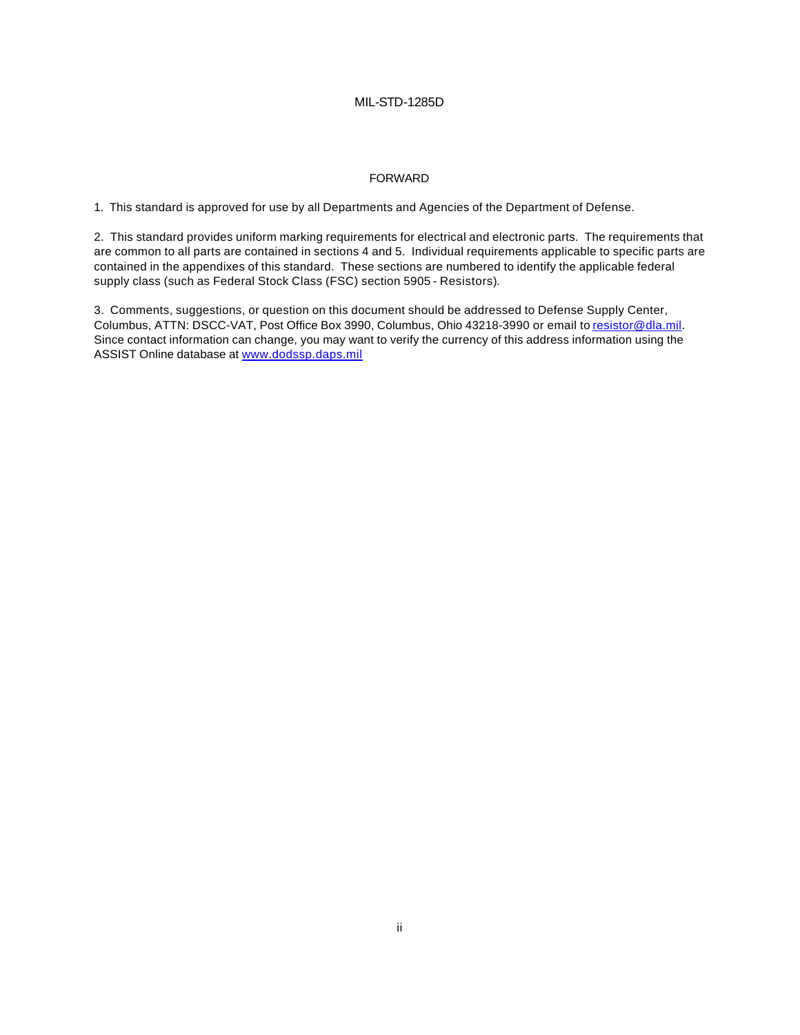# FORWARD

1. This standard is approved for use by all Departments and Agencies of the Department of Defense.

2. This standard provides uniform marking requirements for electrical and electronic parts. The requirements that are common to all parts are contained in sections 4 and 5. Individual requirements applicable to specific parts are contained in the appendixes of this standard. These sections are numbered to identify the applicable federal supply class (such as Federal Stock Class (FSC) section 5905 - Resistors).

3. Comments, suggestions, or question on this document should be addressed to Defense Supply Center, Columbus, ATTN: DSCC-VAT, Post Office Box 3990, Columbus, Ohio 43218-3990 or email to resistor@dla.mil. Since contact information can change, you may want to verify the currency of this address information using the ASSIST Online database at www.dodssp.daps.mil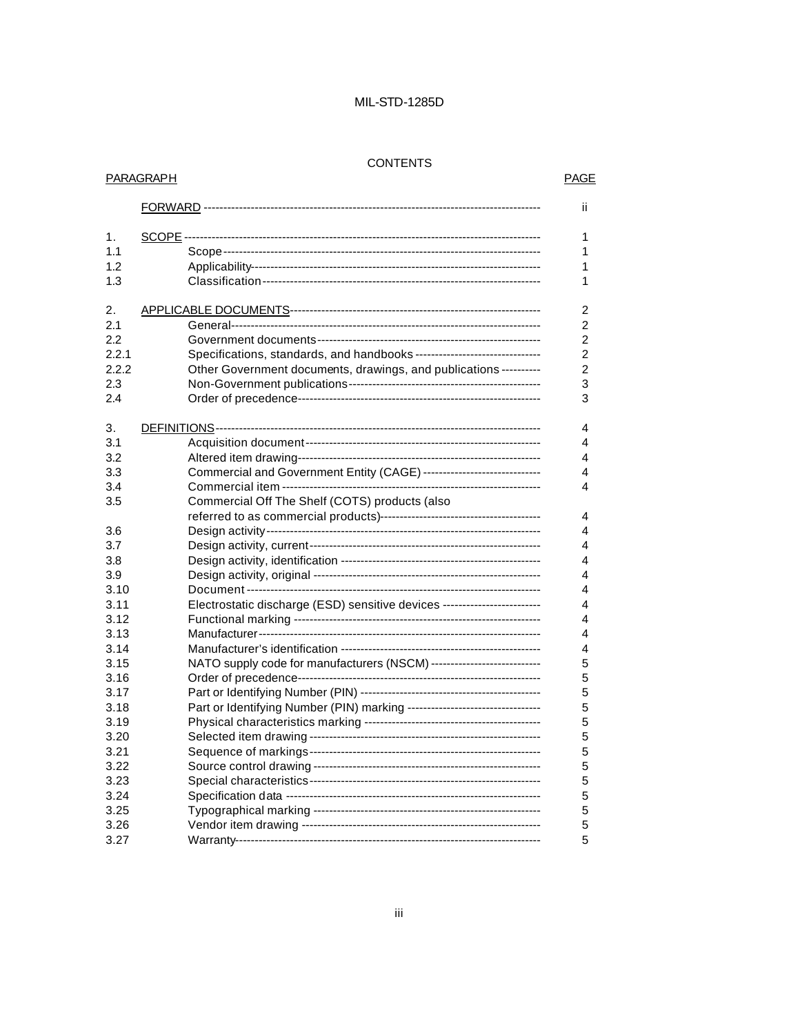# CONTENTS

**PARAGRAPH** 

# **PAGE**

|       |                                                                             | ii.            |
|-------|-----------------------------------------------------------------------------|----------------|
| 1.    |                                                                             | 1              |
| 1.1   |                                                                             | 1              |
| 1.2   |                                                                             | 1              |
| 1.3   |                                                                             | 1              |
|       |                                                                             |                |
| 2.    |                                                                             | $\overline{c}$ |
| 2.1   |                                                                             | $\overline{c}$ |
| 2.2   |                                                                             | $\overline{2}$ |
| 2.2.1 | Specifications, standards, and handbooks --------------------------------   | $\overline{c}$ |
| 2.2.2 | Other Government documents, drawings, and publications ----------           | $\overline{c}$ |
| 2.3   |                                                                             | 3              |
| 2.4   |                                                                             | 3              |
| 3.    |                                                                             | 4              |
| 3.1   |                                                                             | 4              |
| 3.2   |                                                                             | 4              |
| 3.3   | Commercial and Government Entity (CAGE) ------------------------------      | 4              |
| 3.4   |                                                                             | 4              |
| 3.5   | Commercial Off The Shelf (COTS) products (also                              |                |
|       |                                                                             | 4              |
| 3.6   |                                                                             | 4              |
| 3.7   |                                                                             | 4              |
| 3.8   |                                                                             | 4              |
| 3.9   |                                                                             | 4              |
| 3.10  |                                                                             | 4              |
| 3.11  | Electrostatic discharge (ESD) sensitive devices ------------------------    | 4              |
| 3.12  |                                                                             | 4              |
| 3.13  |                                                                             | 4              |
| 3.14  |                                                                             | 4              |
| 3.15  | NATO supply code for manufacturers (NSCM) ----------------------------      | 5              |
| 3.16  |                                                                             | 5              |
| 3.17  |                                                                             | 5              |
| 3.18  | Part or Identifying Number (PIN) marking ---------------------------------- | 5              |
| 3.19  |                                                                             | 5              |
| 3.20  |                                                                             | 5              |
| 3.21  |                                                                             | 5              |
| 3.22  |                                                                             | 5              |
| 3.23  |                                                                             | 5              |
| 3.24  |                                                                             | 5              |
| 3.25  |                                                                             | 5              |
| 3.26  |                                                                             | 5              |
| 3.27  |                                                                             | 5              |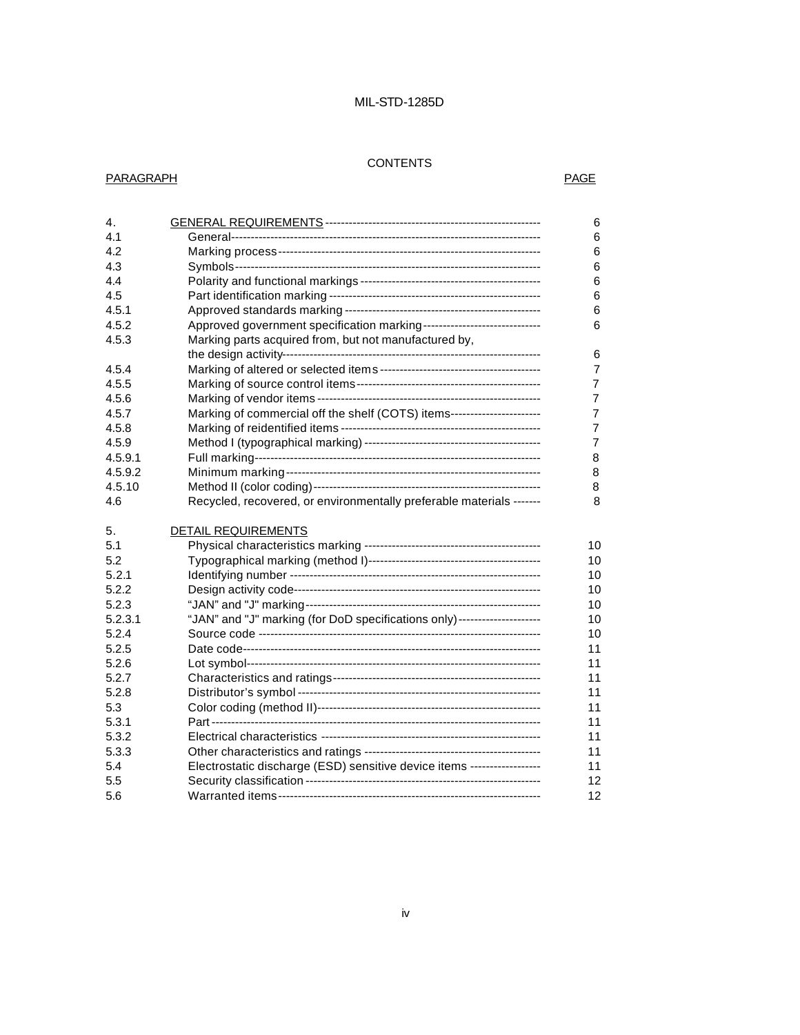# CONTENTS

# PARAGRAPH PARAGRAPH

| 4.         |                                                                          | 6                                      |
|------------|--------------------------------------------------------------------------|----------------------------------------|
| 4.1        |                                                                          | 6                                      |
| 4.2        |                                                                          | 6                                      |
| 4.3        |                                                                          | 6                                      |
| 4.4        |                                                                          | 6                                      |
| 4.5        |                                                                          | 6                                      |
| 4.5.1      |                                                                          | 6                                      |
| 4.5.2      | Approved government specification marking------------------------------  | 6                                      |
| 4.5.3      | Marking parts acquired from, but not manufactured by,                    |                                        |
|            |                                                                          | 6                                      |
| 4.5.4      |                                                                          | $\overline{7}$                         |
| 4.5.5      |                                                                          | $\overline{7}$                         |
| 4.5.6      |                                                                          | 7                                      |
| 4.5.7      | Marking of commercial off the shelf (COTS) items-----------------------  | 7                                      |
| 4.5.8      |                                                                          | 7                                      |
| 4.5.9      |                                                                          | $\overline{7}$                         |
| 4.5.9.1    |                                                                          | 8                                      |
| 4.5.9.2    |                                                                          | 8                                      |
| 4.5.10     |                                                                          | 8                                      |
| 4.6        | Recycled, recovered, or environmentally preferable materials -------     | 8                                      |
|            |                                                                          |                                        |
|            |                                                                          |                                        |
| 5.         | <b>DETAIL REQUIREMENTS</b>                                               |                                        |
| 5.1        |                                                                          |                                        |
| 5.2        |                                                                          |                                        |
| 5.2.1      |                                                                          |                                        |
| 5.2.2      |                                                                          |                                        |
| 5.2.3      |                                                                          |                                        |
| 5.2.3.1    | "JAN" and "J" marking (for DoD specifications only)--------------------- |                                        |
| 5.2.4      |                                                                          | 10<br>10<br>10<br>10<br>10<br>10<br>10 |
| 5.2.5      |                                                                          | 11                                     |
| 5.2.6      |                                                                          | 11                                     |
| 5.2.7      |                                                                          | 11                                     |
| 5.2.8      |                                                                          | 11                                     |
| 5.3        |                                                                          | 11                                     |
| 5.3.1      |                                                                          | 11                                     |
| 5.3.2      |                                                                          | 11                                     |
| 5.3.3      |                                                                          | 11                                     |
| 5.4        | Electrostatic discharge (ESD) sensitive device items ------------------  | 11                                     |
| 5.5<br>5.6 |                                                                          | 12<br>12                               |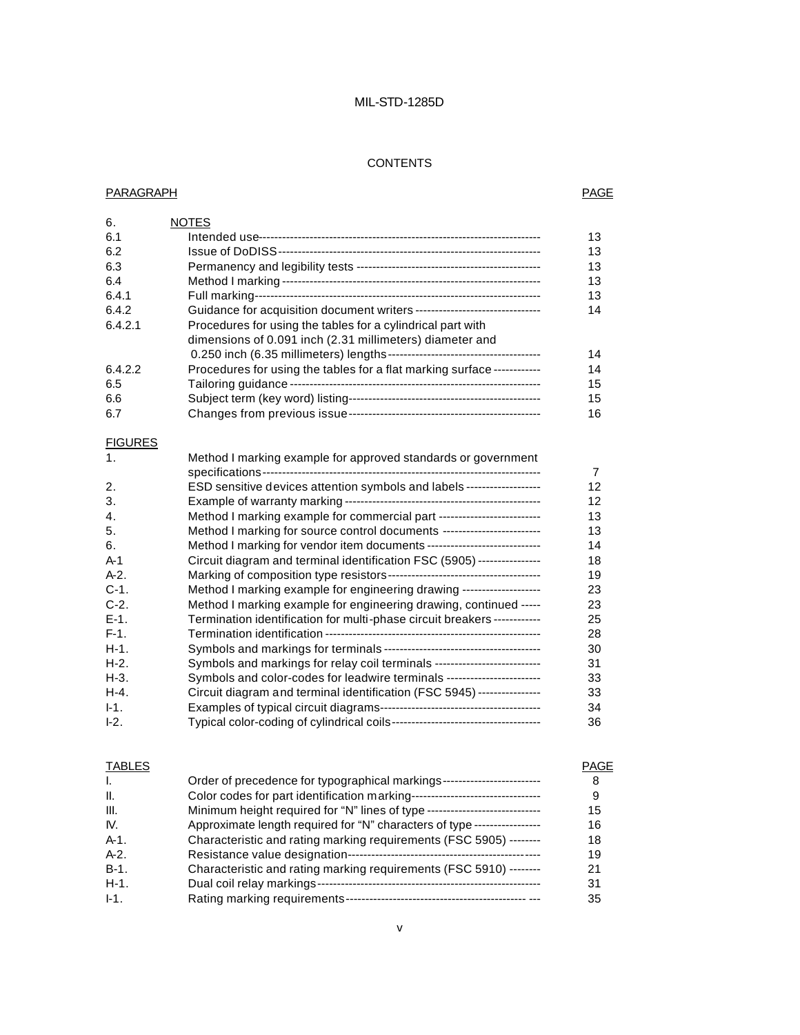#### **CONTENTS**

#### PARAGRAPH PAGE

| 6.      | <b>NOTES</b>                                                            |    |
|---------|-------------------------------------------------------------------------|----|
| 6.1     |                                                                         | 13 |
| 6.2     |                                                                         | 13 |
| 6.3     |                                                                         | 13 |
| 6.4     |                                                                         | 13 |
| 6.4.1   | Full marking--                                                          | 13 |
| 6.4.2   |                                                                         | 14 |
| 6.4.2.1 | Procedures for using the tables for a cylindrical part with             |    |
|         | dimensions of 0.091 inch (2.31 millimeters) diameter and                |    |
|         |                                                                         | 14 |
| 6.4.2.2 | Procedures for using the tables for a flat marking surface ------------ | 14 |
| 6.5     |                                                                         | 15 |
| 6.6     |                                                                         | 15 |
| 6.7     |                                                                         | 16 |

# **FIGURES**

| 1.      | Method I marking example for approved standards or government             |                |
|---------|---------------------------------------------------------------------------|----------------|
|         |                                                                           | $\overline{7}$ |
| 2.      | ESD sensitive devices attention symbols and labels ------------------     | 12             |
| 3.      |                                                                           | 12             |
| 4.      | Method I marking example for commercial part --------------------------   | 13             |
| 5.      | Method I marking for source control documents -------------------------   | 13             |
| 6.      | Method I marking for vendor item documents -----------------------------  | 14             |
| A-1     | Circuit diagram and terminal identification FSC (5905) ----------------   | 18             |
| $A-2$ . |                                                                           | 19             |
| $C-1$ . | Method I marking example for engineering drawing --------------------     | 23             |
| $C-2$ . | Method I marking example for engineering drawing, continued -----         | 23             |
| $E-1$ . | Termination identification for multi-phase circuit breakers ------------  | 25             |
| $F-1.$  |                                                                           | 28             |
| H-1.    |                                                                           | 30             |
| $H-2$ . | Symbols and markings for relay coil terminals --------------------------- | 31             |
| H-3.    | Symbols and color-codes for leadwire terminals ------------------------   | 33             |
| $H-4.$  | Circuit diagram and terminal identification (FSC 5945) ----------------   | 33             |
| $I-1.$  |                                                                           | 34             |
| $-2.$   |                                                                           | 36             |

# **TABLES** PAGE I. Order of precedence for typographical markings------------------------- 8 II. Color codes for part identification marking--------------------------------- 9 III. Minimum height required for "N" lines of type ----------------------------- 15 IV. Approximate length required for "N" characters of type ----------------- 16 A-1. Characteristic and rating marking requirements (FSC 5905) -------- 18 A-2. Resistance value designation------------------------------------------------- 19 B-1. Characteristic and rating marking requirements (FSC 5910) -------- 21 H-1. Dual coil relay markings--------------------------------------------------------- 31 I-1. Rating marking requirements---------------------------------------------- --- 35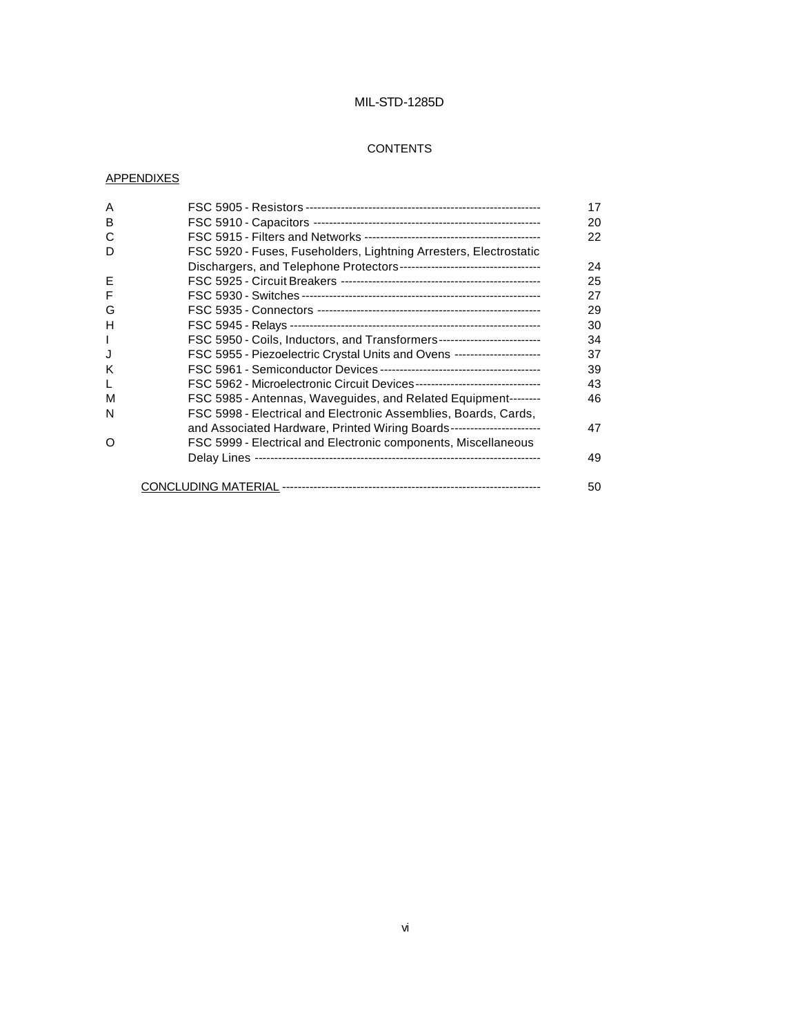# **CONTENTS**

# **APPENDIXES**

| A |                                                                            | 17 |
|---|----------------------------------------------------------------------------|----|
| B |                                                                            | 20 |
| C |                                                                            | 22 |
| D | FSC 5920 - Fuses, Fuseholders, Lightning Arresters, Electrostatic          |    |
|   |                                                                            | 24 |
| Е |                                                                            | 25 |
| F |                                                                            | 27 |
| G |                                                                            | 29 |
| H |                                                                            | 30 |
| I | FSC 5950 - Coils, Inductors, and Transformers---------------------------   | 34 |
| J | FSC 5955 - Piezoelectric Crystal Units and Ovens ----------------------    | 37 |
| K |                                                                            | 39 |
| L | FSC 5962 - Microelectronic Circuit Devices-------------------------------- | 43 |
| м | FSC 5985 - Antennas, Waveguides, and Related Equipment--------             | 46 |
| N | FSC 5998 - Electrical and Electronic Assemblies, Boards, Cards,            |    |
|   | and Associated Hardware, Printed Wiring Boards-----------------------      | 47 |
| O | FSC 5999 - Electrical and Electronic components, Miscellaneous             |    |
|   |                                                                            | 49 |
|   |                                                                            | 50 |
|   |                                                                            |    |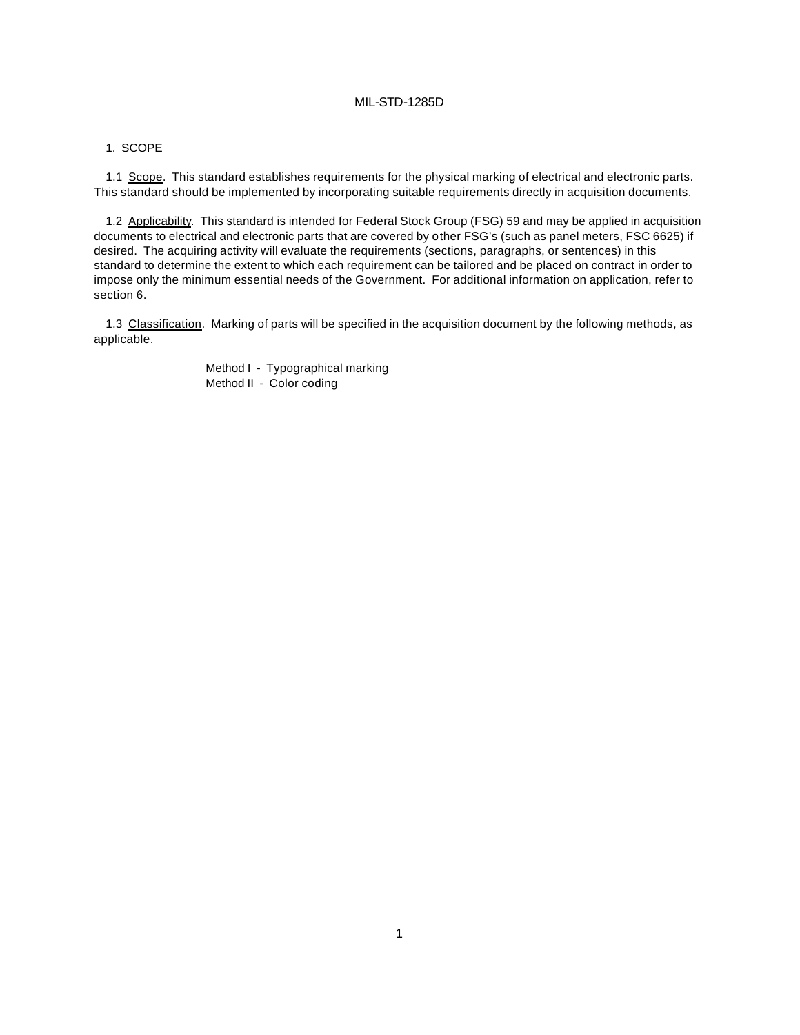#### 1. SCOPE

1.1 Scope. This standard establishes requirements for the physical marking of electrical and electronic parts. This standard should be implemented by incorporating suitable requirements directly in acquisition documents.

1.2 Applicability. This standard is intended for Federal Stock Group (FSG) 59 and may be applied in acquisition documents to electrical and electronic parts that are covered by other FSG's (such as panel meters, FSC 6625) if desired. The acquiring activity will evaluate the requirements (sections, paragraphs, or sentences) in this standard to determine the extent to which each requirement can be tailored and be placed on contract in order to impose only the minimum essential needs of the Government. For additional information on application, refer to section 6.

1.3 Classification. Marking of parts will be specified in the acquisition document by the following methods, as applicable.

> Method I - Typographical marking Method II - Color coding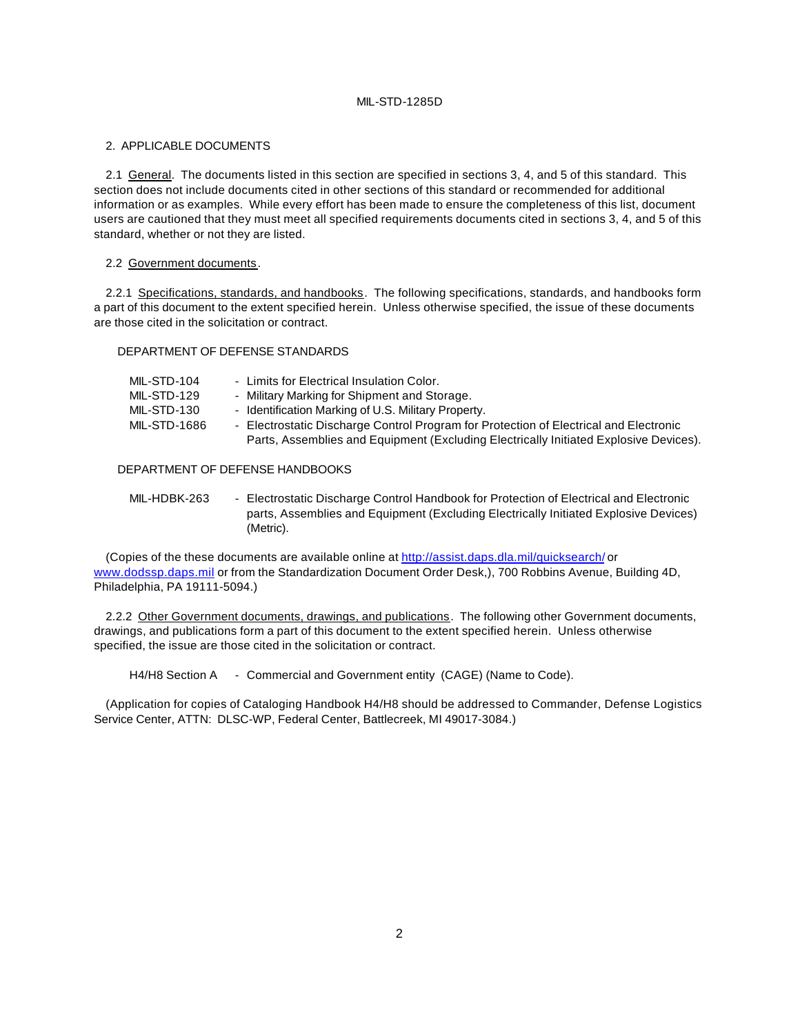#### 2. APPLICABLE DOCUMENTS

2.1 General. The documents listed in this section are specified in sections 3, 4, and 5 of this standard. This section does not include documents cited in other sections of this standard or recommended for additional information or as examples. While every effort has been made to ensure the completeness of this list, document users are cautioned that they must meet all specified requirements documents cited in sections 3, 4, and 5 of this standard, whether or not they are listed.

#### 2.2 Government documents.

2.2.1 Specifications, standards, and handbooks. The following specifications, standards, and handbooks form a part of this document to the extent specified herein. Unless otherwise specified, the issue of these documents are those cited in the solicitation or contract.

#### DEPARTMENT OF DEFENSE STANDARDS

| MIL-STD-104  | - Limits for Electrical Insulation Color.                                             |
|--------------|---------------------------------------------------------------------------------------|
| MIL-STD-129  | - Military Marking for Shipment and Storage.                                          |
| MIL-STD-130  | - Identification Marking of U.S. Military Property.                                   |
| MIL-STD-1686 | - Electrostatic Discharge Control Program for Protection of Electrical and Electronic |
|              | Parts, Assemblies and Equipment (Excluding Electrically Initiated Explosive Devices). |

#### DEPARTMENT OF DEFENSE HANDBOOKS

| MIL-HDBK-263 | - Electrostatic Discharge Control Handbook for Protection of Electrical and Electronic |
|--------------|----------------------------------------------------------------------------------------|
|              | parts, Assemblies and Equipment (Excluding Electrically Initiated Explosive Devices)   |
|              | (Metric).                                                                              |

(Copies of the these documents are available online at http://assist.daps.dla.mil/quicksearch/ or www.dodssp.daps.mil or from the Standardization Document Order Desk,), 700 Robbins Avenue, Building 4D, Philadelphia, PA 19111-5094.)

2.2.2 Other Government documents, drawings, and publications. The following other Government documents, drawings, and publications form a part of this document to the extent specified herein. Unless otherwise specified, the issue are those cited in the solicitation or contract.

H4/H8 Section A - Commercial and Government entity (CAGE) (Name to Code).

(Application for copies of Cataloging Handbook H4/H8 should be addressed to Commander, Defense Logistics Service Center, ATTN: DLSC-WP, Federal Center, Battlecreek, MI 49017-3084.)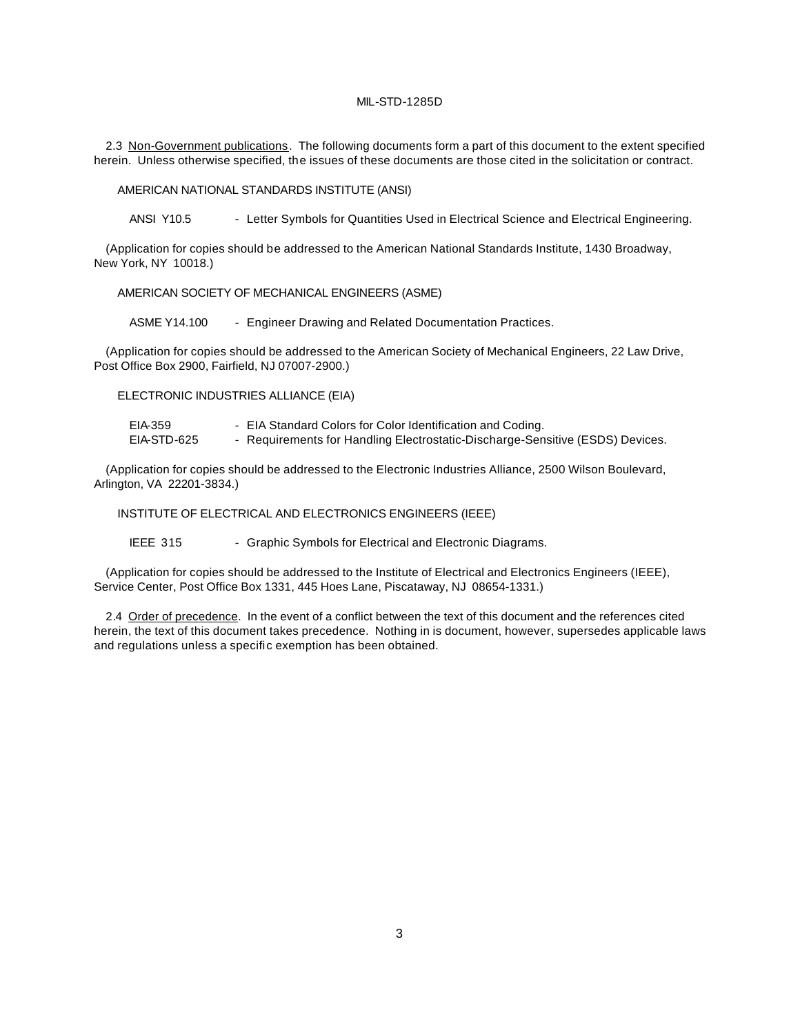2.3 Non-Government publications. The following documents form a part of this document to the extent specified herein. Unless otherwise specified, the issues of these documents are those cited in the solicitation or contract.

AMERICAN NATIONAL STANDARDS INSTITUTE (ANSI)

ANSI Y10.5 - Letter Symbols for Quantities Used in Electrical Science and Electrical Engineering.

(Application for copies should be addressed to the American National Standards Institute, 1430 Broadway, New York, NY 10018.)

AMERICAN SOCIETY OF MECHANICAL ENGINEERS (ASME)

ASME Y14.100 - Engineer Drawing and Related Documentation Practices.

(Application for copies should be addressed to the American Society of Mechanical Engineers, 22 Law Drive, Post Office Box 2900, Fairfield, NJ 07007-2900.)

ELECTRONIC INDUSTRIES ALLIANCE (EIA)

EIA-359 - EIA Standard Colors for Color Identification and Coding. EIA-STD-625 - Requirements for Handling Electrostatic-Discharge-Sensitive (ESDS) Devices.

(Application for copies should be addressed to the Electronic Industries Alliance, 2500 Wilson Boulevard, Arlington, VA 22201-3834.)

INSTITUTE OF ELECTRICAL AND ELECTRONICS ENGINEERS (IEEE)

IEEE 315 - Graphic Symbols for Electrical and Electronic Diagrams.

(Application for copies should be addressed to the Institute of Electrical and Electronics Engineers (IEEE), Service Center, Post Office Box 1331, 445 Hoes Lane, Piscataway, NJ 08654-1331.)

2.4 Order of precedence. In the event of a conflict between the text of this document and the references cited herein, the text of this document takes precedence. Nothing in is document, however, supersedes applicable laws and regulations unless a specific exemption has been obtained.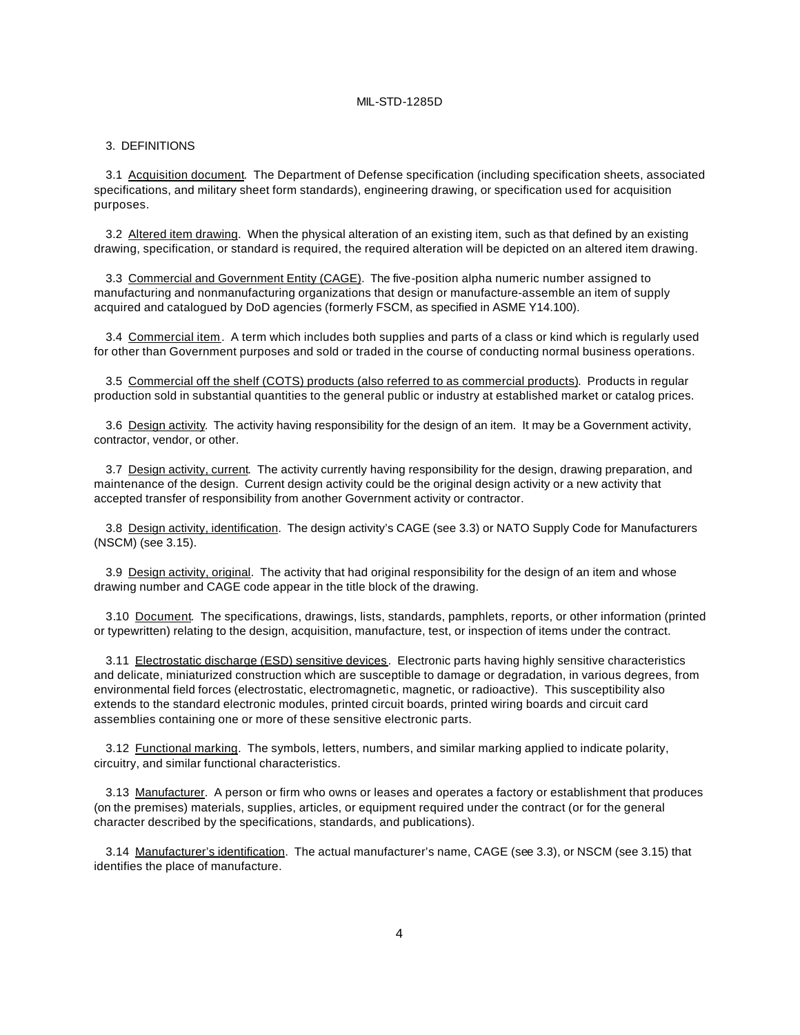#### 3. DEFINITIONS

3.1 Acquisition document. The Department of Defense specification (including specification sheets, associated specifications, and military sheet form standards), engineering drawing, or specification used for acquisition purposes.

3.2 Altered item drawing. When the physical alteration of an existing item, such as that defined by an existing drawing, specification, or standard is required, the required alteration will be depicted on an altered item drawing.

3.3 Commercial and Government Entity (CAGE). The five-position alpha numeric number assigned to manufacturing and nonmanufacturing organizations that design or manufacture-assemble an item of supply acquired and catalogued by DoD agencies (formerly FSCM, as specified in ASME Y14.100).

3.4 Commercial item. A term which includes both supplies and parts of a class or kind which is regularly used for other than Government purposes and sold or traded in the course of conducting normal business operations.

3.5 Commercial off the shelf (COTS) products (also referred to as commercial products). Products in regular production sold in substantial quantities to the general public or industry at established market or catalog prices.

3.6 Design activity. The activity having responsibility for the design of an item. It may be a Government activity, contractor, vendor, or other.

3.7 Design activity, current. The activity currently having responsibility for the design, drawing preparation, and maintenance of the design. Current design activity could be the original design activity or a new activity that accepted transfer of responsibility from another Government activity or contractor.

3.8 Design activity, identification. The design activity's CAGE (see 3.3) or NATO Supply Code for Manufacturers (NSCM) (see 3.15).

3.9 Design activity, original. The activity that had original responsibility for the design of an item and whose drawing number and CAGE code appear in the title block of the drawing.

3.10 Document. The specifications, drawings, lists, standards, pamphlets, reports, or other information (printed or typewritten) relating to the design, acquisition, manufacture, test, or inspection of items under the contract.

3.11 Electrostatic discharge (ESD) sensitive devices. Electronic parts having highly sensitive characteristics and delicate, miniaturized construction which are susceptible to damage or degradation, in various degrees, from environmental field forces (electrostatic, electromagnetic, magnetic, or radioactive). This susceptibility also extends to the standard electronic modules, printed circuit boards, printed wiring boards and circuit card assemblies containing one or more of these sensitive electronic parts.

3.12 Functional marking. The symbols, letters, numbers, and similar marking applied to indicate polarity, circuitry, and similar functional characteristics.

3.13 Manufacturer. A person or firm who owns or leases and operates a factory or establishment that produces (on the premises) materials, supplies, articles, or equipment required under the contract (or for the general character described by the specifications, standards, and publications).

3.14 Manufacturer's identification. The actual manufacturer's name, CAGE (see 3.3), or NSCM (see 3.15) that identifies the place of manufacture.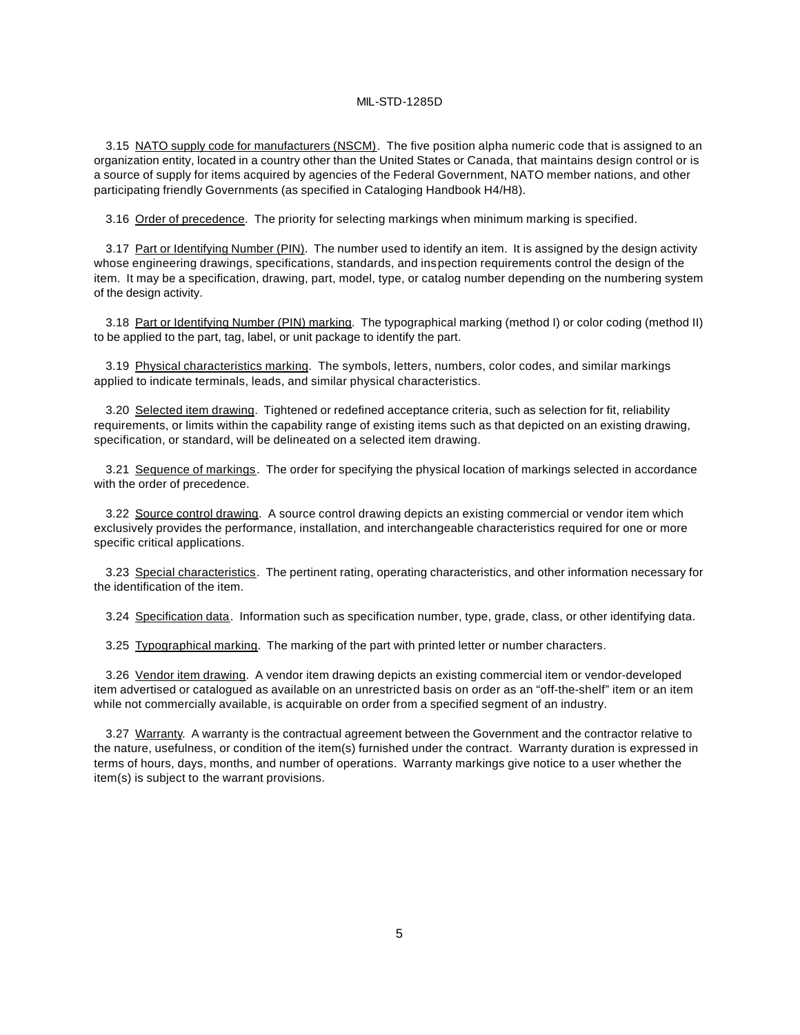3.15 NATO supply code for manufacturers (NSCM). The five position alpha numeric code that is assigned to an organization entity, located in a country other than the United States or Canada, that maintains design control or is a source of supply for items acquired by agencies of the Federal Government, NATO member nations, and other participating friendly Governments (as specified in Cataloging Handbook H4/H8).

3.16 Order of precedence. The priority for selecting markings when minimum marking is specified.

3.17 Part or Identifying Number (PIN). The number used to identify an item. It is assigned by the design activity whose engineering drawings, specifications, standards, and inspection requirements control the design of the item. It may be a specification, drawing, part, model, type, or catalog number depending on the numbering system of the design activity.

3.18 Part or Identifying Number (PIN) marking. The typographical marking (method I) or color coding (method II) to be applied to the part, tag, label, or unit package to identify the part.

3.19 Physical characteristics marking. The symbols, letters, numbers, color codes, and similar markings applied to indicate terminals, leads, and similar physical characteristics.

3.20 Selected item drawing. Tightened or redefined acceptance criteria, such as selection for fit, reliability requirements, or limits within the capability range of existing items such as that depicted on an existing drawing, specification, or standard, will be delineated on a selected item drawing.

3.21 Sequence of markings. The order for specifying the physical location of markings selected in accordance with the order of precedence.

3.22 Source control drawing. A source control drawing depicts an existing commercial or vendor item which exclusively provides the performance, installation, and interchangeable characteristics required for one or more specific critical applications.

3.23 Special characteristics. The pertinent rating, operating characteristics, and other information necessary for the identification of the item.

3.24 Specification data. Information such as specification number, type, grade, class, or other identifying data.

3.25 Typographical marking. The marking of the part with printed letter or number characters.

3.26 Vendor item drawing. A vendor item drawing depicts an existing commercial item or vendor-developed item advertised or catalogued as available on an unrestricted basis on order as an "off-the-shelf" item or an item while not commercially available, is acquirable on order from a specified segment of an industry.

3.27 Warranty. A warranty is the contractual agreement between the Government and the contractor relative to the nature, usefulness, or condition of the item(s) furnished under the contract. Warranty duration is expressed in terms of hours, days, months, and number of operations. Warranty markings give notice to a user whether the item(s) is subject to the warrant provisions.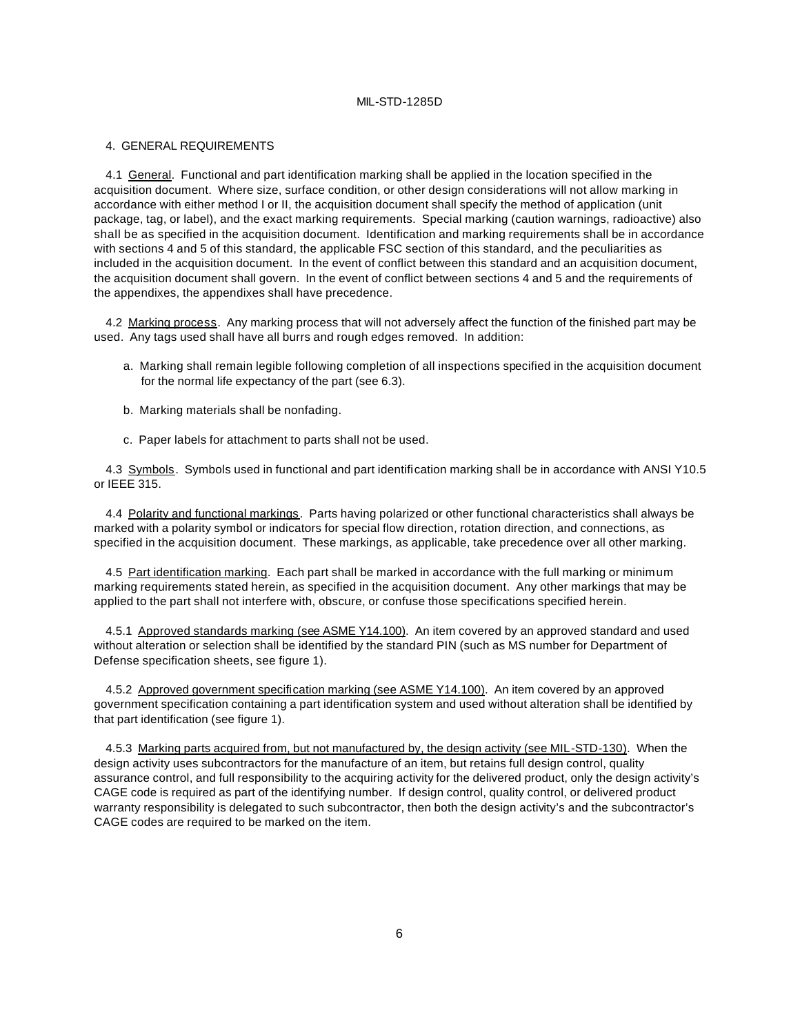#### 4. GENERAL REQUIREMENTS

4.1 General. Functional and part identification marking shall be applied in the location specified in the acquisition document. Where size, surface condition, or other design considerations will not allow marking in accordance with either method I or II, the acquisition document shall specify the method of application (unit package, tag, or label), and the exact marking requirements. Special marking (caution warnings, radioactive) also shall be as specified in the acquisition document. Identification and marking requirements shall be in accordance with sections 4 and 5 of this standard, the applicable FSC section of this standard, and the peculiarities as included in the acquisition document. In the event of conflict between this standard and an acquisition document, the acquisition document shall govern. In the event of conflict between sections 4 and 5 and the requirements of the appendixes, the appendixes shall have precedence.

4.2 Marking process. Any marking process that will not adversely affect the function of the finished part may be used. Any tags used shall have all burrs and rough edges removed. In addition:

- a. Marking shall remain legible following completion of all inspections specified in the acquisition document for the normal life expectancy of the part (see 6.3).
- b. Marking materials shall be nonfading.
- c. Paper labels for attachment to parts shall not be used.

4.3 Symbols. Symbols used in functional and part identification marking shall be in accordance with ANSI Y10.5 or IEEE 315.

4.4 Polarity and functional markings. Parts having polarized or other functional characteristics shall always be marked with a polarity symbol or indicators for special flow direction, rotation direction, and connections, as specified in the acquisition document. These markings, as applicable, take precedence over all other marking.

4.5 Part identification marking. Each part shall be marked in accordance with the full marking or minimum marking requirements stated herein, as specified in the acquisition document. Any other markings that may be applied to the part shall not interfere with, obscure, or confuse those specifications specified herein.

4.5.1 Approved standards marking (see ASME Y14.100). An item covered by an approved standard and used without alteration or selection shall be identified by the standard PIN (such as MS number for Department of Defense specification sheets, see figure 1).

4.5.2 Approved government specification marking (see ASME Y14.100). An item covered by an approved government specification containing a part identification system and used without alteration shall be identified by that part identification (see figure 1).

4.5.3 Marking parts acquired from, but not manufactured by, the design activity (see MIL-STD-130). When the design activity uses subcontractors for the manufacture of an item, but retains full design control, quality assurance control, and full responsibility to the acquiring activity for the delivered product, only the design activity's CAGE code is required as part of the identifying number. If design control, quality control, or delivered product warranty responsibility is delegated to such subcontractor, then both the design activity's and the subcontractor's CAGE codes are required to be marked on the item.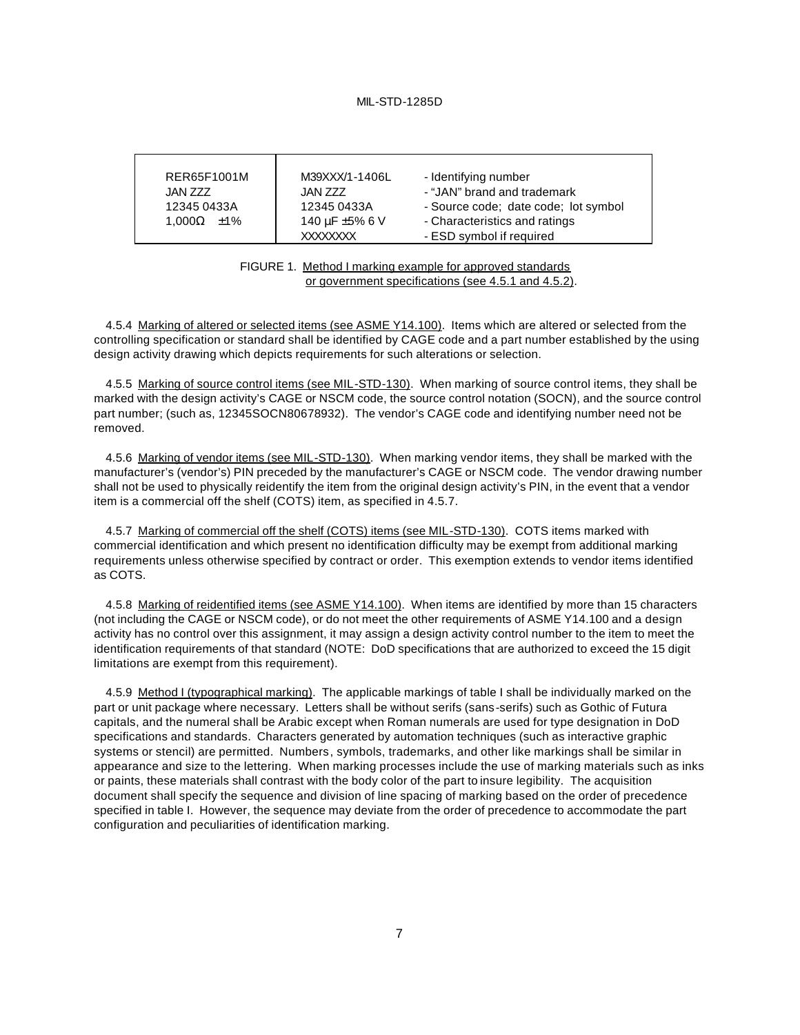| RER65F1001M            | M39XXX/1-1406L      | - Identifying number                 |
|------------------------|---------------------|--------------------------------------|
| JAN ZZZ                | JAN ZZZ             | - "JAN" brand and trademark          |
| 12345 0433A            | 12345 0433A         | - Source code; date code; lot symbol |
| $1.000\Omega$ $\pm$ 1% | 140 $\mu$ F ±5% 6 V | - Characteristics and ratings        |
|                        | <b>XXXXXXXX</b>     | - ESD symbol if required             |

FIGURE 1. Method I marking example for approved standards or government specifications (see 4.5.1 and 4.5.2).

4.5.4 Marking of altered or selected items (see ASME Y14.100). Items which are altered or selected from the controlling specification or standard shall be identified by CAGE code and a part number established by the using design activity drawing which depicts requirements for such alterations or selection.

4.5.5 Marking of source control items (see MIL-STD-130). When marking of source control items, they shall be marked with the design activity's CAGE or NSCM code, the source control notation (SOCN), and the source control part number; (such as, 12345SOCN80678932). The vendor's CAGE code and identifying number need not be removed.

4.5.6 Marking of vendor items (see MIL-STD-130). When marking vendor items, they shall be marked with the manufacturer's (vendor's) PIN preceded by the manufacturer's CAGE or NSCM code. The vendor drawing number shall not be used to physically reidentify the item from the original design activity's PIN, in the event that a vendor item is a commercial off the shelf (COTS) item, as specified in 4.5.7.

4.5.7 Marking of commercial off the shelf (COTS) items (see MIL-STD-130). COTS items marked with commercial identification and which present no identification difficulty may be exempt from additional marking requirements unless otherwise specified by contract or order. This exemption extends to vendor items identified as COTS.

4.5.8 Marking of reidentified items (see ASME Y14.100). When items are identified by more than 15 characters (not including the CAGE or NSCM code), or do not meet the other requirements of ASME Y14.100 and a design activity has no control over this assignment, it may assign a design activity control number to the item to meet the identification requirements of that standard (NOTE: DoD specifications that are authorized to exceed the 15 digit limitations are exempt from this requirement).

4.5.9 Method I (typographical marking). The applicable markings of table I shall be individually marked on the part or unit package where necessary. Letters shall be without serifs (sans-serifs) such as Gothic of Futura capitals, and the numeral shall be Arabic except when Roman numerals are used for type designation in DoD specifications and standards. Characters generated by automation techniques (such as interactive graphic systems or stencil) are permitted. Numbers, symbols, trademarks, and other like markings shall be similar in appearance and size to the lettering. When marking processes include the use of marking materials such as inks or paints, these materials shall contrast with the body color of the part to insure legibility. The acquisition document shall specify the sequence and division of line spacing of marking based on the order of precedence specified in table I. However, the sequence may deviate from the order of precedence to accommodate the part configuration and peculiarities of identification marking.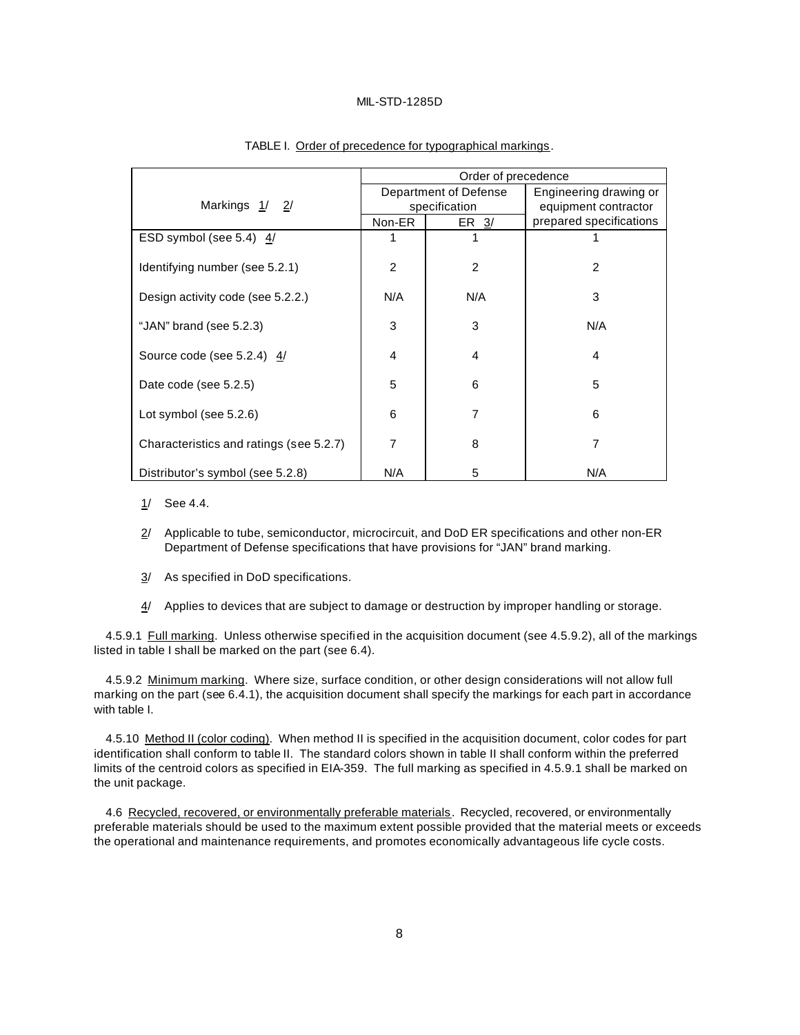|                                         | Order of precedence |                       |                         |
|-----------------------------------------|---------------------|-----------------------|-------------------------|
|                                         |                     | Department of Defense | Engineering drawing or  |
| Markings 1/ 2/                          |                     | specification         | equipment contractor    |
|                                         | Non-ER              | ER 3/                 | prepared specifications |
| ESD symbol (see 5.4) $\frac{4}{1}$      | 1                   |                       |                         |
| Identifying number (see 5.2.1)          | $\overline{2}$      | 2                     | 2                       |
| Design activity code (see 5.2.2.)       | N/A                 | N/A                   | 3                       |
| "JAN" brand (see 5.2.3)                 | 3                   | 3                     | N/A                     |
| Source code (see 5.2.4) $4/$            | 4                   | 4                     | 4                       |
| Date code (see 5.2.5)                   | 5                   | 6                     | 5                       |
| Lot symbol (see 5.2.6)                  | 6                   | 7                     | 6                       |
| Characteristics and ratings (see 5.2.7) | 7                   | 8                     | 7                       |
| Distributor's symbol (see 5.2.8)        | N/A                 | 5                     | N/A                     |

#### TABLE I. Order of precedence for typographical markings.

- 1/ See 4.4.
- 2/ Applicable to tube, semiconductor, microcircuit, and DoD ER specifications and other non-ER Department of Defense specifications that have provisions for "JAN" brand marking.
- 3/ As specified in DoD specifications.
- 4/ Applies to devices that are subject to damage or destruction by improper handling or storage.

4.5.9.1 Full marking. Unless otherwise specified in the acquisition document (see 4.5.9.2), all of the markings listed in table I shall be marked on the part (see 6.4).

4.5.9.2 Minimum marking. Where size, surface condition, or other design considerations will not allow full marking on the part (see 6.4.1), the acquisition document shall specify the markings for each part in accordance with table I.

4.5.10 Method II (color coding). When method II is specified in the acquisition document, color codes for part identification shall conform to table II. The standard colors shown in table II shall conform within the preferred limits of the centroid colors as specified in EIA-359. The full marking as specified in 4.5.9.1 shall be marked on the unit package.

4.6 Recycled, recovered, or environmentally preferable materials. Recycled, recovered, or environmentally preferable materials should be used to the maximum extent possible provided that the material meets or exceeds the operational and maintenance requirements, and promotes economically advantageous life cycle costs.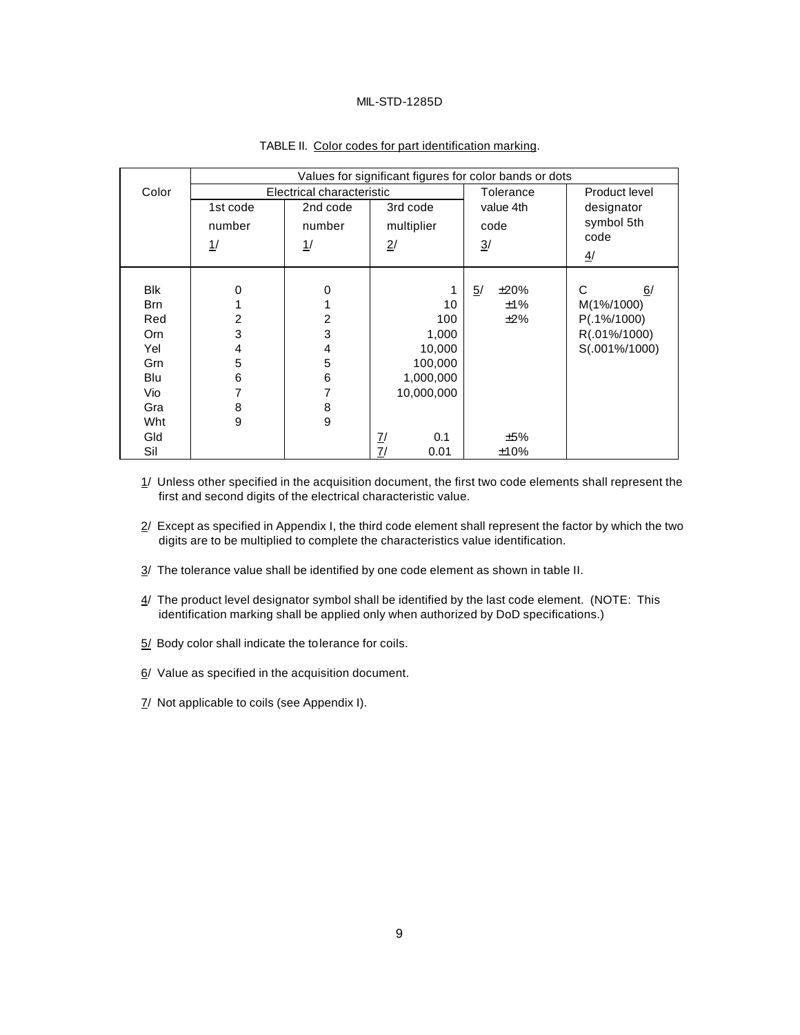|            | Values for significant figures for color bands or dots |                |                       |                |                |
|------------|--------------------------------------------------------|----------------|-----------------------|----------------|----------------|
| Color      | Electrical characteristic                              |                |                       | Tolerance      | Product level  |
|            | 1st code                                               | 2nd code       | 3rd code              | value 4th      | designator     |
|            | number                                                 | number         | multiplier            | code           | symbol 5th     |
|            | 1/                                                     | 1/             | 2/                    | $\overline{3}$ | code           |
|            |                                                        |                |                       |                | 4/             |
|            |                                                        |                |                       |                |                |
| <b>Blk</b> | 0                                                      | 0              | 1                     | 5/<br>±20%     | С<br>6/        |
| <b>Brn</b> |                                                        |                | 10                    | ±1%            | M(1%/1000)     |
| Red        | $\overline{2}$                                         | $\overline{2}$ | 100                   | $\pm 2\%$      | $P(.1\%/1000)$ |
| Orn        | 3                                                      | 3              | 1,000                 |                | R(.01%/1000)   |
| Yel        | 4                                                      | 4              | 10,000                |                | S(.001%/1000)  |
| Grn        | 5                                                      | 5              | 100,000               |                |                |
| Blu        | 6                                                      | 6              | 1,000,000             |                |                |
| Vio        | 7                                                      | 7              | 10,000,000            |                |                |
| Gra        | 8                                                      | 8              |                       |                |                |
| Wht        | 9                                                      | 9              |                       |                |                |
| Gld        |                                                        |                | $\overline{I}$<br>0.1 | ±5%            |                |
| Sil        |                                                        |                | 7/<br>0.01            | ±10%           |                |

#### TABLE II. Color codes for part identification marking.

 $1/$  Unless other specified in the acquisition document, the first two code elements shall represent the first and second digits of the electrical characteristic value.

 $2/$  Except as specified in Appendix I, the third code element shall represent the factor by which the two digits are to be multiplied to complete the characteristics value identification.

- 3/ The tolerance value shall be identified by one code element as shown in table II.
- 4/ The product level designator symbol shall be identified by the last code element. (NOTE: This identification marking shall be applied only when authorized by DoD specifications.)
- 5/ Body color shall indicate the tolerance for coils.

6/ Value as specified in the acquisition document.

7/ Not applicable to coils (see Appendix I).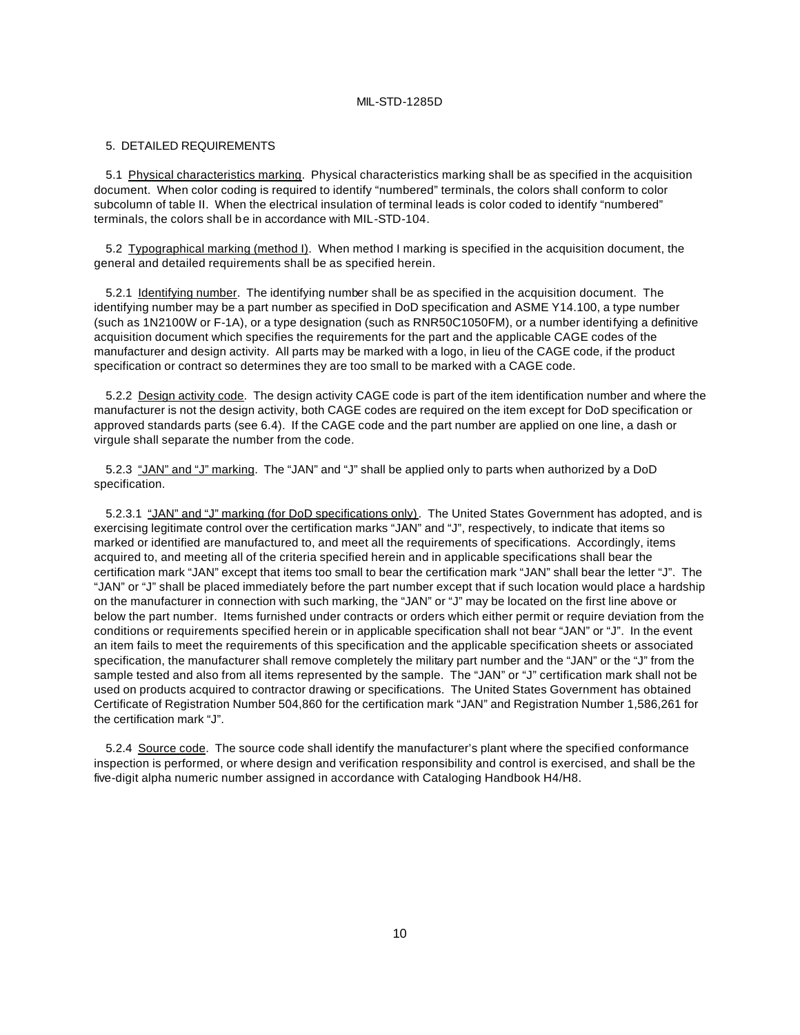#### 5. DETAILED REQUIREMENTS

5.1 Physical characteristics marking. Physical characteristics marking shall be as specified in the acquisition document. When color coding is required to identify "numbered" terminals, the colors shall conform to color subcolumn of table II. When the electrical insulation of terminal leads is color coded to identify "numbered" terminals, the colors shall be in accordance with MIL-STD-104.

5.2 Typographical marking (method I). When method I marking is specified in the acquisition document, the general and detailed requirements shall be as specified herein.

5.2.1 Identifying number. The identifying number shall be as specified in the acquisition document. The identifying number may be a part number as specified in DoD specification and ASME Y14.100, a type number (such as 1N2100W or F-1A), or a type designation (such as RNR50C1050FM), or a number identifying a definitive acquisition document which specifies the requirements for the part and the applicable CAGE codes of the manufacturer and design activity. All parts may be marked with a logo, in lieu of the CAGE code, if the product specification or contract so determines they are too small to be marked with a CAGE code.

5.2.2 Design activity code. The design activity CAGE code is part of the item identification number and where the manufacturer is not the design activity, both CAGE codes are required on the item except for DoD specification or approved standards parts (see 6.4). If the CAGE code and the part number are applied on one line, a dash or virgule shall separate the number from the code.

5.2.3 "JAN" and "J" marking. The "JAN" and "J" shall be applied only to parts when authorized by a DoD specification.

5.2.3.1 "JAN" and "J" marking (for DoD specifications only). The United States Government has adopted, and is exercising legitimate control over the certification marks "JAN" and "J", respectively, to indicate that items so marked or identified are manufactured to, and meet all the requirements of specifications. Accordingly, items acquired to, and meeting all of the criteria specified herein and in applicable specifications shall bear the certification mark "JAN" except that items too small to bear the certification mark "JAN" shall bear the letter "J". The "JAN" or "J" shall be placed immediately before the part number except that if such location would place a hardship on the manufacturer in connection with such marking, the "JAN" or "J" may be located on the first line above or below the part number. Items furnished under contracts or orders which either permit or require deviation from the conditions or requirements specified herein or in applicable specification shall not bear "JAN" or "J". In the event an item fails to meet the requirements of this specification and the applicable specification sheets or associated specification, the manufacturer shall remove completely the military part number and the "JAN" or the "J" from the sample tested and also from all items represented by the sample. The "JAN" or "J" certification mark shall not be used on products acquired to contractor drawing or specifications. The United States Government has obtained Certificate of Registration Number 504,860 for the certification mark "JAN" and Registration Number 1,586,261 for the certification mark "J".

5.2.4 Source code. The source code shall identify the manufacturer's plant where the specified conformance inspection is performed, or where design and verification responsibility and control is exercised, and shall be the five-digit alpha numeric number assigned in accordance with Cataloging Handbook H4/H8.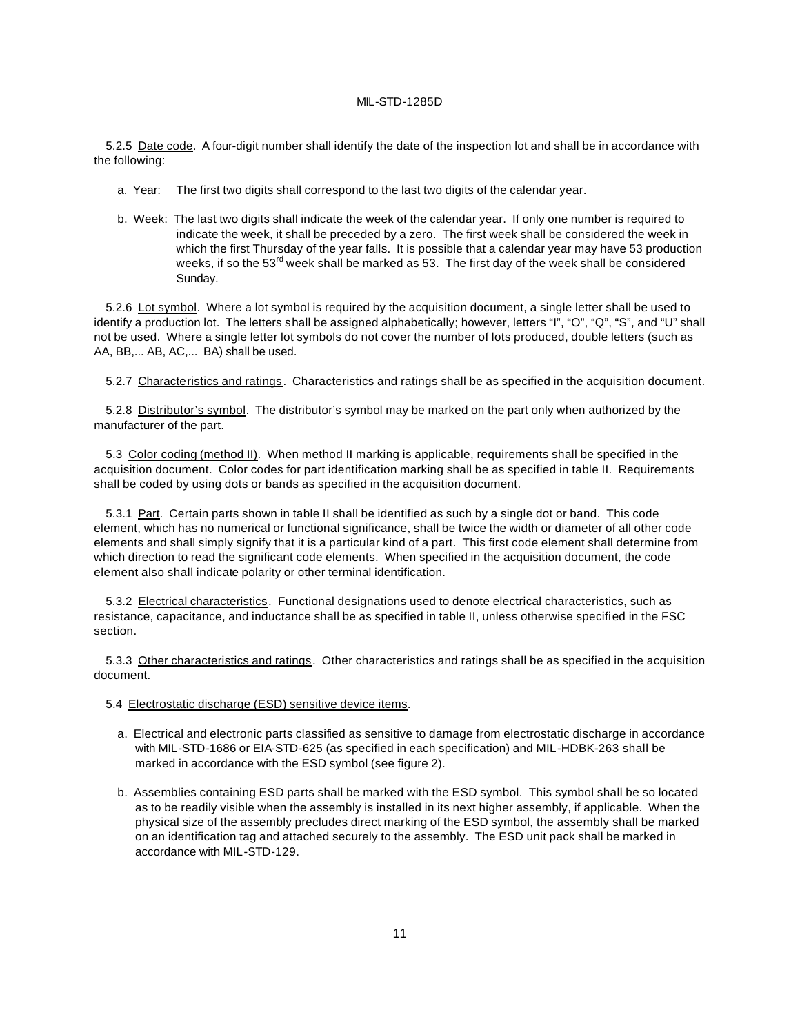5.2.5 Date code. A four-digit number shall identify the date of the inspection lot and shall be in accordance with the following:

- a. Year: The first two digits shall correspond to the last two digits of the calendar year.
- b. Week: The last two digits shall indicate the week of the calendar year. If only one number is required to indicate the week, it shall be preceded by a zero. The first week shall be considered the week in which the first Thursday of the year falls. It is possible that a calendar year may have 53 production weeks, if so the  $53<sup>rd</sup>$  week shall be marked as 53. The first day of the week shall be considered Sunday.

5.2.6 Lot symbol. Where a lot symbol is required by the acquisition document, a single letter shall be used to identify a production lot. The letters shall be assigned alphabetically; however, letters "I", "O", "Q", "S", and "U" shall not be used. Where a single letter lot symbols do not cover the number of lots produced, double letters (such as AA, BB,... AB, AC,... BA) shall be used.

5.2.7 Characteristics and ratings. Characteristics and ratings shall be as specified in the acquisition document.

5.2.8 Distributor's symbol. The distributor's symbol may be marked on the part only when authorized by the manufacturer of the part.

5.3 Color coding (method II). When method II marking is applicable, requirements shall be specified in the acquisition document. Color codes for part identification marking shall be as specified in table II. Requirements shall be coded by using dots or bands as specified in the acquisition document.

5.3.1 Part. Certain parts shown in table II shall be identified as such by a single dot or band. This code element, which has no numerical or functional significance, shall be twice the width or diameter of all other code elements and shall simply signify that it is a particular kind of a part. This first code element shall determine from which direction to read the significant code elements. When specified in the acquisition document, the code element also shall indicate polarity or other terminal identification.

5.3.2 Electrical characteristics. Functional designations used to denote electrical characteristics, such as resistance, capacitance, and inductance shall be as specified in table II, unless otherwise specified in the FSC section.

5.3.3 Other characteristics and ratings. Other characteristics and ratings shall be as specified in the acquisition document.

5.4 Electrostatic discharge (ESD) sensitive device items.

- a. Electrical and electronic parts classified as sensitive to damage from electrostatic discharge in accordance with MIL-STD-1686 or EIA-STD-625 (as specified in each specification) and MIL-HDBK-263 shall be marked in accordance with the ESD symbol (see figure 2).
- b. Assemblies containing ESD parts shall be marked with the ESD symbol. This symbol shall be so located as to be readily visible when the assembly is installed in its next higher assembly, if applicable. When the physical size of the assembly precludes direct marking of the ESD symbol, the assembly shall be marked on an identification tag and attached securely to the assembly. The ESD unit pack shall be marked in accordance with MIL-STD-129.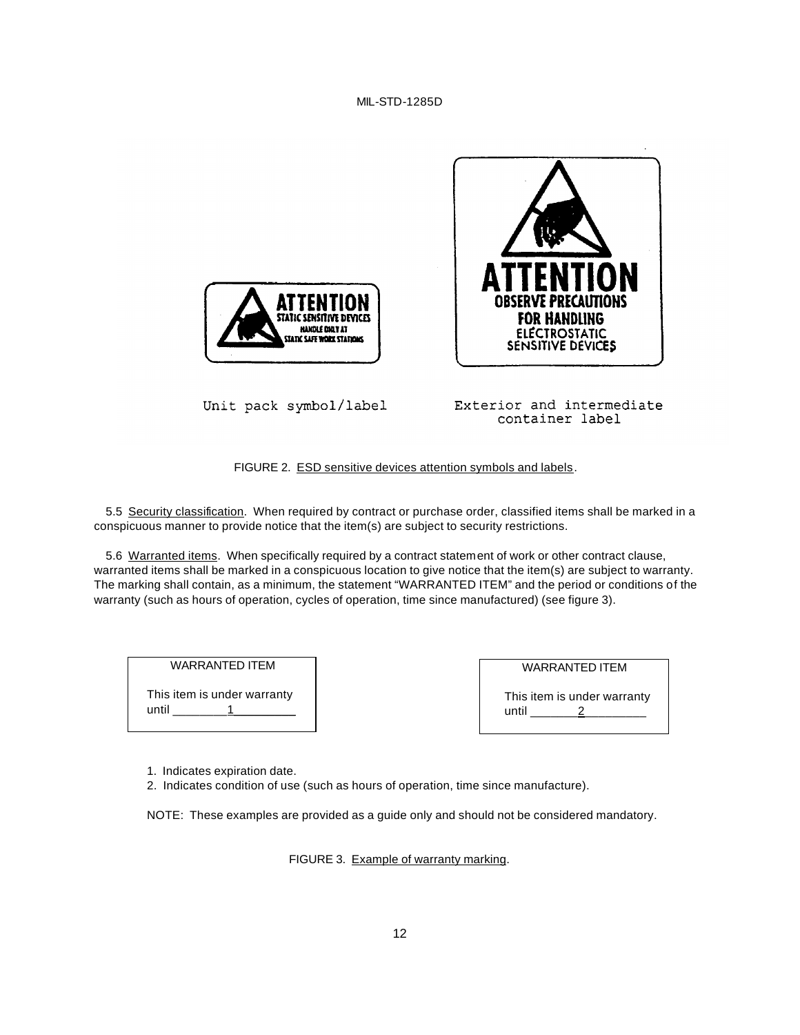



Unit pack symbol/label

Exterior and intermediate container label

FIGURE 2. ESD sensitive devices attention symbols and labels.

5.5 Security classification. When required by contract or purchase order, classified items shall be marked in a conspicuous manner to provide notice that the item(s) are subject to security restrictions.

5.6 Warranted items. When specifically required by a contract statement of work or other contract clause, warranted items shall be marked in a conspicuous location to give notice that the item(s) are subject to warranty. The marking shall contain, as a minimum, the statement "WARRANTED ITEM" and the period or conditions of the warranty (such as hours of operation, cycles of operation, time since manufactured) (see figure 3).

WARRANTED ITEM This item is under warranty until  $\qquad \qquad$  1

| <b>WARRANTED ITEM</b>       |  |
|-----------------------------|--|
| This item is under warranty |  |

 $until$   $2$ 

1. Indicates expiration date.

2. Indicates condition of use (such as hours of operation, time since manufacture).

NOTE: These examples are provided as a guide only and should not be considered mandatory.

FIGURE 3. Example of warranty marking.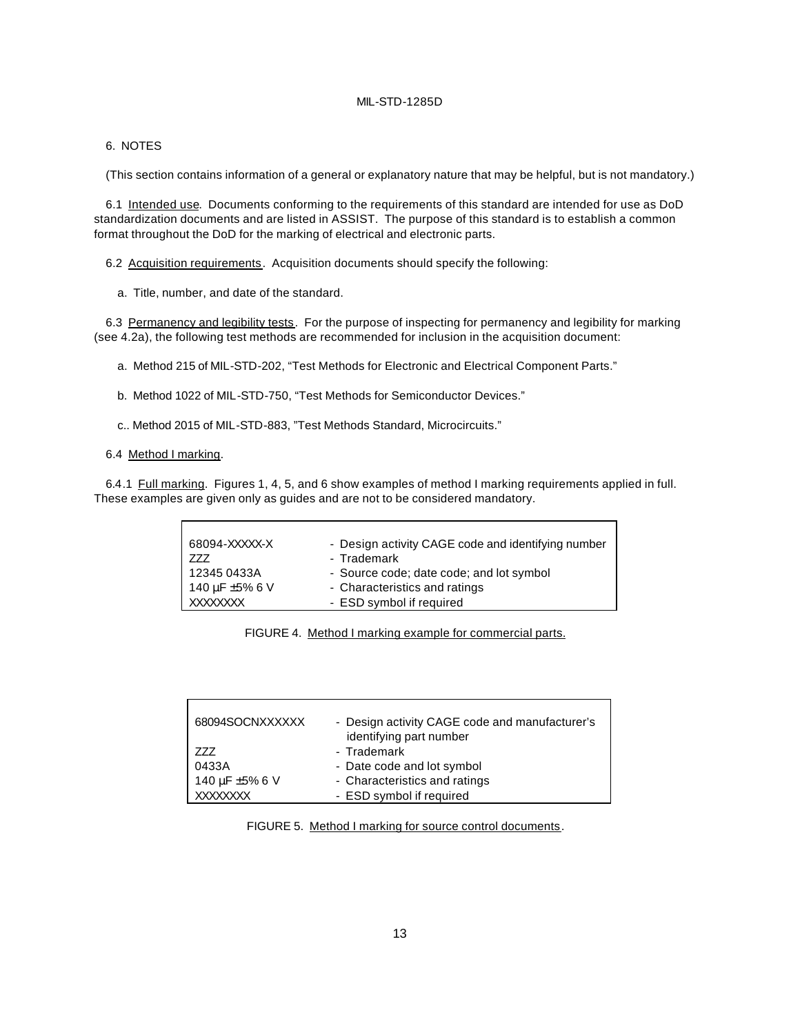#### 6. NOTES

(This section contains information of a general or explanatory nature that may be helpful, but is not mandatory.)

6.1 Intended use. Documents conforming to the requirements of this standard are intended for use as DoD standardization documents and are listed in ASSIST. The purpose of this standard is to establish a common format throughout the DoD for the marking of electrical and electronic parts.

6.2 Acquisition requirements. Acquisition documents should specify the following:

a. Title, number, and date of the standard.

6.3 Permanency and legibility tests. For the purpose of inspecting for permanency and legibility for marking (see 4.2a), the following test methods are recommended for inclusion in the acquisition document:

a. Method 215 of MIL-STD-202, "Test Methods for Electronic and Electrical Component Parts."

- b. Method 1022 of MIL-STD-750, "Test Methods for Semiconductor Devices."
- c.. Method 2015 of MIL-STD-883, "Test Methods Standard, Microcircuits."

#### 6.4 Method I marking.

6.4.1 Full marking. Figures 1, 4, 5, and 6 show examples of method I marking requirements applied in full. These examples are given only as guides and are not to be considered mandatory.

| 68094-XXXXX-X<br>777 | - Design activity CAGE code and identifying number<br>- Trademark |
|----------------------|-------------------------------------------------------------------|
| 12345 0433A          | - Source code; date code; and lot symbol                          |
| 140 µF ±5% 6 V       | - Characteristics and ratings                                     |
| XXXXXXXX             | - ESD symbol if required                                          |

FIGURE 4. Method I marking example for commercial parts.

| 68094SOCNXXXXXX | - Design activity CAGE code and manufacturer's<br>identifying part number |
|-----------------|---------------------------------------------------------------------------|
| 777             | - Trademark                                                               |
| 0433A           | - Date code and lot symbol                                                |
| 140 µF ±5% 6 V  | - Characteristics and ratings                                             |
| <b>XXXXXXXX</b> | - ESD symbol if required                                                  |

FIGURE 5. Method I marking for source control documents.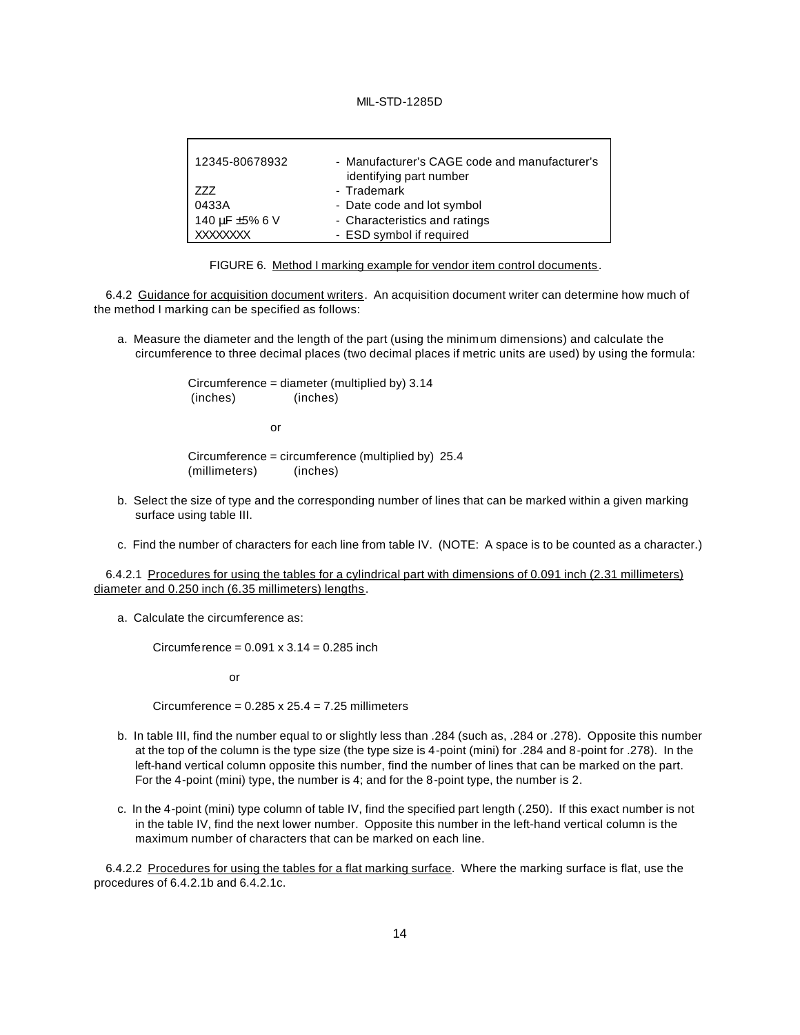| 12345-80678932  | - Manufacturer's CAGE code and manufacturer's<br>identifying part number |
|-----------------|--------------------------------------------------------------------------|
| 777             | - Trademark                                                              |
| 0433A           | - Date code and lot symbol                                               |
| 140 µF ±5% 6 V  | - Characteristics and ratings                                            |
| <b>XXXXXXXX</b> | - ESD symbol if required                                                 |

FIGURE 6. Method I marking example for vendor item control documents.

6.4.2 Guidance for acquisition document writers. An acquisition document writer can determine how much of the method I marking can be specified as follows:

a. Measure the diameter and the length of the part (using the minimum dimensions) and calculate the circumference to three decimal places (two decimal places if metric units are used) by using the formula:

> Circumference = diameter (multiplied by) 3.14 (inches) (inches)

> > or

Circumference = circumference (multiplied by) 25.4 (millimeters) (inches)

- b. Select the size of type and the corresponding number of lines that can be marked within a given marking surface using table III.
- c. Find the number of characters for each line from table IV. (NOTE: A space is to be counted as a character.)

6.4.2.1 Procedures for using the tables for a cylindrical part with dimensions of 0.091 inch (2.31 millimeters) diameter and 0.250 inch (6.35 millimeters) lengths.

a. Calculate the circumference as:

Circumference =  $0.091 \times 3.14 = 0.285$  inch

or

Circumference =  $0.285 \times 25.4 = 7.25$  millimeters

- b. In table III, find the number equal to or slightly less than .284 (such as, .284 or .278). Opposite this number at the top of the column is the type size (the type size is 4-point (mini) for .284 and 8-point for .278). In the left-hand vertical column opposite this number, find the number of lines that can be marked on the part. For the 4-point (mini) type, the number is 4; and for the 8-point type, the number is 2.
- c. In the 4-point (mini) type column of table IV, find the specified part length (.250). If this exact number is not in the table IV, find the next lower number. Opposite this number in the left-hand vertical column is the maximum number of characters that can be marked on each line.

6.4.2.2 Procedures for using the tables for a flat marking surface. Where the marking surface is flat, use the procedures of 6.4.2.1b and 6.4.2.1c.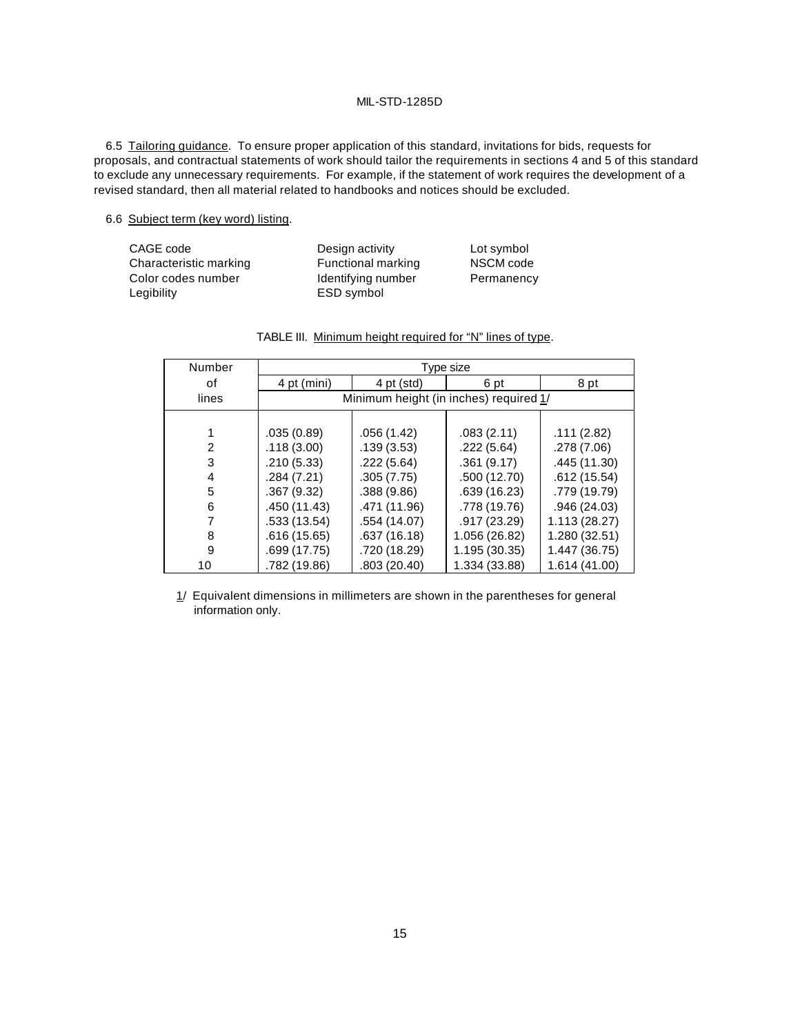6.5 Tailoring guidance. To ensure proper application of this standard, invitations for bids, requests for proposals, and contractual statements of work should tailor the requirements in sections 4 and 5 of this standard to exclude any unnecessary requirements. For example, if the statement of work requires the development of a revised standard, then all material related to handbooks and notices should be excluded.

#### 6.6 Subject term (key word) listing.

| CAGE code              | Design activity    | Lot symbol |
|------------------------|--------------------|------------|
| Characteristic marking | Functional marking | NSCM code  |
| Color codes number     | Identifying number | Permanency |
| Legibility             | ESD symbol         |            |

| Number | Type size    |                                        |               |               |  |  |
|--------|--------------|----------------------------------------|---------------|---------------|--|--|
| οf     | 4 pt (mini)  | 4 pt (std)                             | 6 pt          | 8 pt          |  |  |
| lines  |              | Minimum height (in inches) required 1/ |               |               |  |  |
|        |              |                                        |               |               |  |  |
|        | .035(0.89)   | .056(1.42)                             | .083(2.11)    | .111(2.82)    |  |  |
| 2      | .118(3.00)   | .139(3.53)                             | .222(5.64)    | .278 (7.06)   |  |  |
| 3      | .210(5.33)   | .222(5.64)                             | .361(9.17)    | .445 (11.30)  |  |  |
| 4      | .284(7.21)   | .305(7.75)                             | .500 (12.70)  | .612(15.54)   |  |  |
| 5      | .367 (9.32)  | .388(9.86)                             | .639 (16.23)  | .779 (19.79)  |  |  |
| 6      | .450 (11.43) | .471 (11.96)                           | .778 (19.76)  | .946(24.03)   |  |  |
|        | .533 (13.54) | .554 (14.07)                           | .917 (23.29)  | 1.113(28.27)  |  |  |
| 8      | .616 (15.65) | .637(16.18)                            | 1.056 (26.82) | 1.280 (32.51) |  |  |
| 9      | .699 (17.75) | .720 (18.29)                           | 1.195 (30.35) | 1.447 (36.75) |  |  |
| 10     | .782 (19.86) | .803 (20.40)                           | 1.334 (33.88) | 1.614 (41.00) |  |  |

| TABLE III. Minimum height required for "N" lines of type. |  |  |  |  |
|-----------------------------------------------------------|--|--|--|--|
|                                                           |  |  |  |  |

1/ Equivalent dimensions in millimeters are shown in the parentheses for general information only.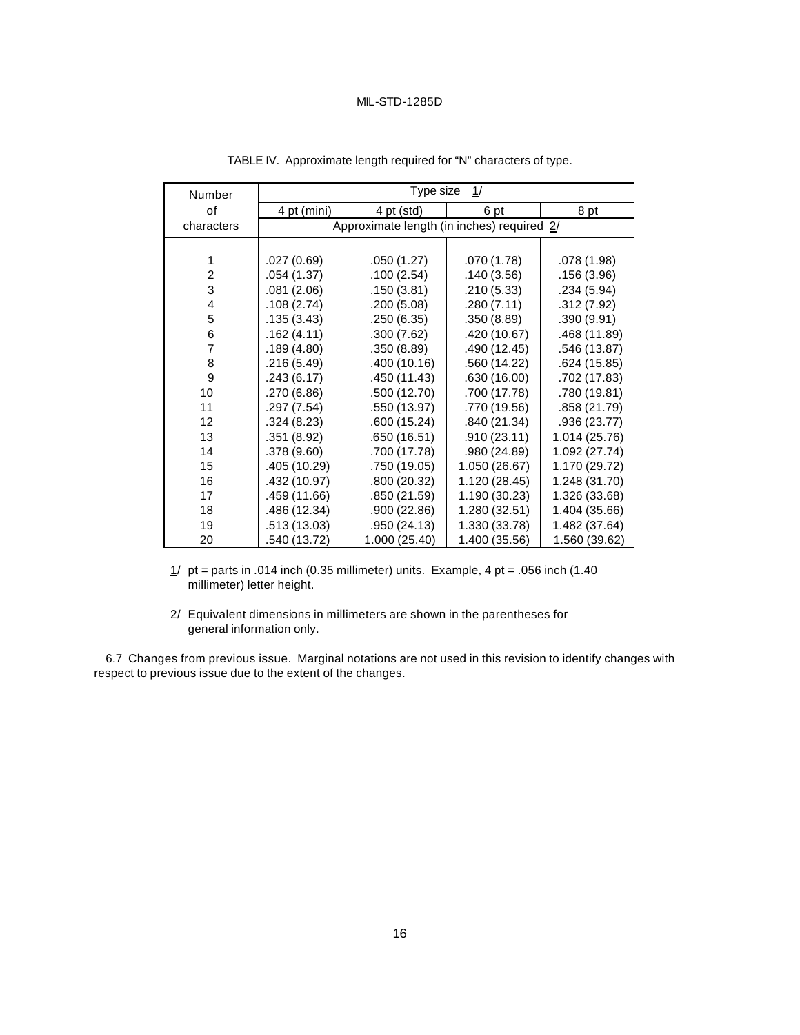| Number         | Type size<br>1/ |                                            |               |               |  |
|----------------|-----------------|--------------------------------------------|---------------|---------------|--|
| οf             | 4 pt (mini)     | 4 pt (std)                                 | 6 pt          | 8 pt          |  |
| characters     |                 | Approximate length (in inches) required 2/ |               |               |  |
|                |                 |                                            |               |               |  |
| 1              | .027(0.69)      | .050(1.27)                                 | .070(1.78)    | .078 (1.98)   |  |
| $\overline{2}$ | .054(1.37)      | .100(2.54)                                 | .140(3.56)    | .156 (3.96)   |  |
| 3              | .081(2.06)      | .150 (3.81)                                | .210(5.33)    | .234 (5.94)   |  |
| 4              | .108(2.74)      | .200(5.08)                                 | .280(7.11)    | .312 (7.92)   |  |
| 5              | .135(3.43)      | .250(6.35)                                 | .350(8.89)    | .390 (9.91)   |  |
| 6              | .162(4.11)      | .300(7.62)                                 | .420 (10.67)  | .468 (11.89)  |  |
| $\overline{7}$ | .189(4.80)      | .350(8.89)                                 | .490 (12.45)  | .546 (13.87)  |  |
| 8              | .216 (5.49)     | .400 (10.16)                               | .560 (14.22)  | .624 (15.85)  |  |
| 9              | .243(6.17)      | .450 (11.43)                               | .630 (16.00)  | .702 (17.83)  |  |
| 10             | .270 (6.86)     | .500 (12.70)                               | .700 (17.78)  | .780 (19.81)  |  |
| 11             | .297 (7.54)     | .550 (13.97)                               | .770 (19.56)  | .858 (21.79)  |  |
| 12             | .324(8.23)      | .600 (15.24)                               | .840 (21.34)  | .936 (23.77)  |  |
| 13             | .351 (8.92)     | .650 (16.51)                               | .910(23.11)   | 1.014 (25.76) |  |
| 14             | .378 (9.60)     | .700 (17.78)                               | .980 (24.89)  | 1.092 (27.74) |  |
| 15             | .405 (10.29)    | .750 (19.05)                               | 1.050 (26.67) | 1.170 (29.72) |  |
| 16             | .432 (10.97)    | .800 (20.32)                               | 1.120 (28.45) | 1.248 (31.70) |  |
| 17             | .459 (11.66)    | .850 (21.59)                               | 1.190 (30.23) | 1.326 (33.68) |  |
| 18             | .486 (12.34)    | .900 (22.86)                               | 1.280 (32.51) | 1.404 (35.66) |  |
| 19             | .513 (13.03)    | .950 (24.13)                               | 1.330 (33.78) | 1.482 (37.64) |  |
| 20             | .540 (13.72)    | 1.000 (25.40)                              | 1.400 (35.56) | 1.560 (39.62) |  |

TABLE IV. Approximate length required for "N" characters of type.

 $1/$  pt = parts in .014 inch (0.35 millimeter) units. Example, 4 pt = .056 inch (1.40 millimeter) letter height.

 $2/$  Equivalent dimensions in millimeters are shown in the parentheses for general information only.

6.7 Changes from previous issue. Marginal notations are not used in this revision to identify changes with respect to previous issue due to the extent of the changes.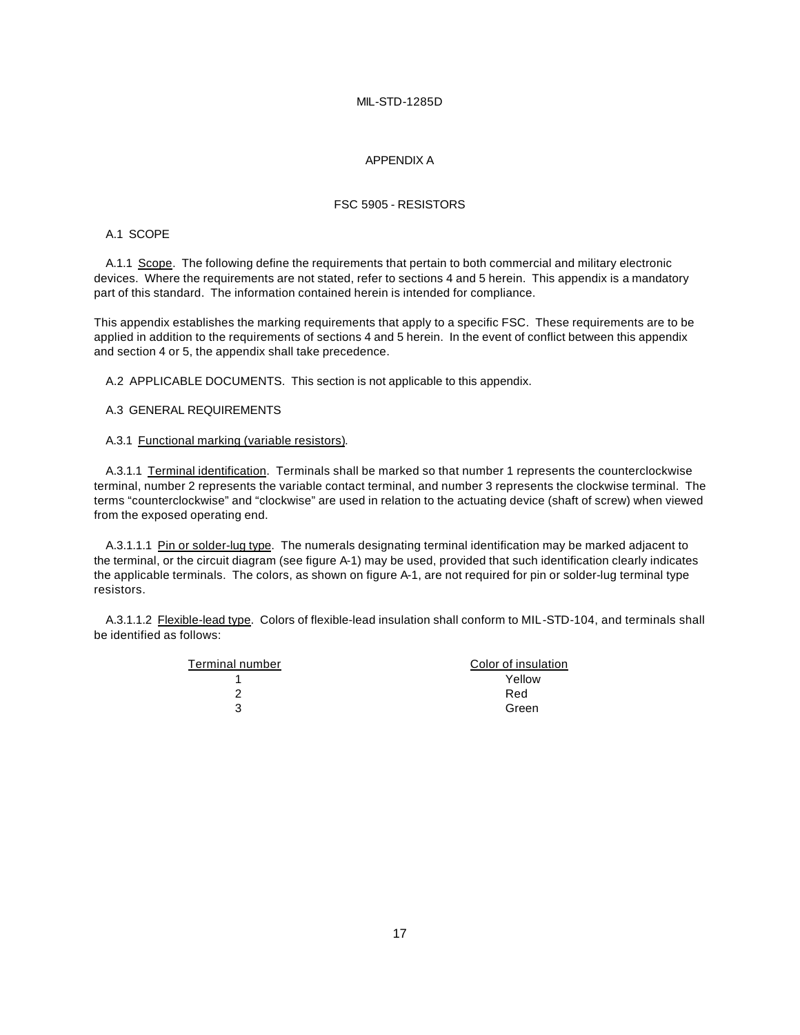#### APPENDIX A

#### FSC 5905 - RESISTORS

# A.1 SCOPE

A.1.1 Scope. The following define the requirements that pertain to both commercial and military electronic devices. Where the requirements are not stated, refer to sections 4 and 5 herein. This appendix is a mandatory part of this standard. The information contained herein is intended for compliance.

This appendix establishes the marking requirements that apply to a specific FSC. These requirements are to be applied in addition to the requirements of sections 4 and 5 herein. In the event of conflict between this appendix and section 4 or 5, the appendix shall take precedence.

A.2 APPLICABLE DOCUMENTS. This section is not applicable to this appendix.

#### A.3 GENERAL REQUIREMENTS

#### A.3.1 Functional marking (variable resistors).

A.3.1.1 Terminal identification. Terminals shall be marked so that number 1 represents the counterclockwise terminal, number 2 represents the variable contact terminal, and number 3 represents the clockwise terminal. The terms "counterclockwise" and "clockwise" are used in relation to the actuating device (shaft of screw) when viewed from the exposed operating end.

A.3.1.1.1 Pin or solder-lug type. The numerals designating terminal identification may be marked adjacent to the terminal, or the circuit diagram (see figure A-1) may be used, provided that such identification clearly indicates the applicable terminals. The colors, as shown on figure A-1, are not required for pin or solder-lug terminal type resistors.

A.3.1.1.2 Flexible-lead type. Colors of flexible-lead insulation shall conform to MIL-STD-104, and terminals shall be identified as follows:

| Color of insulation |
|---------------------|
| Yellow              |
| Red                 |
| Green               |
|                     |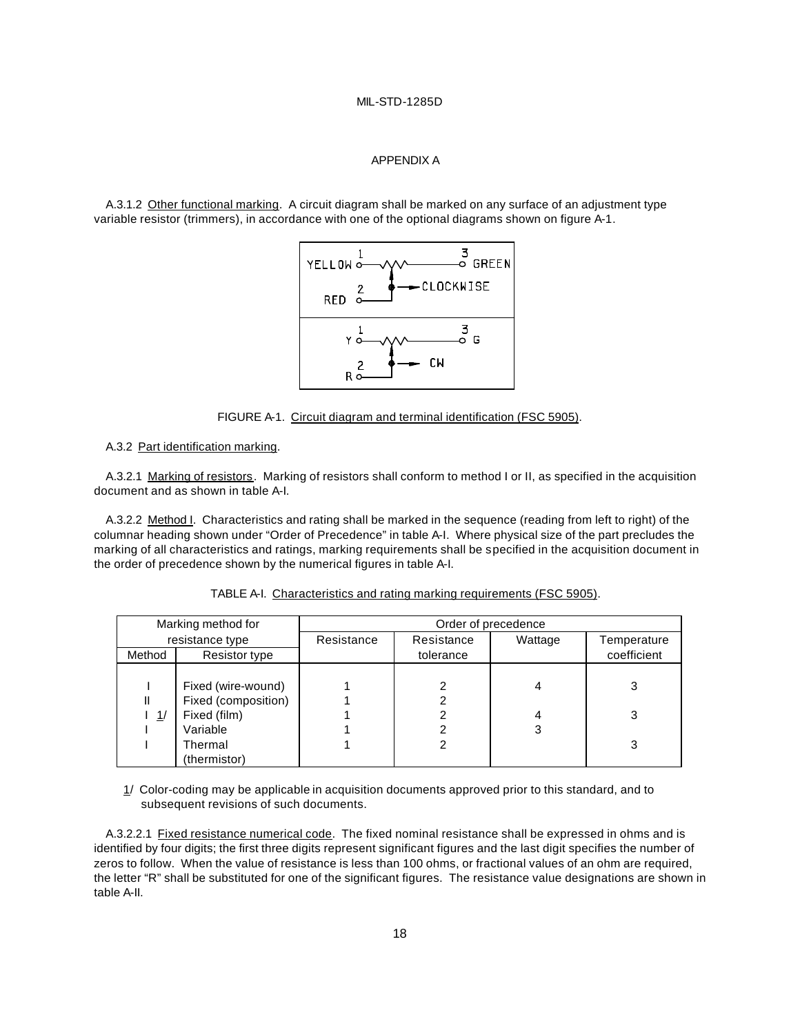#### APPENDIX A

A.3.1.2 Other functional marking. A circuit diagram shall be marked on any surface of an adjustment type variable resistor (trimmers), in accordance with one of the optional diagrams shown on figure A-1.



FIGURE A-1. Circuit diagram and terminal identification (FSC 5905).

A.3.2 Part identification marking.

A.3.2.1 Marking of resistors. Marking of resistors shall conform to method I or II, as specified in the acquisition document and as shown in table A-I.

A.3.2.2 Method I. Characteristics and rating shall be marked in the sequence (reading from left to right) of the columnar heading shown under "Order of Precedence" in table A-I. Where physical size of the part precludes the marking of all characteristics and ratings, marking requirements shall be specified in the acquisition document in the order of precedence shown by the numerical figures in table A-I.

|        | Marking method for  |            |            | Order of precedence |             |
|--------|---------------------|------------|------------|---------------------|-------------|
|        | resistance type     | Resistance | Resistance | Wattage             | Temperature |
| Method | Resistor type       |            | tolerance  |                     | coefficient |
|        |                     |            |            |                     |             |
|        | Fixed (wire-wound)  |            |            | 4                   | 3           |
| Ш      | Fixed (composition) |            |            |                     |             |
| l 1/   | Fixed (film)        |            |            | 4                   | 3           |
|        | Variable            |            |            | 3                   |             |
|        | Thermal             |            |            |                     | 3           |
|        | (thermistor)        |            |            |                     |             |

#### TABLE A-I. Characteristics and rating marking requirements (FSC 5905).

1/ Color-coding may be applicable in acquisition documents approved prior to this standard, and to subsequent revisions of such documents.

A.3.2.2.1 Fixed resistance numerical code. The fixed nominal resistance shall be expressed in ohms and is identified by four digits; the first three digits represent significant figures and the last digit specifies the number of zeros to follow. When the value of resistance is less than 100 ohms, or fractional values of an ohm are required, the letter "R" shall be substituted for one of the significant figures. The resistance value designations are shown in table A-II.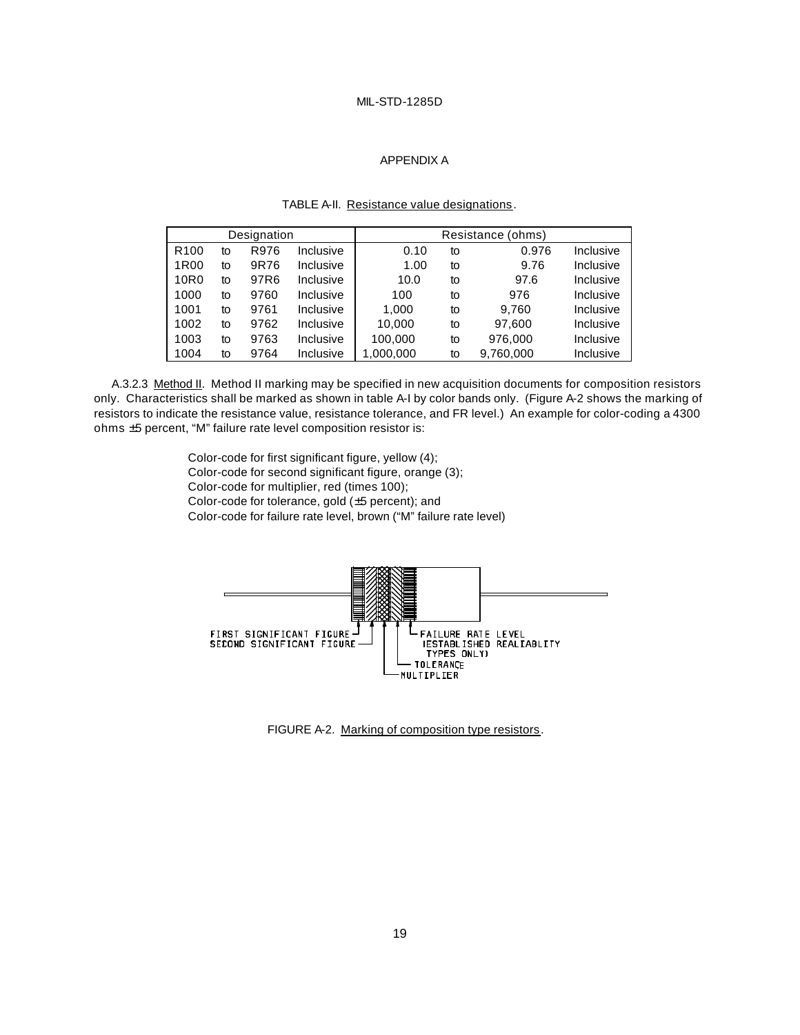#### APPENDIX A

| Designation      |    |                  |           |           | Resistance (ohms) |           |           |
|------------------|----|------------------|-----------|-----------|-------------------|-----------|-----------|
| R <sub>100</sub> | to | R976             | Inclusive | 0.10      | to                | 0.976     | Inclusive |
| 1R <sub>00</sub> | to | 9R76             | Inclusive | 1.00      | to                | 9.76      | Inclusive |
| 10 <sub>R0</sub> | to | 97R <sub>6</sub> | Inclusive | 10.0      | to                | 97.6      | Inclusive |
| 1000             | to | 9760             | Inclusive | 100       | to                | 976       | Inclusive |
| 1001             | to | 9761             | Inclusive | 1.000     | to                | 9,760     | Inclusive |
| 1002             | to | 9762             | Inclusive | 10.000    | to                | 97.600    | Inclusive |
| 1003             | to | 9763             | Inclusive | 100,000   | to                | 976,000   | Inclusive |
| 1004             | to | 9764             | Inclusive | 1,000,000 | to                | 9,760,000 | Inclusive |

#### TABLE A-II. Resistance value designations.

A.3.2.3 Method II. Method II marking may be specified in new acquisition documents for composition resistors only. Characteristics shall be marked as shown in table A-I by color bands only. (Figure A-2 shows the marking of resistors to indicate the resistance value, resistance tolerance, and FR level.) An example for color-coding a 4300 ohms ±5 percent, "M" failure rate level composition resistor is:

> Color-code for first significant figure, yellow (4); Color-code for second significant figure, orange (3); Color-code for multiplier, red (times 100); Color-code for tolerance, gold (±5 percent); and Color-code for failure rate level, brown ("M" failure rate level)



FIGURE A-2. Marking of composition type resistors.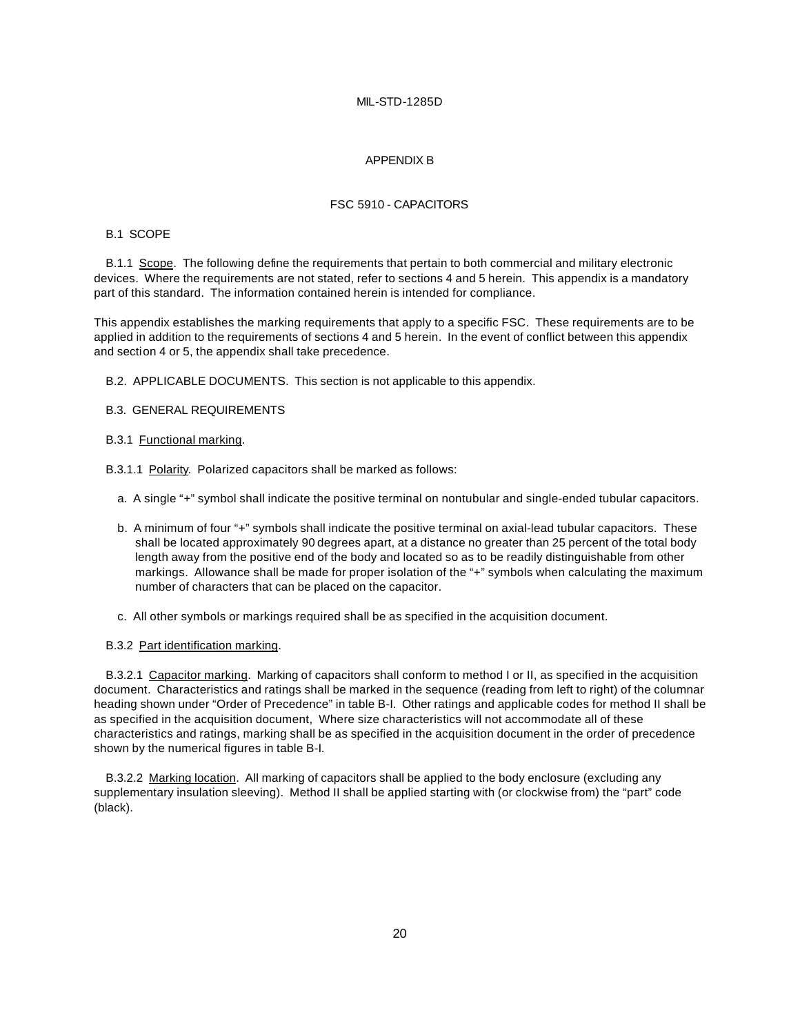#### APPENDIX B

#### FSC 5910 - CAPACITORS

#### B.1 SCOPE

B.1.1 Scope. The following define the requirements that pertain to both commercial and military electronic devices. Where the requirements are not stated, refer to sections 4 and 5 herein. This appendix is a mandatory part of this standard. The information contained herein is intended for compliance.

This appendix establishes the marking requirements that apply to a specific FSC. These requirements are to be applied in addition to the requirements of sections 4 and 5 herein. In the event of conflict between this appendix and section 4 or 5, the appendix shall take precedence.

B.2. APPLICABLE DOCUMENTS. This section is not applicable to this appendix.

#### B.3. GENERAL REQUIREMENTS

#### B.3.1 Functional marking.

B.3.1.1 Polarity. Polarized capacitors shall be marked as follows:

- a. A single "+" symbol shall indicate the positive terminal on nontubular and single-ended tubular capacitors.
- b. A minimum of four "+" symbols shall indicate the positive terminal on axial-lead tubular capacitors. These shall be located approximately 90 degrees apart, at a distance no greater than 25 percent of the total body length away from the positive end of the body and located so as to be readily distinguishable from other markings. Allowance shall be made for proper isolation of the "+" symbols when calculating the maximum number of characters that can be placed on the capacitor.
- c. All other symbols or markings required shall be as specified in the acquisition document.
- B.3.2 Part identification marking.

B.3.2.1 Capacitor marking. Marking of capacitors shall conform to method I or II, as specified in the acquisition document. Characteristics and ratings shall be marked in the sequence (reading from left to right) of the columnar heading shown under "Order of Precedence" in table B-I. Other ratings and applicable codes for method II shall be as specified in the acquisition document, Where size characteristics will not accommodate all of these characteristics and ratings, marking shall be as specified in the acquisition document in the order of precedence shown by the numerical figures in table B-I.

B.3.2.2 Marking location. All marking of capacitors shall be applied to the body enclosure (excluding any supplementary insulation sleeving). Method II shall be applied starting with (or clockwise from) the "part" code (black).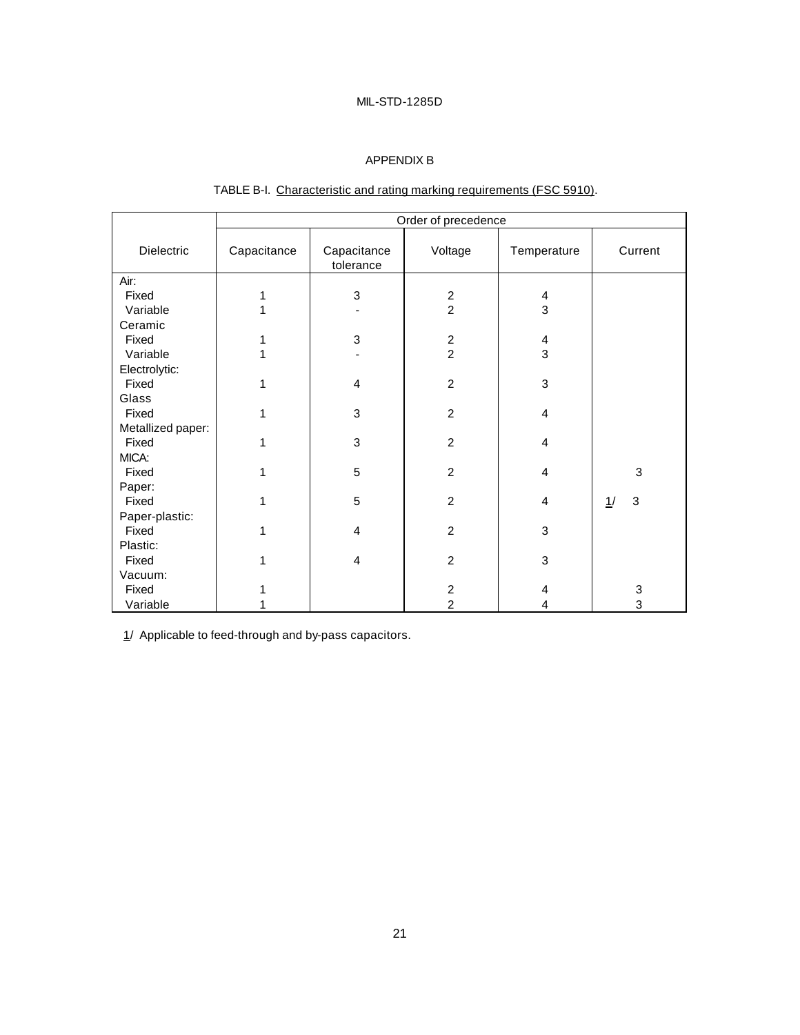# APPENDIX B

|                         | Order of precedence |                           |                         |                         |         |  |  |
|-------------------------|---------------------|---------------------------|-------------------------|-------------------------|---------|--|--|
| Dielectric              | Capacitance         | Capacitance<br>tolerance  | Voltage                 | Temperature             | Current |  |  |
| Air:                    |                     |                           |                         |                         |         |  |  |
| Fixed                   | 1                   | $\ensuremath{\mathsf{3}}$ | $\overline{\mathbf{c}}$ | 4                       |         |  |  |
| Variable                | 1                   |                           | $\overline{2}$          | 3                       |         |  |  |
| Ceramic                 |                     |                           |                         |                         |         |  |  |
| Fixed                   | 1                   | $\sqrt{3}$                | $\overline{c}$          | $\overline{\mathbf{4}}$ |         |  |  |
| Variable                | 1                   |                           | $\overline{2}$          | 3                       |         |  |  |
| Electrolytic:           |                     |                           |                         |                         |         |  |  |
| Fixed                   | 1                   | $\overline{4}$            | $\overline{2}$          | 3                       |         |  |  |
| Glass                   |                     |                           |                         |                         |         |  |  |
| Fixed                   | 1                   | 3                         | $\overline{c}$          | $\overline{\mathbf{4}}$ |         |  |  |
| Metallized paper:       |                     |                           |                         |                         |         |  |  |
| Fixed                   | 1                   | 3                         | $\overline{2}$          | 4                       |         |  |  |
| MICA:                   |                     |                           |                         |                         |         |  |  |
| Fixed                   | 1                   | 5                         | $\overline{c}$          | $\overline{\mathbf{4}}$ | 3       |  |  |
| Paper:                  | 1                   |                           |                         |                         | 3       |  |  |
| Fixed                   |                     | 5                         | $\overline{c}$          | 4                       | 1/      |  |  |
| Paper-plastic:<br>Fixed | 1                   | $\overline{4}$            | $\overline{2}$          | 3                       |         |  |  |
| Plastic:                |                     |                           |                         |                         |         |  |  |
| Fixed                   | 1                   | 4                         | $\overline{c}$          | 3                       |         |  |  |
| Vacuum:                 |                     |                           |                         |                         |         |  |  |
| Fixed                   |                     |                           | $\overline{\mathbf{c}}$ | 4                       | 3       |  |  |
| Variable                |                     |                           | $\overline{2}$          | $\overline{\mathbf{4}}$ | 3       |  |  |

# TABLE B-I. Characteristic and rating marking requirements (FSC 5910).

1/ Applicable to feed-through and by-pass capacitors.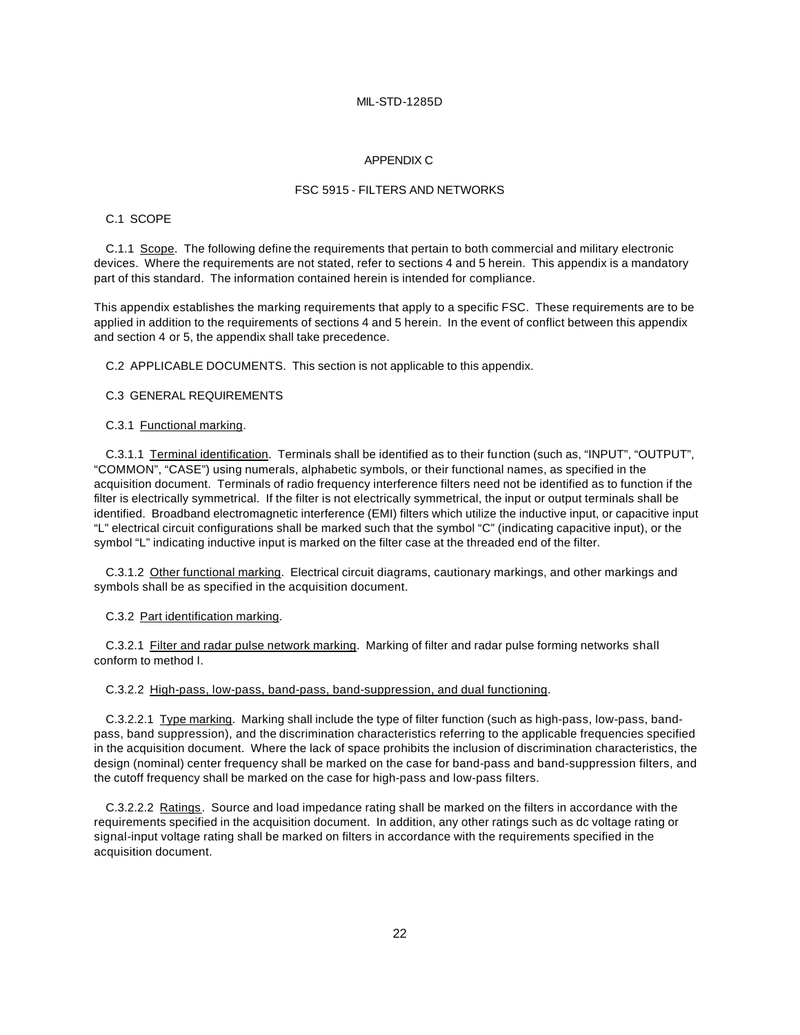#### APPENDIX C

#### FSC 5915 - FILTERS AND NETWORKS

#### C.1 SCOPE

C.1.1 Scope. The following define the requirements that pertain to both commercial and military electronic devices. Where the requirements are not stated, refer to sections 4 and 5 herein. This appendix is a mandatory part of this standard. The information contained herein is intended for compliance.

This appendix establishes the marking requirements that apply to a specific FSC. These requirements are to be applied in addition to the requirements of sections 4 and 5 herein. In the event of conflict between this appendix and section 4 or 5, the appendix shall take precedence.

C.2 APPLICABLE DOCUMENTS. This section is not applicable to this appendix.

# C.3 GENERAL REQUIREMENTS

#### C.3.1 Functional marking.

C.3.1.1 Terminal identification. Terminals shall be identified as to their function (such as, "INPUT", "OUTPUT", "COMMON", "CASE") using numerals, alphabetic symbols, or their functional names, as specified in the acquisition document. Terminals of radio frequency interference filters need not be identified as to function if the filter is electrically symmetrical. If the filter is not electrically symmetrical, the input or output terminals shall be identified. Broadband electromagnetic interference (EMI) filters which utilize the inductive input, or capacitive input "L" electrical circuit configurations shall be marked such that the symbol "C" (indicating capacitive input), or the symbol "L" indicating inductive input is marked on the filter case at the threaded end of the filter.

C.3.1.2 Other functional marking. Electrical circuit diagrams, cautionary markings, and other markings and symbols shall be as specified in the acquisition document.

#### C.3.2 Part identification marking.

C.3.2.1 Filter and radar pulse network marking. Marking of filter and radar pulse forming networks shall conform to method I.

#### C.3.2.2 High-pass, low-pass, band-pass, band-suppression, and dual functioning.

C.3.2.2.1 Type marking. Marking shall include the type of filter function (such as high-pass, low-pass, bandpass, band suppression), and the discrimination characteristics referring to the applicable frequencies specified in the acquisition document. Where the lack of space prohibits the inclusion of discrimination characteristics, the design (nominal) center frequency shall be marked on the case for band-pass and band-suppression filters, and the cutoff frequency shall be marked on the case for high-pass and low-pass filters.

C.3.2.2.2 Ratings. Source and load impedance rating shall be marked on the filters in accordance with the requirements specified in the acquisition document. In addition, any other ratings such as dc voltage rating or signal-input voltage rating shall be marked on filters in accordance with the requirements specified in the acquisition document.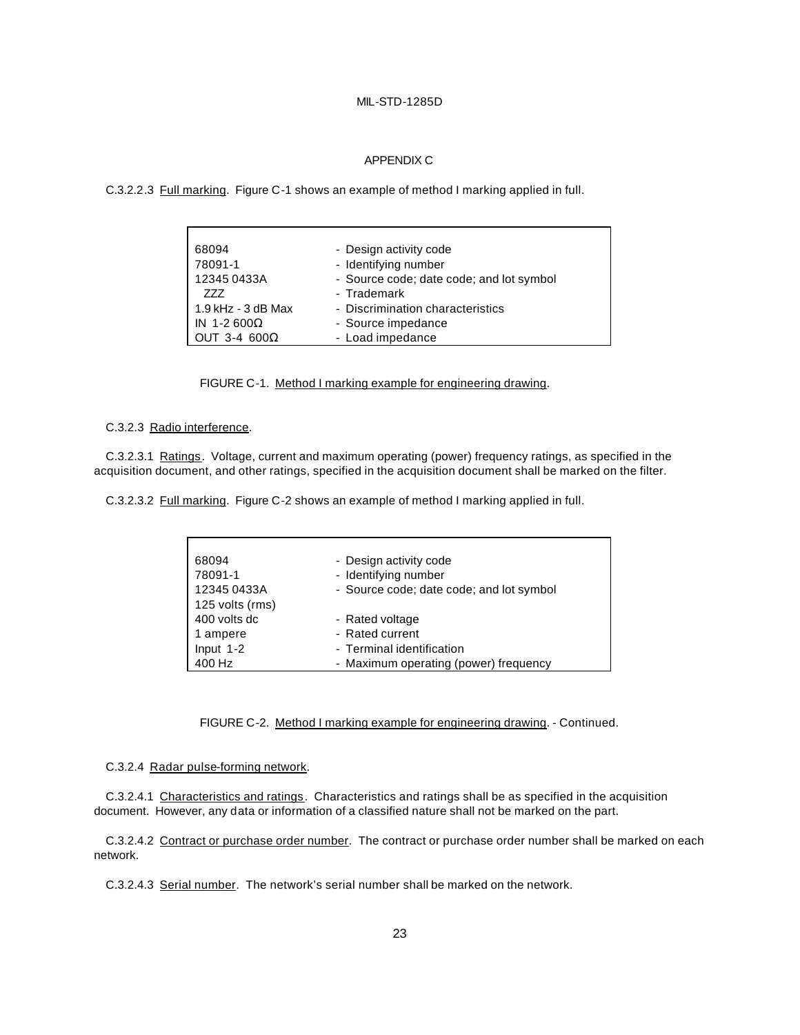#### APPENDIX C

C.3.2.2.3 Full marking. Figure C-1 shows an example of method I marking applied in full.

| 68094                | - Design activity code                   |
|----------------------|------------------------------------------|
| 78091-1              | - Identifying number                     |
| 12345 0433A          | - Source code; date code; and lot symbol |
| 777                  | - Trademark                              |
| $1.9$ kHz - 3 dB Max | - Discrimination characteristics         |
| IN 1-2 600 $\Omega$  | - Source impedance                       |
| OUT 3-4 600 $\Omega$ | - Load impedance                         |

FIGURE C-1. Method I marking example for engineering drawing.

#### C.3.2.3 Radio interference.

C.3.2.3.1 Ratings. Voltage, current and maximum operating (power) frequency ratings, as specified in the acquisition document, and other ratings, specified in the acquisition document shall be marked on the filter.

C.3.2.3.2 Full marking. Figure C-2 shows an example of method I marking applied in full.

| 68094           | - Design activity code                   |
|-----------------|------------------------------------------|
| 78091-1         | - Identifying number                     |
| 12345 0433A     | - Source code; date code; and lot symbol |
| 125 volts (rms) |                                          |
| 400 volts dc    | - Rated voltage                          |
| 1 ampere        | - Rated current                          |
| Input $1-2$     | - Terminal identification                |
| 400 Hz          | - Maximum operating (power) frequency    |

#### FIGURE C-2. Method I marking example for engineering drawing. - Continued.

#### C.3.2.4 Radar pulse-forming network.

C.3.2.4.1 Characteristics and ratings. Characteristics and ratings shall be as specified in the acquisition document. However, any data or information of a classified nature shall not be marked on the part.

C.3.2.4.2 Contract or purchase order number. The contract or purchase order number shall be marked on each network.

C.3.2.4.3 Serial number. The network's serial number shall be marked on the network.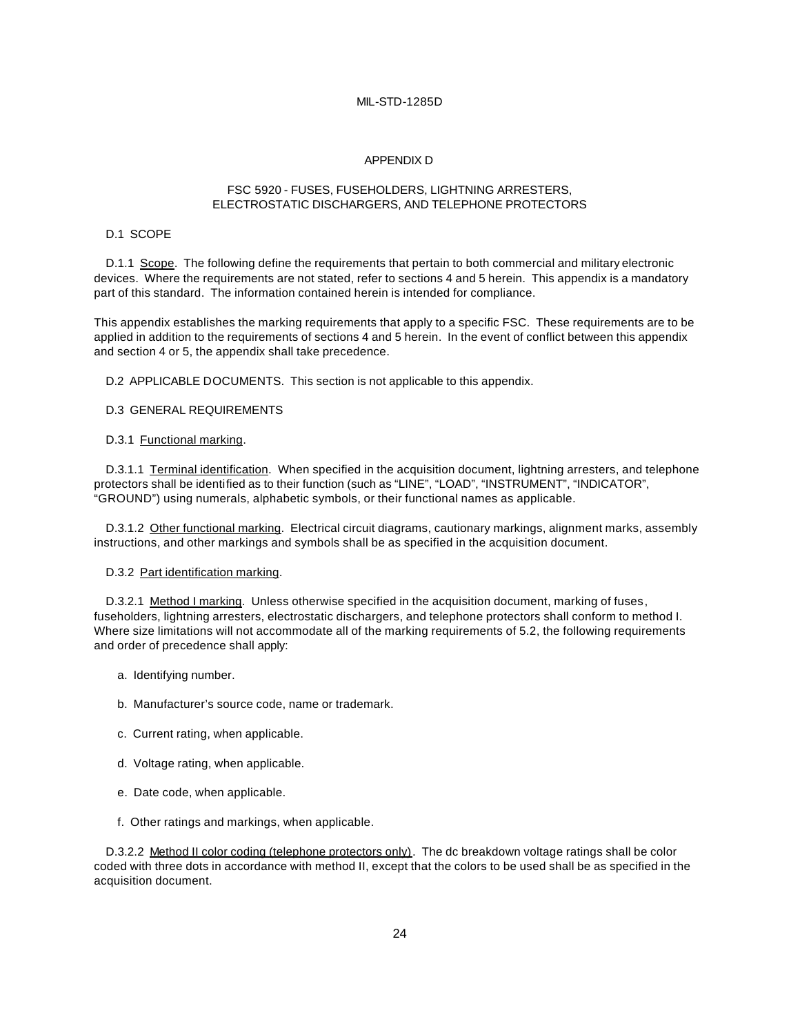#### APPENDIX D

#### FSC 5920 - FUSES, FUSEHOLDERS, LIGHTNING ARRESTERS, ELECTROSTATIC DISCHARGERS, AND TELEPHONE PROTECTORS

#### D.1 SCOPE

D.1.1 Scope. The following define the requirements that pertain to both commercial and military electronic devices. Where the requirements are not stated, refer to sections 4 and 5 herein. This appendix is a mandatory part of this standard. The information contained herein is intended for compliance.

This appendix establishes the marking requirements that apply to a specific FSC. These requirements are to be applied in addition to the requirements of sections 4 and 5 herein. In the event of conflict between this appendix and section 4 or 5, the appendix shall take precedence.

D.2 APPLICABLE DOCUMENTS. This section is not applicable to this appendix.

#### D.3 GENERAL REQUIREMENTS

#### D.3.1 Functional marking.

D.3.1.1 Terminal identification. When specified in the acquisition document, lightning arresters, and telephone protectors shall be identified as to their function (such as "LINE", "LOAD", "INSTRUMENT", "INDICATOR", "GROUND") using numerals, alphabetic symbols, or their functional names as applicable.

D.3.1.2 Other functional marking. Electrical circuit diagrams, cautionary markings, alignment marks, assembly instructions, and other markings and symbols shall be as specified in the acquisition document.

#### D.3.2 Part identification marking.

D.3.2.1 Method I marking. Unless otherwise specified in the acquisition document, marking of fuses, fuseholders, lightning arresters, electrostatic dischargers, and telephone protectors shall conform to method I. Where size limitations will not accommodate all of the marking requirements of 5.2, the following requirements and order of precedence shall apply:

- a. Identifying number.
- b. Manufacturer's source code, name or trademark.
- c. Current rating, when applicable.
- d. Voltage rating, when applicable.
- e. Date code, when applicable.
- f. Other ratings and markings, when applicable.

D.3.2.2 Method II color coding (telephone protectors only). The dc breakdown voltage ratings shall be color coded with three dots in accordance with method II, except that the colors to be used shall be as specified in the acquisition document.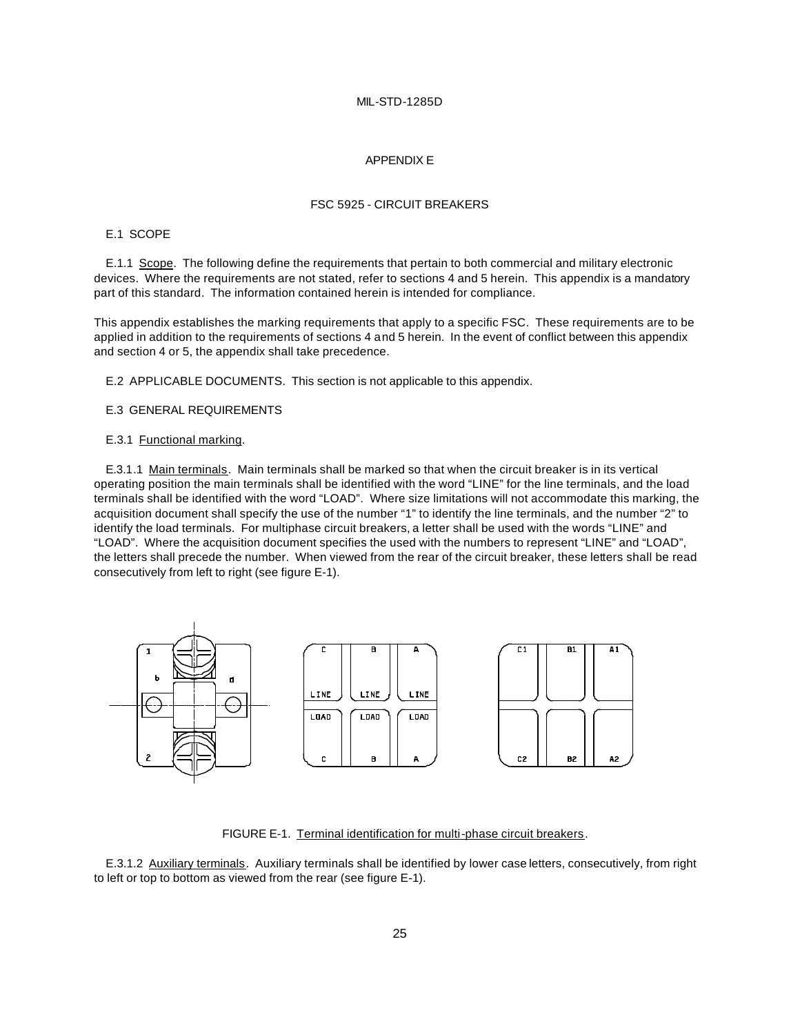#### APPENDIX E

#### FSC 5925 - CIRCUIT BREAKERS

#### E.1 SCOPE

E.1.1 Scope. The following define the requirements that pertain to both commercial and military electronic devices. Where the requirements are not stated, refer to sections 4 and 5 herein. This appendix is a mandatory part of this standard. The information contained herein is intended for compliance.

This appendix establishes the marking requirements that apply to a specific FSC. These requirements are to be applied in addition to the requirements of sections 4 and 5 herein. In the event of conflict between this appendix and section 4 or 5, the appendix shall take precedence.

E.2 APPLICABLE DOCUMENTS. This section is not applicable to this appendix.

E.3 GENERAL REQUIREMENTS

#### E.3.1 Functional marking.

E.3.1.1 Main terminals. Main terminals shall be marked so that when the circuit breaker is in its vertical operating position the main terminals shall be identified with the word "LINE" for the line terminals, and the load terminals shall be identified with the word "LOAD". Where size limitations will not accommodate this marking, the acquisition document shall specify the use of the number "1" to identify the line terminals, and the number "2" to identify the load terminals. For multiphase circuit breakers, a letter shall be used with the words "LINE" and "LOAD". Where the acquisition document specifies the used with the numbers to represent "LINE" and "LOAD", the letters shall precede the number. When viewed from the rear of the circuit breaker, these letters shall be read consecutively from left to right (see figure E-1).



FIGURE E-1. Terminal identification for multi-phase circuit breakers.

E.3.1.2 Auxiliary terminals. Auxiliary terminals shall be identified by lower case letters, consecutively, from right to left or top to bottom as viewed from the rear (see figure E-1).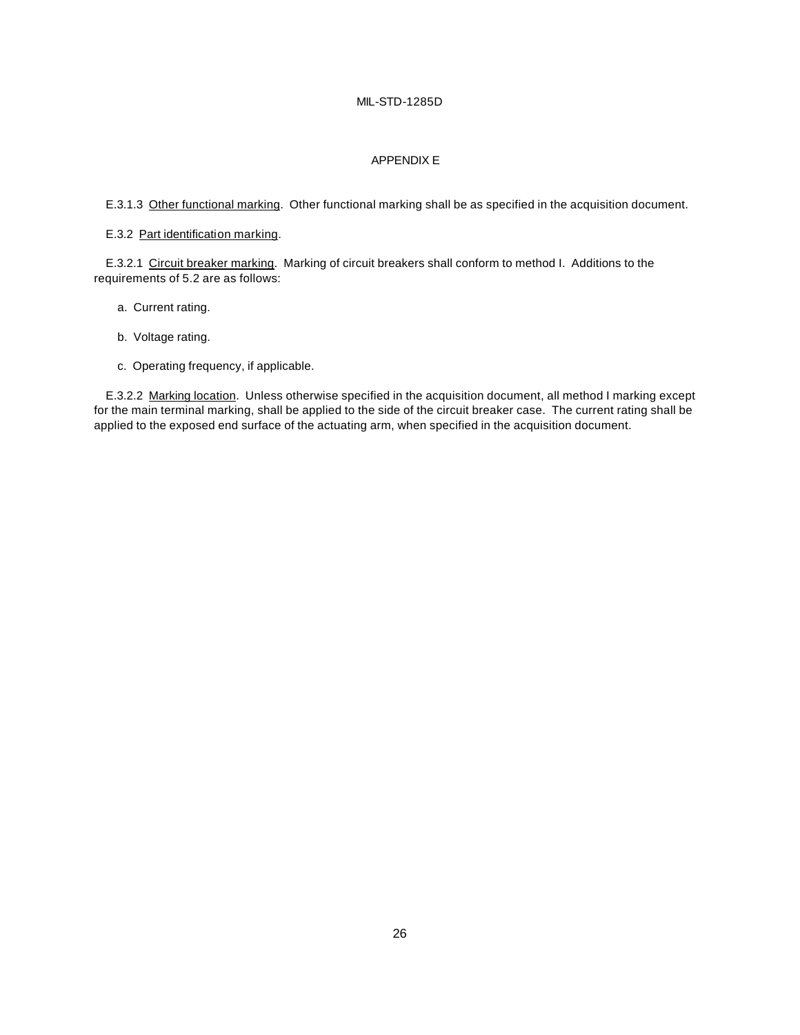# APPENDIX E

E.3.1.3 Other functional marking. Other functional marking shall be as specified in the acquisition document.

#### E.3.2 Part identification marking.

E.3.2.1 Circuit breaker marking. Marking of circuit breakers shall conform to method I. Additions to the requirements of 5.2 are as follows:

- a. Current rating.
- b. Voltage rating.
- c. Operating frequency, if applicable.

E.3.2.2 Marking location. Unless otherwise specified in the acquisition document, all method I marking except for the main terminal marking, shall be applied to the side of the circuit breaker case. The current rating shall be applied to the exposed end surface of the actuating arm, when specified in the acquisition document.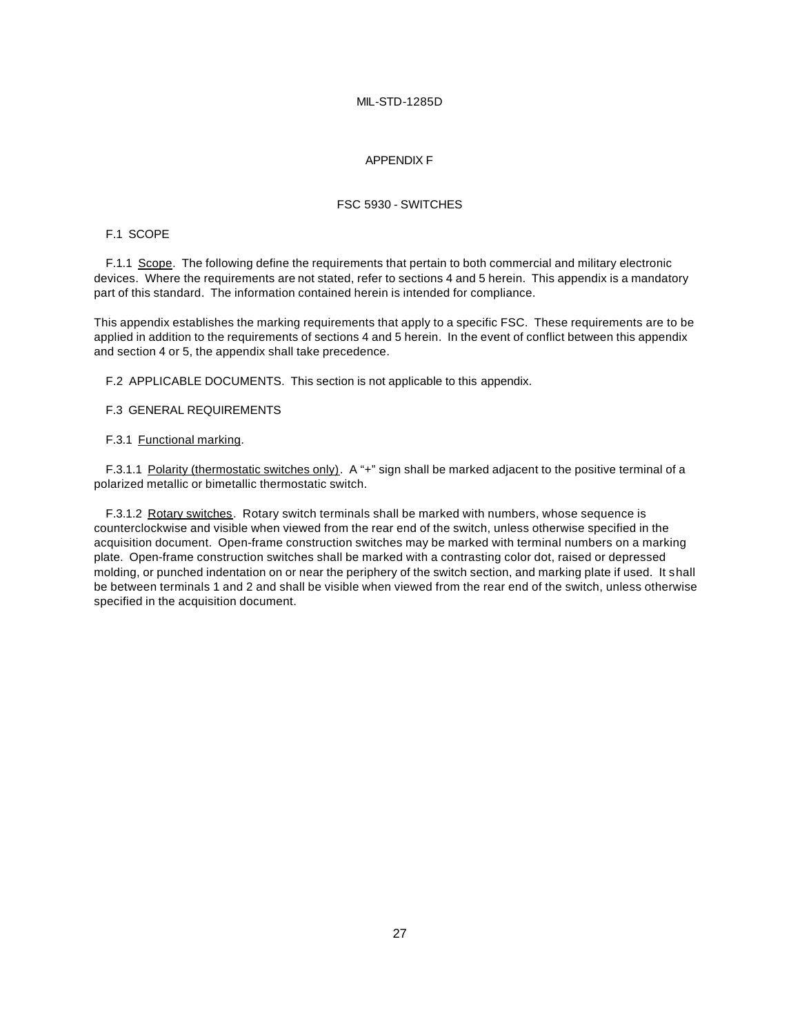#### APPENDIX F

#### FSC 5930 - SWITCHES

#### F.1 SCOPE

F.1.1 Scope. The following define the requirements that pertain to both commercial and military electronic devices. Where the requirements are not stated, refer to sections 4 and 5 herein. This appendix is a mandatory part of this standard. The information contained herein is intended for compliance.

This appendix establishes the marking requirements that apply to a specific FSC. These requirements are to be applied in addition to the requirements of sections 4 and 5 herein. In the event of conflict between this appendix and section 4 or 5, the appendix shall take precedence.

F.2 APPLICABLE DOCUMENTS. This section is not applicable to this appendix.

#### F.3 GENERAL REQUIREMENTS

#### F.3.1 Functional marking.

F.3.1.1 Polarity (thermostatic switches only). A "+" sign shall be marked adjacent to the positive terminal of a polarized metallic or bimetallic thermostatic switch.

F.3.1.2 Rotary switches. Rotary switch terminals shall be marked with numbers, whose sequence is counterclockwise and visible when viewed from the rear end of the switch, unless otherwise specified in the acquisition document. Open-frame construction switches may be marked with terminal numbers on a marking plate. Open-frame construction switches shall be marked with a contrasting color dot, raised or depressed molding, or punched indentation on or near the periphery of the switch section, and marking plate if used. It shall be between terminals 1 and 2 and shall be visible when viewed from the rear end of the switch, unless otherwise specified in the acquisition document.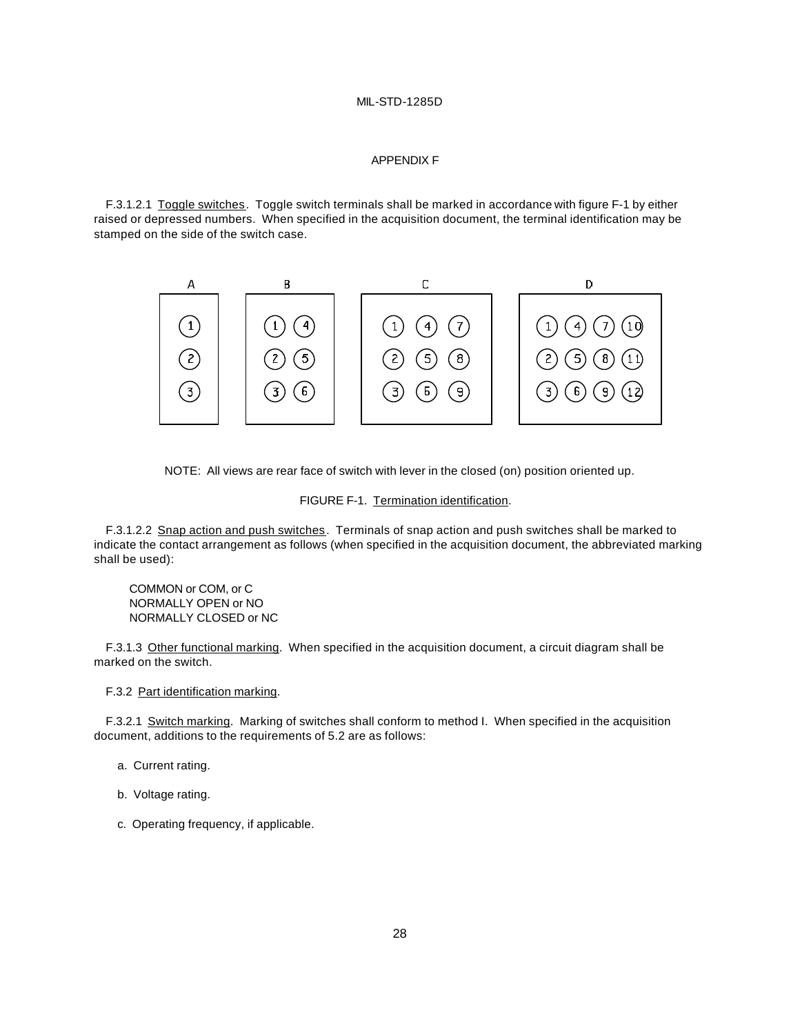#### APPENDIX F

F.3.1.2.1 Toggle switches. Toggle switch terminals shall be marked in accordance with figure F-1 by either raised or depressed numbers. When specified in the acquisition document, the terminal identification may be stamped on the side of the switch case.



NOTE: All views are rear face of switch with lever in the closed (on) position oriented up.

FIGURE F-1. Termination identification.

F.3.1.2.2 Snap action and push switches. Terminals of snap action and push switches shall be marked to indicate the contact arrangement as follows (when specified in the acquisition document, the abbreviated marking shall be used):

COMMON or COM, or C NORMALLY OPEN or NO NORMALLY CLOSED or NC

F.3.1.3 Other functional marking. When specified in the acquisition document, a circuit diagram shall be marked on the switch.

F.3.2 Part identification marking.

F.3.2.1 Switch marking. Marking of switches shall conform to method I. When specified in the acquisition document, additions to the requirements of 5.2 are as follows:

- a. Current rating.
- b. Voltage rating.
- c. Operating frequency, if applicable.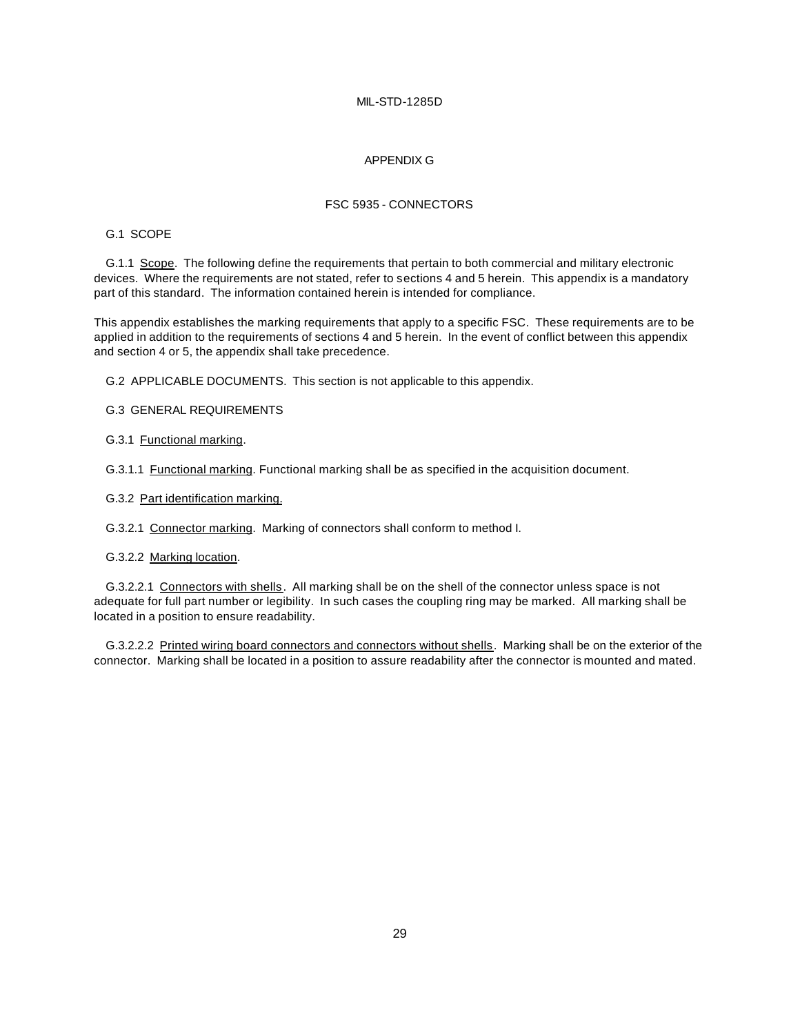#### APPENDIX G

#### FSC 5935 - CONNECTORS

#### G.1 SCOPE

G.1.1 Scope. The following define the requirements that pertain to both commercial and military electronic devices. Where the requirements are not stated, refer to sections 4 and 5 herein. This appendix is a mandatory part of this standard. The information contained herein is intended for compliance.

This appendix establishes the marking requirements that apply to a specific FSC. These requirements are to be applied in addition to the requirements of sections 4 and 5 herein. In the event of conflict between this appendix and section 4 or 5, the appendix shall take precedence.

G.2 APPLICABLE DOCUMENTS. This section is not applicable to this appendix.

G.3 GENERAL REQUIREMENTS

G.3.1 Functional marking.

G.3.1.1 Functional marking. Functional marking shall be as specified in the acquisition document.

G.3.2 Part identification marking.

G.3.2.1 Connector marking. Marking of connectors shall conform to method I.

G.3.2.2 Marking location.

G.3.2.2.1 Connectors with shells. All marking shall be on the shell of the connector unless space is not adequate for full part number or legibility. In such cases the coupling ring may be marked. All marking shall be located in a position to ensure readability.

G.3.2.2.2 Printed wiring board connectors and connectors without shells. Marking shall be on the exterior of the connector. Marking shall be located in a position to assure readability after the connector is mounted and mated.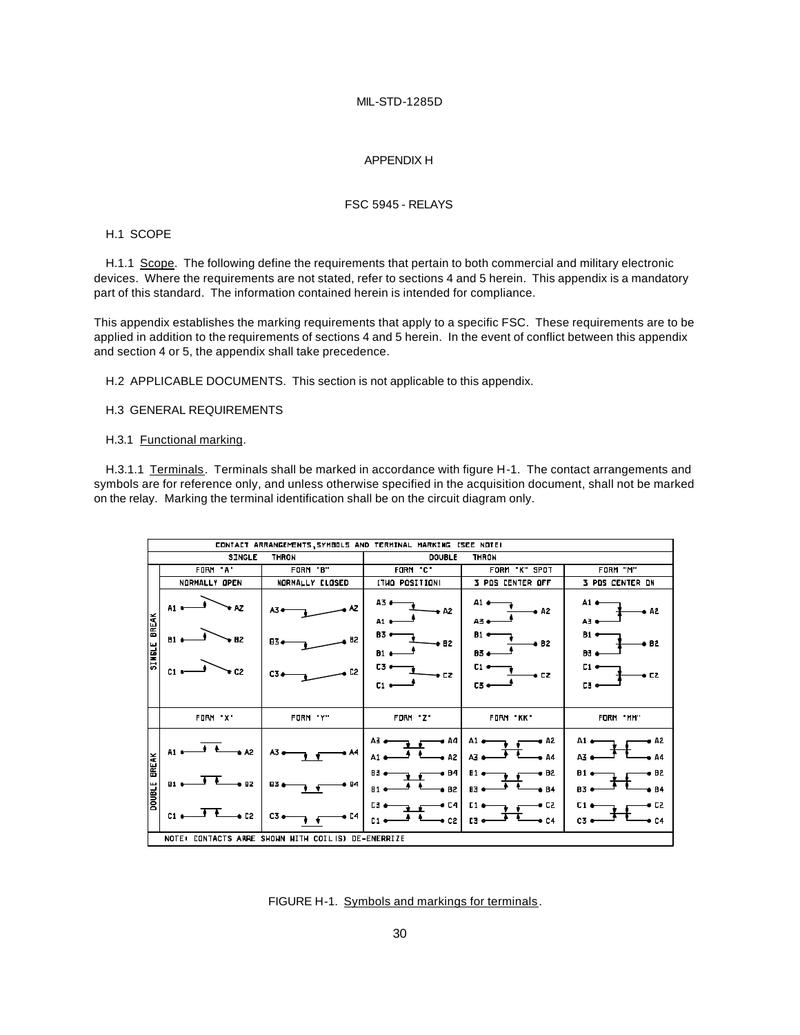#### APPENDIX H

#### FSC 5945 - RELAYS

#### H.1 SCOPE

H.1.1 Scope. The following define the requirements that pertain to both commercial and military electronic devices. Where the requirements are not stated, refer to sections 4 and 5 herein. This appendix is a mandatory part of this standard. The information contained herein is intended for compliance.

This appendix establishes the marking requirements that apply to a specific FSC. These requirements are to be applied in addition to the requirements of sections 4 and 5 herein. In the event of conflict between this appendix and section 4 or 5, the appendix shall take precedence.

H.2 APPLICABLE DOCUMENTS. This section is not applicable to this appendix.

#### H.3 GENERAL REQUIREMENTS

#### H.3.1 Functional marking.

H.3.1.1 Terminals. Terminals shall be marked in accordance with figure H-1. The contact arrangements and symbols are for reference only, and unless otherwise specified in the acquisition document, shall not be marked on the relay. Marking the terminal identification shall be on the circuit diagram only.

| CONTACT ARRANGEMENTS, SYMBOLS AND TERMINAL MARKING ISEE NOTEI |                              |                              |                                        |                                                |                                               |
|---------------------------------------------------------------|------------------------------|------------------------------|----------------------------------------|------------------------------------------------|-----------------------------------------------|
| <b>SINGLE</b><br>THRON<br><b>THRON</b><br><b>DOUBLE</b>       |                              |                              |                                        |                                                |                                               |
|                                                               | FORM "A"                     | FORM "B"                     | FORM "C"                               | FORM "K" SPOT                                  | FORM "M"                                      |
| <b>BREAK</b><br><b>SINEL</b>                                  | NORMALLY OPEN                | <b>NORMALLY CLOSED</b>       | <b>ITHO POSITION!</b>                  | 3 POS CENTER OFF                               | 3 PDS CENTER DN                               |
|                                                               | ΛZ<br>A1.<br>B1<br><b>B2</b> | A3.<br>h <sub>2</sub><br>цΖ, | A3 O<br>v A2<br>A1 0<br>B3 +<br>$+ 12$ | A1 4<br>e A2<br>A3 e<br>B1 e<br>8B2            | A1 e<br>e A2<br>A3 t<br>$B1 =$<br>e B2        |
|                                                               | + C2<br>C1                   | C3.                          | <b>B1</b><br><b>C30</b><br>e CZ<br>C1  | <b>B3 a</b><br>C1 •<br>, EZ<br>53 <sub>o</sub> | B3 (<br><b>C1 +</b><br>o CZ<br>$L1$ $\bullet$ |
|                                                               | FURM X                       | FORM 'Y"                     | FDRM 2"                                | FORM "KK"                                      | FORM "MM"                                     |
| <b>EREAK</b><br><b>DOUBLE</b>                                 | <b>A2</b>                    | A3                           | e A4<br>$\bullet$ A2<br>A1             | A1 a<br>a A2<br>$A2$ $\bullet$<br>0A           | A1 (<br>, A2<br>AZ .<br>. 44                  |
|                                                               | BZ.<br>E1                    | 54<br>63.                    | € B4<br>83<br>6B2<br><b>P1 0</b>       | H1 (<br>⊕ B2<br><b>B3 o</b><br>e B4            | <b>B1</b><br>s B2<br>B3 +<br><b>b</b> B4      |
|                                                               |                              | . L4<br>C3 <sub>0</sub>      | • C4<br>• c2                           | o cz<br>G1 4<br>13 <sub>o</sub><br>0C4         | 8 CZ<br>o C4<br>C3 K                          |
| NOTE: CONTACTS ARRE SHOWN WITH COILIS) DE-ENERRIZE            |                              |                              |                                        |                                                |                                               |

FIGURE H-1. Symbols and markings for terminals.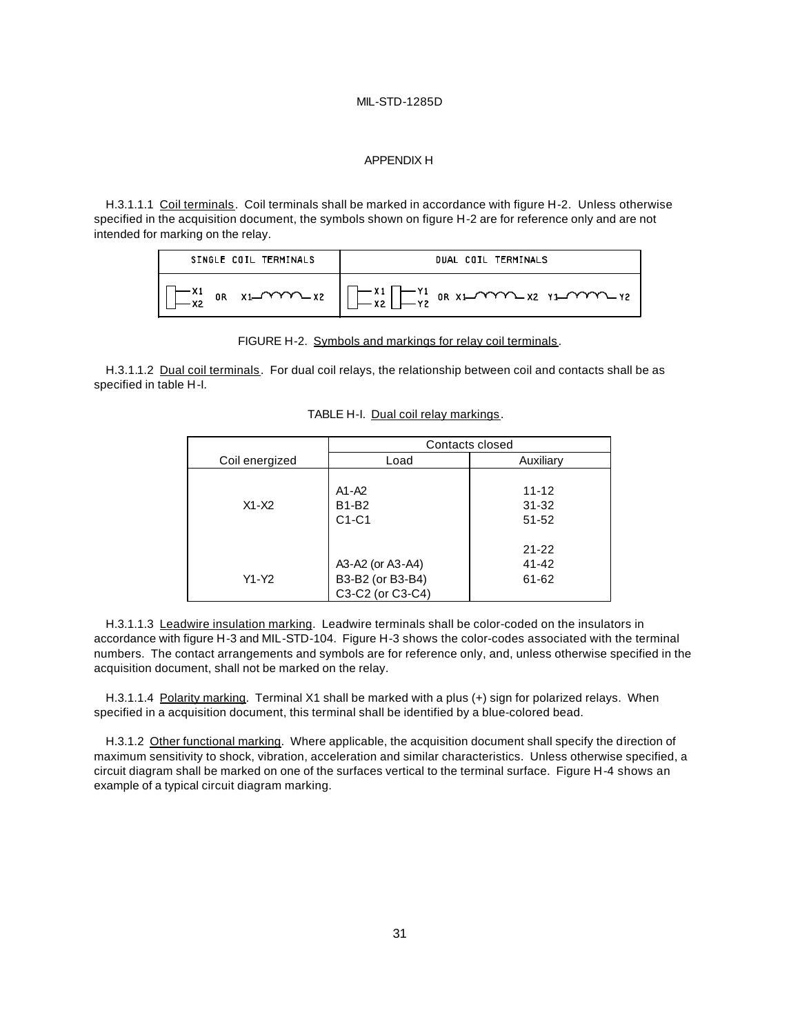#### APPENDIX H

H.3.1.1.1 Coil terminals. Coil terminals shall be marked in accordance with figure H-2. Unless otherwise specified in the acquisition document, the symbols shown on figure H-2 are for reference only and are not intended for marking on the relay.

| SINGLE COIL TERMINALS | DUAL COIL TERMINALS                                                                                                                           |
|-----------------------|-----------------------------------------------------------------------------------------------------------------------------------------------|
|                       | $\sqrt{2x^2}$ or $x_1$ $\cdots$ $x_n$ $\sqrt{x_1 - x_2}$ $\cdots$ $x_n$ $\sqrt{x_2 - x_1}$ or $x_1$ $\cdots$ $x_n$ $x_1$ $\cdots$ $x_n$ $x_2$ |

FIGURE H-2. Symbols and markings for relay coil terminals.

H.3.1.1.2 Dual coil terminals. For dual coil relays, the relationship between coil and contacts shall be as specified in table H-I.

|                | Contacts closed                                          |                                 |  |
|----------------|----------------------------------------------------------|---------------------------------|--|
| Coil energized | Load                                                     | Auxiliary                       |  |
| $X1 - X2$      | A1-A2<br>B1-B2<br>$C1-C1$                                | $11 - 12$<br>$31 - 32$<br>51-52 |  |
| Y1-Y2          | A3-A2 (or A3-A4)<br>B3-B2 (or B3-B4)<br>C3-C2 (or C3-C4) | $21 - 22$<br>41-42<br>61-62     |  |

TABLE H-I. Dual coil relay markings.

H.3.1.1.3 Leadwire insulation marking. Leadwire terminals shall be color-coded on the insulators in accordance with figure H-3 and MIL-STD-104. Figure H-3 shows the color-codes associated with the terminal numbers. The contact arrangements and symbols are for reference only, and, unless otherwise specified in the acquisition document, shall not be marked on the relay.

H.3.1.1.4 Polarity marking. Terminal X1 shall be marked with a plus (+) sign for polarized relays. When specified in a acquisition document, this terminal shall be identified by a blue-colored bead.

H.3.1.2 Other functional marking. Where applicable, the acquisition document shall specify the direction of maximum sensitivity to shock, vibration, acceleration and similar characteristics. Unless otherwise specified, a circuit diagram shall be marked on one of the surfaces vertical to the terminal surface. Figure H-4 shows an example of a typical circuit diagram marking.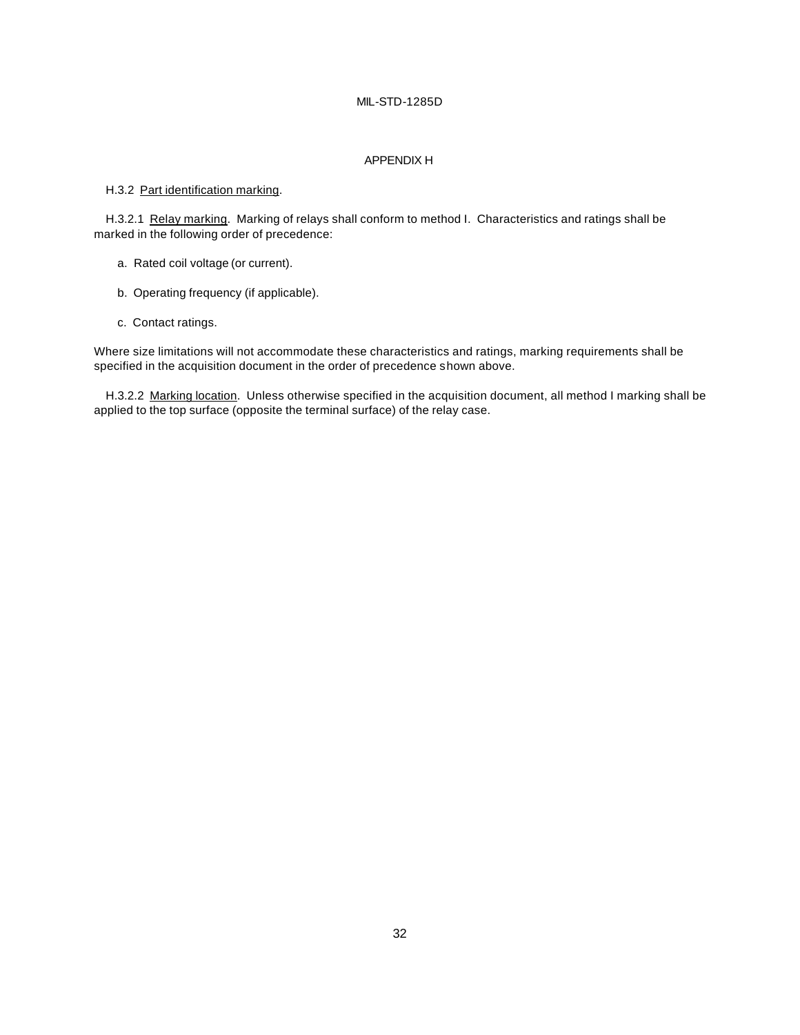#### APPENDIX H

#### H.3.2 Part identification marking.

H.3.2.1 Relay marking. Marking of relays shall conform to method I. Characteristics and ratings shall be marked in the following order of precedence:

- a. Rated coil voltage (or current).
- b. Operating frequency (if applicable).
- c. Contact ratings.

Where size limitations will not accommodate these characteristics and ratings, marking requirements shall be specified in the acquisition document in the order of precedence shown above.

H.3.2.2 Marking location. Unless otherwise specified in the acquisition document, all method I marking shall be applied to the top surface (opposite the terminal surface) of the relay case.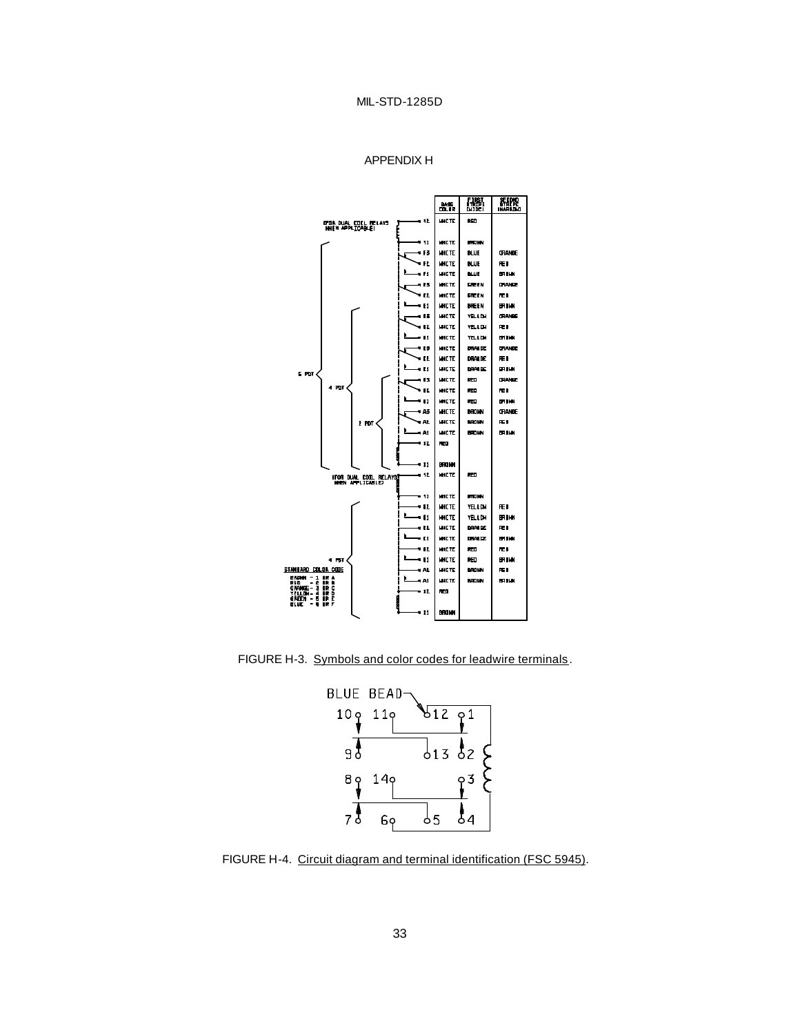```
APPENDIX H
```


FIGURE H-3. Symbols and color codes for leadwire terminals.



FIGURE H-4. Circuit diagram and terminal identification (FSC 5945).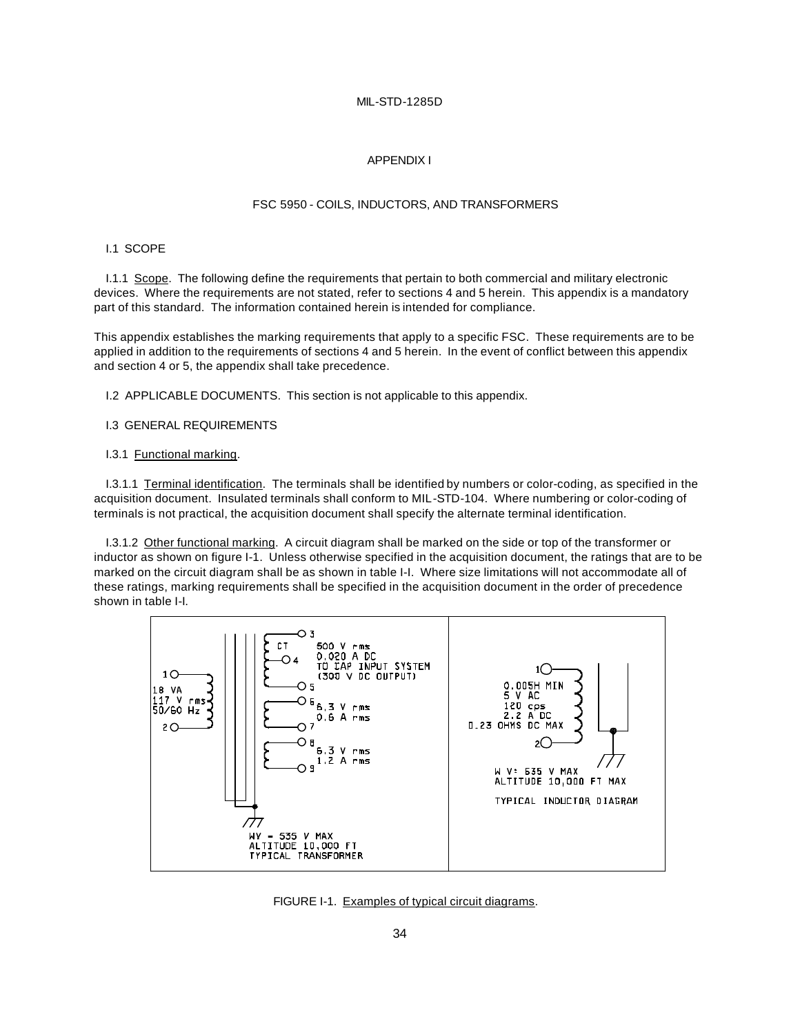#### APPENDIX I

#### FSC 5950 - COILS, INDUCTORS, AND TRANSFORMERS

#### I.1 SCOPE

I.1.1 Scope. The following define the requirements that pertain to both commercial and military electronic devices. Where the requirements are not stated, refer to sections 4 and 5 herein. This appendix is a mandatory part of this standard. The information contained herein is intended for compliance.

This appendix establishes the marking requirements that apply to a specific FSC. These requirements are to be applied in addition to the requirements of sections 4 and 5 herein. In the event of conflict between this appendix and section 4 or 5, the appendix shall take precedence.

I.2 APPLICABLE DOCUMENTS. This section is not applicable to this appendix.

# I.3 GENERAL REQUIREMENTS

#### I.3.1 Functional marking.

I.3.1.1 Terminal identification. The terminals shall be identified by numbers or color-coding, as specified in the acquisition document. Insulated terminals shall conform to MIL-STD-104. Where numbering or color-coding of terminals is not practical, the acquisition document shall specify the alternate terminal identification.

I.3.1.2 Other functional marking. A circuit diagram shall be marked on the side or top of the transformer or inductor as shown on figure I-1. Unless otherwise specified in the acquisition document, the ratings that are to be marked on the circuit diagram shall be as shown in table I-I. Where size limitations will not accommodate all of these ratings, marking requirements shall be specified in the acquisition document in the order of precedence shown in table I-I.



FIGURE I-1. Examples of typical circuit diagrams.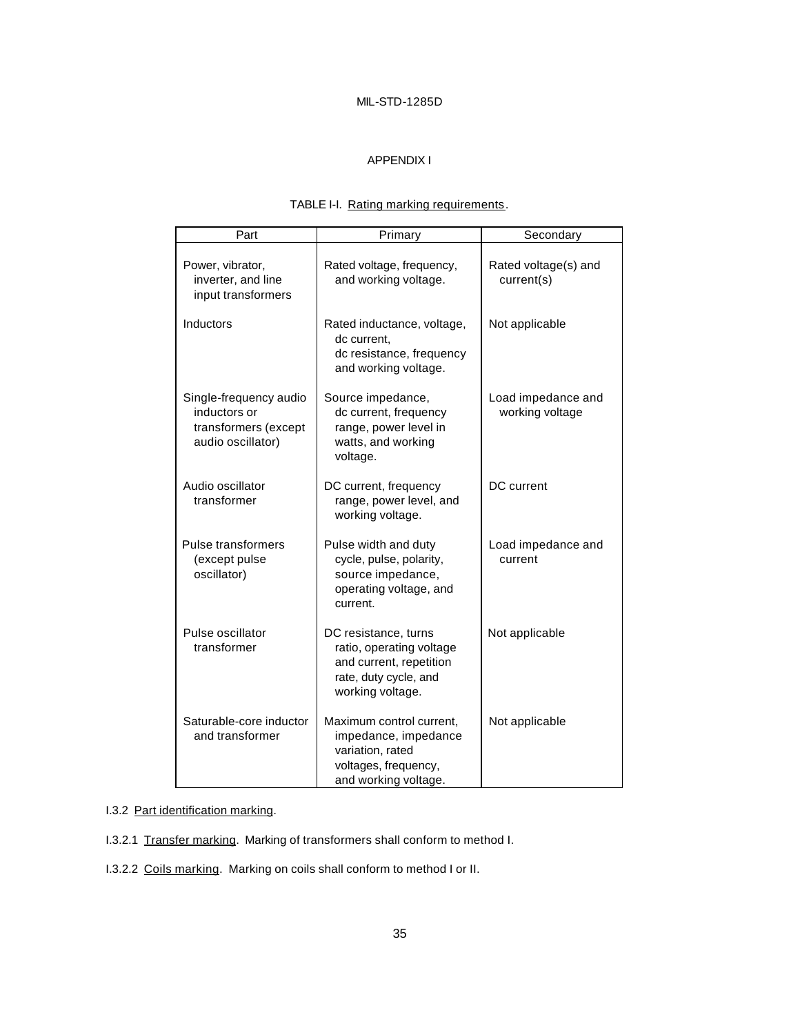# APPENDIX I

# TABLE I-I. Rating marking requirements.

| Part                                                                                | Primary                                                                                                                  | Secondary                             |
|-------------------------------------------------------------------------------------|--------------------------------------------------------------------------------------------------------------------------|---------------------------------------|
| Power, vibrator,<br>inverter, and line<br>input transformers                        | Rated voltage, frequency,<br>and working voltage.                                                                        | Rated voltage(s) and<br>current(s)    |
| Inductors                                                                           | Rated inductance, voltage,<br>dc current,<br>dc resistance, frequency<br>and working voltage.                            | Not applicable                        |
| Single-frequency audio<br>inductors or<br>transformers (except<br>audio oscillator) | Source impedance,<br>dc current, frequency<br>range, power level in<br>watts, and working<br>voltage.                    | Load impedance and<br>working voltage |
| Audio oscillator<br>transformer                                                     | DC current, frequency<br>range, power level, and<br>working voltage.                                                     | DC current                            |
| Pulse transformers<br>(except pulse<br>oscillator)                                  | Pulse width and duty<br>cycle, pulse, polarity,<br>source impedance,<br>operating voltage, and<br>current.               | Load impedance and<br>current         |
| Pulse oscillator<br>transformer                                                     | DC resistance, turns<br>ratio, operating voltage<br>and current, repetition<br>rate, duty cycle, and<br>working voltage. | Not applicable                        |
| Saturable-core inductor<br>and transformer                                          | Maximum control current,<br>impedance, impedance<br>variation, rated<br>voltages, frequency,<br>and working voltage.     | Not applicable                        |

# I.3.2 Part identification marking.

- I.3.2.1 Transfer marking. Marking of transformers shall conform to method I.
- I.3.2.2 Coils marking. Marking on coils shall conform to method I or II.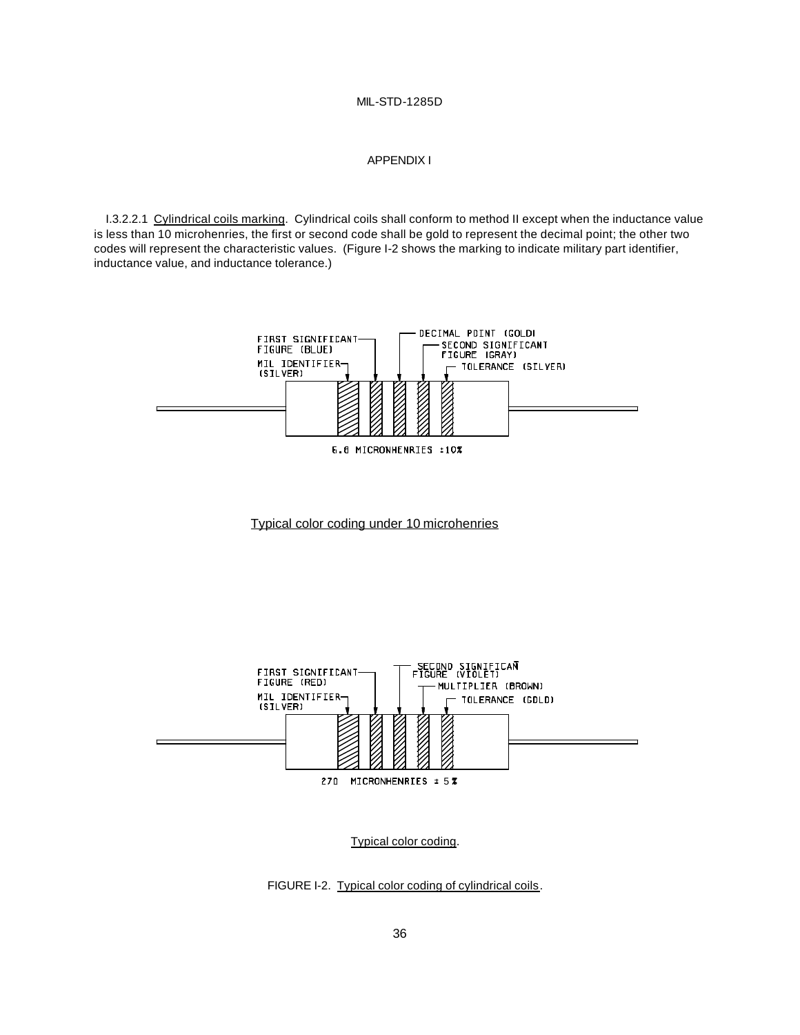# APPENDIX I

I.3.2.2.1 Cylindrical coils marking. Cylindrical coils shall conform to method II except when the inductance value is less than 10 microhenries, the first or second code shall be gold to represent the decimal point; the other two codes will represent the characteristic values. (Figure I-2 shows the marking to indicate military part identifier, inductance value, and inductance tolerance.)



Typical color coding under 10 microhenries

![](_page_41_Figure_5.jpeg)

Typical color coding.

FIGURE I-2. Typical color coding of cylindrical coils.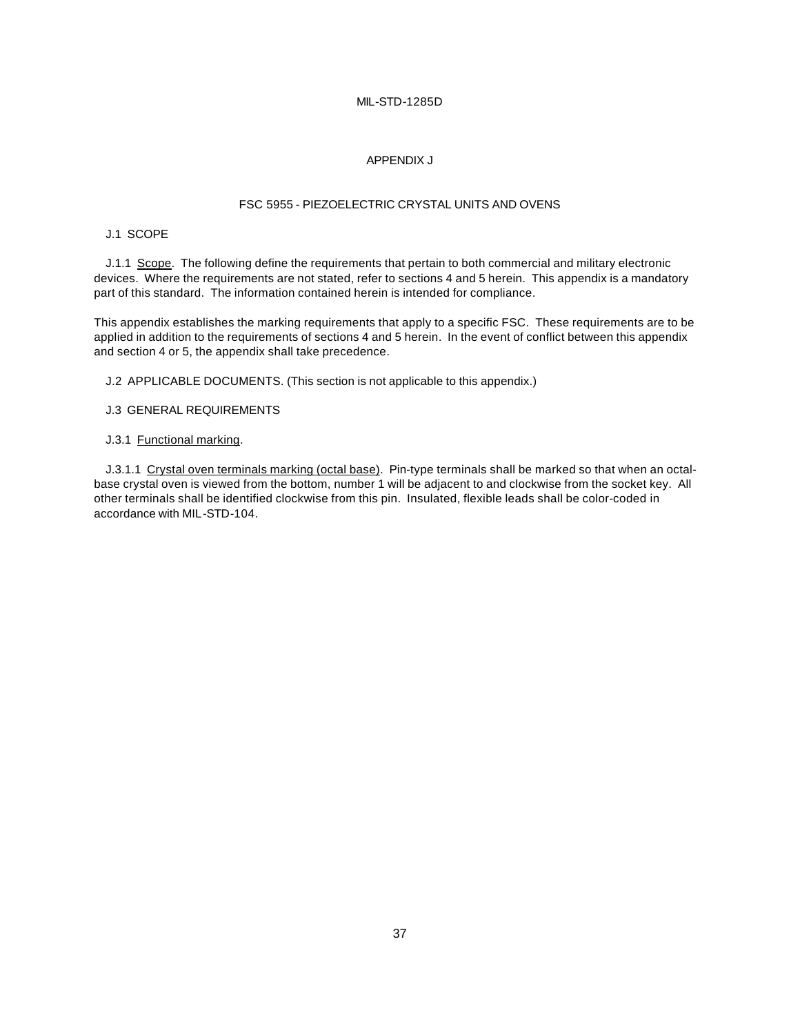#### APPENDIX J

### FSC 5955 - PIEZOELECTRIC CRYSTAL UNITS AND OVENS

# J.1 SCOPE

J.1.1 Scope. The following define the requirements that pertain to both commercial and military electronic devices. Where the requirements are not stated, refer to sections 4 and 5 herein. This appendix is a mandatory part of this standard. The information contained herein is intended for compliance.

This appendix establishes the marking requirements that apply to a specific FSC. These requirements are to be applied in addition to the requirements of sections 4 and 5 herein. In the event of conflict between this appendix and section 4 or 5, the appendix shall take precedence.

J.2 APPLICABLE DOCUMENTS. (This section is not applicable to this appendix.)

#### J.3 GENERAL REQUIREMENTS

# J.3.1 Functional marking.

J.3.1.1 Crystal oven terminals marking (octal base). Pin-type terminals shall be marked so that when an octalbase crystal oven is viewed from the bottom, number 1 will be adjacent to and clockwise from the socket key. All other terminals shall be identified clockwise from this pin. Insulated, flexible leads shall be color-coded in accordance with MIL-STD-104.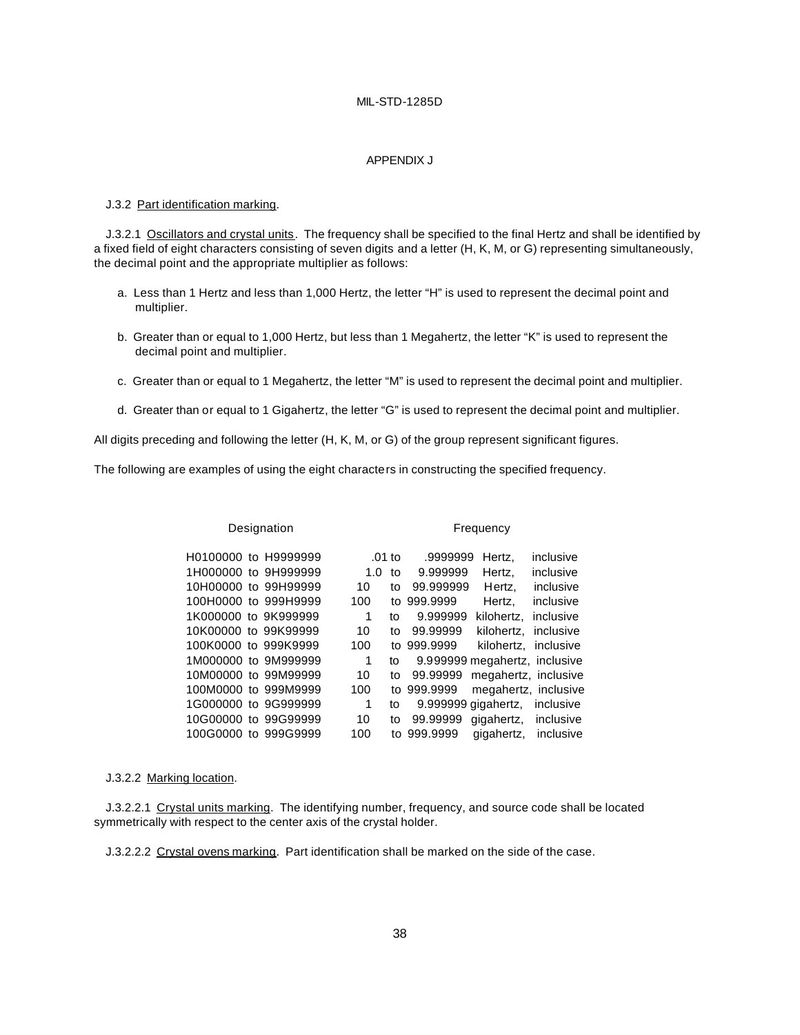#### APPENDIX J

#### J.3.2 Part identification marking.

J.3.2.1 Oscillators and crystal units. The frequency shall be specified to the final Hertz and shall be identified by a fixed field of eight characters consisting of seven digits and a letter (H, K, M, or G) representing simultaneously, the decimal point and the appropriate multiplier as follows:

- a. Less than 1 Hertz and less than 1,000 Hertz, the letter "H" is used to represent the decimal point and multiplier.
- b. Greater than or equal to 1,000 Hertz, but less than 1 Megahertz, the letter "K" is used to represent the decimal point and multiplier.
- c. Greater than or equal to 1 Megahertz, the letter "M" is used to represent the decimal point and multiplier.
- d. Greater than or equal to 1 Gigahertz, the letter "G" is used to represent the decimal point and multiplier.

All digits preceding and following the letter (H, K, M, or G) of the group represent significant figures.

The following are examples of using the eight characters in constructing the specified frequency.

| Designation          |     | Frequency |           |                               |           |
|----------------------|-----|-----------|-----------|-------------------------------|-----------|
| H0100000 to H9999999 |     | $.01$ to  | .9999999  | Hertz.                        | inclusive |
| 1H000000 to 9H999999 |     | 1.0<br>to | 9.999999  | Hertz,                        | inclusive |
| 10H00000 to 99H99999 | 10  | to        | 99.999999 | Hertz.                        | inclusive |
| 100H0000 to 999H9999 | 100 | t٥        | 999.9999  | Hertz,                        | inclusive |
| 1K000000 to 9K999999 | 1   | to        | 9.999999  | kilohertz.                    | inclusive |
| 10K00000 to 99K99999 | 10  | to        | 99.99999  | kilohertz.                    | inclusive |
| 100K0000 to 999K9999 | 100 | tο        | 999.9999  | kilohertz, inclusive          |           |
| 1M000000 to 9M999999 | 1   | to        |           | 9.999999 megahertz, inclusive |           |
| 10M00000 to 99M99999 | 10  | to        | 99.99999  | megahertz, inclusive          |           |
| 100M0000 to 999M9999 | 100 | to        | 999.9999  | megahertz, inclusive          |           |
| 1G000000 to 9G999999 | 1   | to        |           | 9.999999 gigahertz,           | inclusive |
| 10G00000 to 99G99999 | 10  | to        | 99.99999  | gigahertz,                    | inclusive |
| 100G0000 to 999G9999 | 100 | to        | 999.9999  | gigahertz,                    | inclusive |

#### J.3.2.2 Marking location.

J.3.2.2.1 Crystal units marking. The identifying number, frequency, and source code shall be located symmetrically with respect to the center axis of the crystal holder.

J.3.2.2.2 Crystal ovens marking. Part identification shall be marked on the side of the case.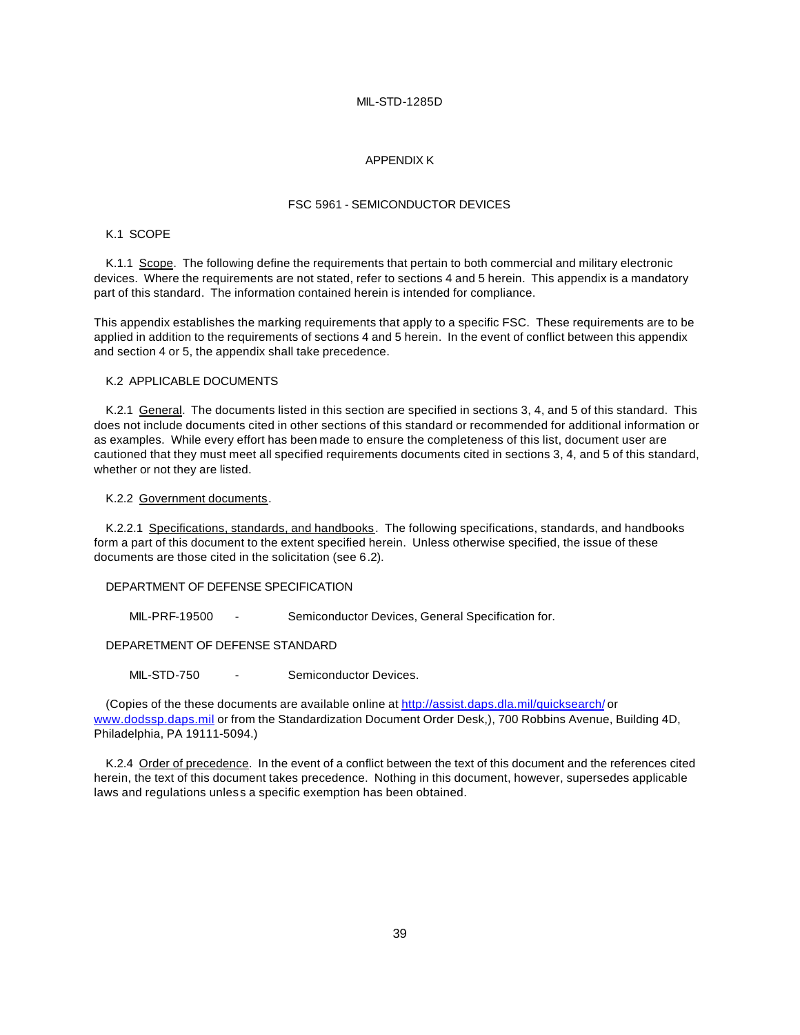#### APPENDIX K

#### FSC 5961 - SEMICONDUCTOR DEVICES

#### K.1 SCOPE

K.1.1 Scope. The following define the requirements that pertain to both commercial and military electronic devices. Where the requirements are not stated, refer to sections 4 and 5 herein. This appendix is a mandatory part of this standard. The information contained herein is intended for compliance.

This appendix establishes the marking requirements that apply to a specific FSC. These requirements are to be applied in addition to the requirements of sections 4 and 5 herein. In the event of conflict between this appendix and section 4 or 5, the appendix shall take precedence.

#### K.2 APPLICABLE DOCUMENTS

K.2.1 General. The documents listed in this section are specified in sections 3, 4, and 5 of this standard. This does not include documents cited in other sections of this standard or recommended for additional information or as examples. While every effort has been made to ensure the completeness of this list, document user are cautioned that they must meet all specified requirements documents cited in sections 3, 4, and 5 of this standard, whether or not they are listed.

#### K.2.2 Government documents.

K.2.2.1 Specifications, standards, and handbooks. The following specifications, standards, and handbooks form a part of this document to the extent specified herein. Unless otherwise specified, the issue of these documents are those cited in the solicitation (see 6.2).

#### DEPARTMENT OF DEFENSE SPECIFICATION

MIL-PRF-19500 - Semiconductor Devices, General Specification for.

DEPARETMENT OF DEFENSE STANDARD

MIL-STD-750 - Semiconductor Devices.

(Copies of the these documents are available online at http://assist.daps.dla.mil/quicksearch/ or www.dodssp.daps.mil or from the Standardization Document Order Desk,), 700 Robbins Avenue, Building 4D, Philadelphia, PA 19111-5094.)

K.2.4 Order of precedence. In the event of a conflict between the text of this document and the references cited herein, the text of this document takes precedence. Nothing in this document, however, supersedes applicable laws and regulations unless a specific exemption has been obtained.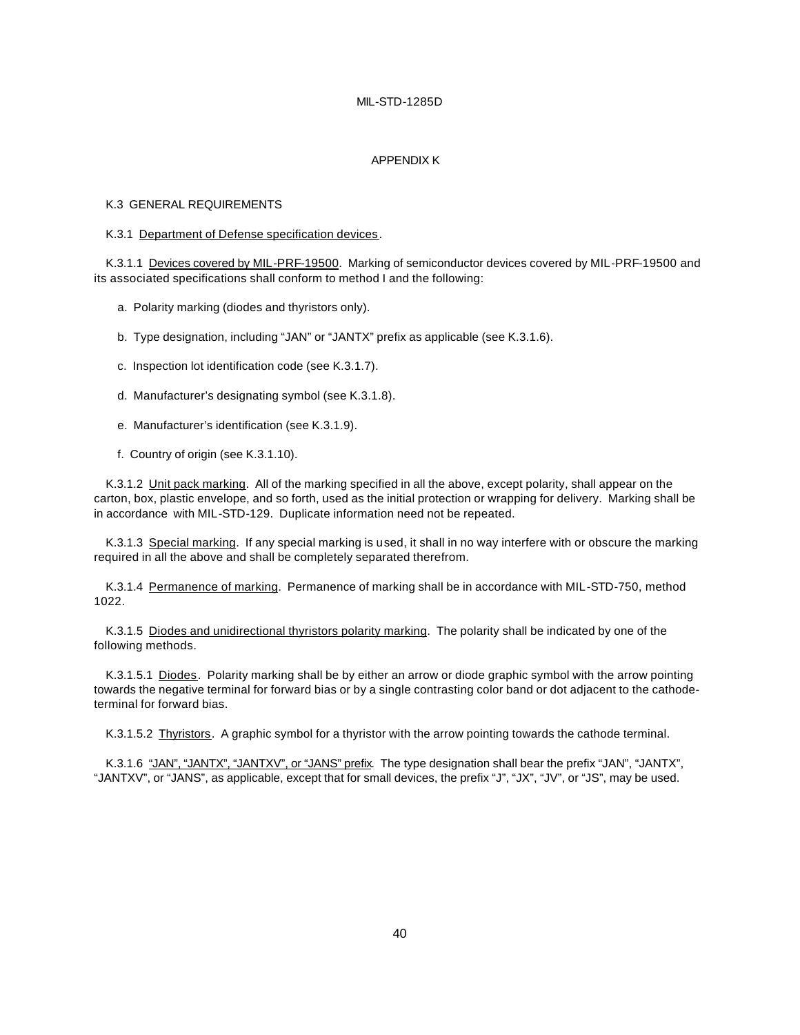#### APPENDIX K

#### K.3 GENERAL REQUIREMENTS

#### K.3.1 Department of Defense specification devices.

K.3.1.1 Devices covered by MIL-PRF-19500. Marking of semiconductor devices covered by MIL-PRF-19500 and its associated specifications shall conform to method I and the following:

a. Polarity marking (diodes and thyristors only).

b. Type designation, including "JAN" or "JANTX" prefix as applicable (see K.3.1.6).

- c. Inspection lot identification code (see K.3.1.7).
- d. Manufacturer's designating symbol (see K.3.1.8).
- e. Manufacturer's identification (see K.3.1.9).
- f. Country of origin (see K.3.1.10).

K.3.1.2 Unit pack marking. All of the marking specified in all the above, except polarity, shall appear on the carton, box, plastic envelope, and so forth, used as the initial protection or wrapping for delivery. Marking shall be in accordance with MIL-STD-129. Duplicate information need not be repeated.

K.3.1.3 Special marking. If any special marking is used, it shall in no way interfere with or obscure the marking required in all the above and shall be completely separated therefrom.

K.3.1.4 Permanence of marking. Permanence of marking shall be in accordance with MIL-STD-750, method 1022.

K.3.1.5 Diodes and unidirectional thyristors polarity marking. The polarity shall be indicated by one of the following methods.

K.3.1.5.1 Diodes. Polarity marking shall be by either an arrow or diode graphic symbol with the arrow pointing towards the negative terminal for forward bias or by a single contrasting color band or dot adjacent to the cathodeterminal for forward bias.

K.3.1.5.2 Thyristors. A graphic symbol for a thyristor with the arrow pointing towards the cathode terminal.

K.3.1.6 "JAN", "JANTX", "JANTXV", or "JANS" prefix. The type designation shall bear the prefix "JAN", "JANTX", "JANTXV", or "JANS", as applicable, except that for small devices, the prefix "J", "JX", "JV", or "JS", may be used.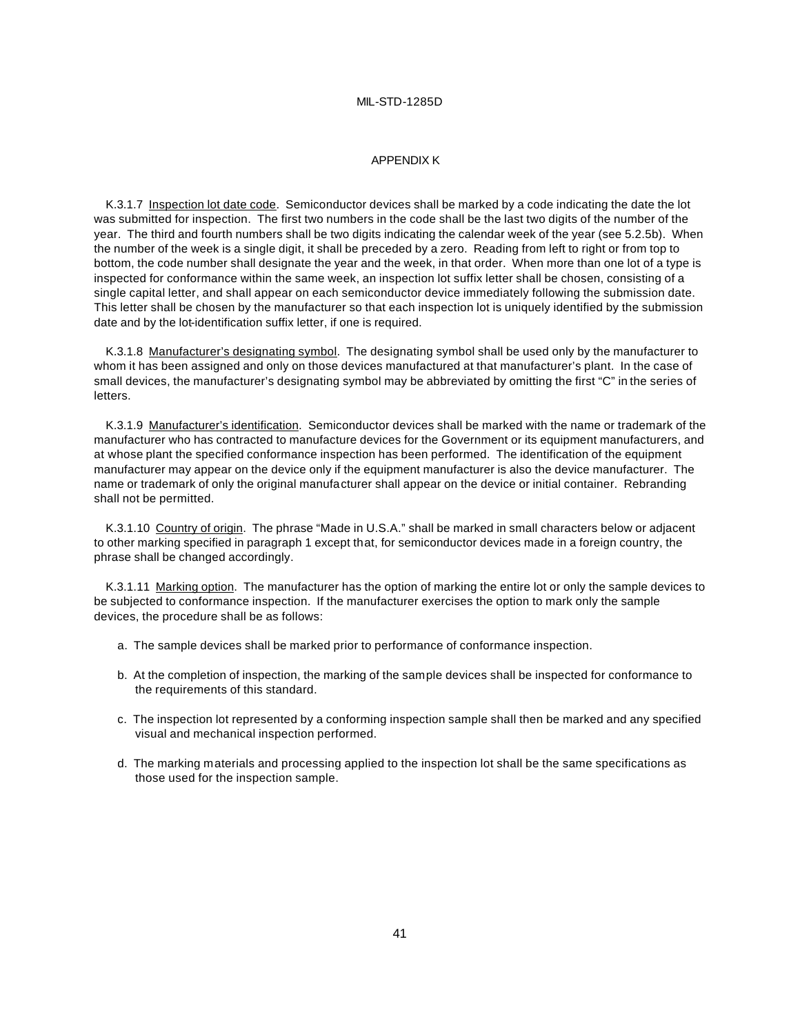#### APPENDIX K

K.3.1.7 Inspection lot date code. Semiconductor devices shall be marked by a code indicating the date the lot was submitted for inspection. The first two numbers in the code shall be the last two digits of the number of the year. The third and fourth numbers shall be two digits indicating the calendar week of the year (see 5.2.5b). When the number of the week is a single digit, it shall be preceded by a zero. Reading from left to right or from top to bottom, the code number shall designate the year and the week, in that order. When more than one lot of a type is inspected for conformance within the same week, an inspection lot suffix letter shall be chosen, consisting of a single capital letter, and shall appear on each semiconductor device immediately following the submission date. This letter shall be chosen by the manufacturer so that each inspection lot is uniquely identified by the submission date and by the lot-identification suffix letter, if one is required.

K.3.1.8 Manufacturer's designating symbol. The designating symbol shall be used only by the manufacturer to whom it has been assigned and only on those devices manufactured at that manufacturer's plant. In the case of small devices, the manufacturer's designating symbol may be abbreviated by omitting the first "C" in the series of letters.

K.3.1.9 Manufacturer's identification. Semiconductor devices shall be marked with the name or trademark of the manufacturer who has contracted to manufacture devices for the Government or its equipment manufacturers, and at whose plant the specified conformance inspection has been performed. The identification of the equipment manufacturer may appear on the device only if the equipment manufacturer is also the device manufacturer. The name or trademark of only the original manufacturer shall appear on the device or initial container. Rebranding shall not be permitted.

K.3.1.10 Country of origin. The phrase "Made in U.S.A." shall be marked in small characters below or adjacent to other marking specified in paragraph 1 except that, for semiconductor devices made in a foreign country, the phrase shall be changed accordingly.

K.3.1.11 Marking option. The manufacturer has the option of marking the entire lot or only the sample devices to be subjected to conformance inspection. If the manufacturer exercises the option to mark only the sample devices, the procedure shall be as follows:

- a. The sample devices shall be marked prior to performance of conformance inspection.
- b. At the completion of inspection, the marking of the sample devices shall be inspected for conformance to the requirements of this standard.
- c. The inspection lot represented by a conforming inspection sample shall then be marked and any specified visual and mechanical inspection performed.
- d. The marking materials and processing applied to the inspection lot shall be the same specifications as those used for the inspection sample.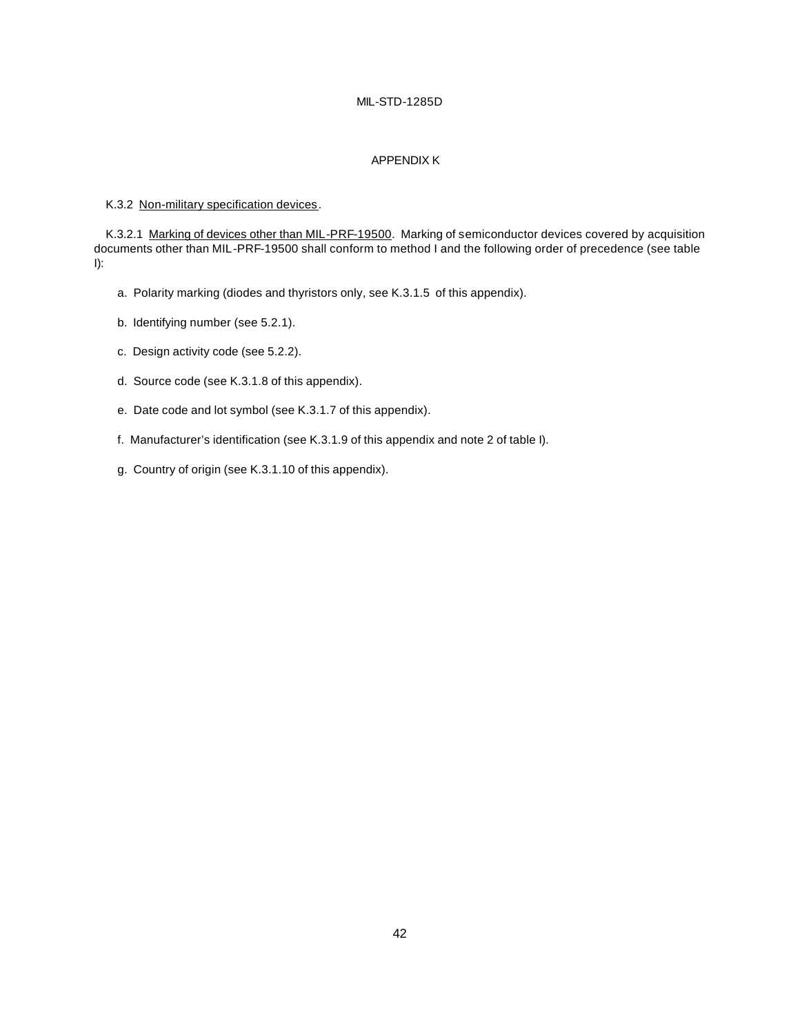# APPENDIX K

#### K.3.2 Non-military specification devices.

K.3.2.1 Marking of devices other than MIL-PRF-19500. Marking of semiconductor devices covered by acquisition documents other than MIL-PRF-19500 shall conform to method I and the following order of precedence (see table I):

- a. Polarity marking (diodes and thyristors only, see K.3.1.5 of this appendix).
- b. Identifying number (see 5.2.1).
- c. Design activity code (see 5.2.2).
- d. Source code (see K.3.1.8 of this appendix).
- e. Date code and lot symbol (see K.3.1.7 of this appendix).
- f. Manufacturer's identification (see K.3.1.9 of this appendix and note 2 of table I).
- g. Country of origin (see K.3.1.10 of this appendix).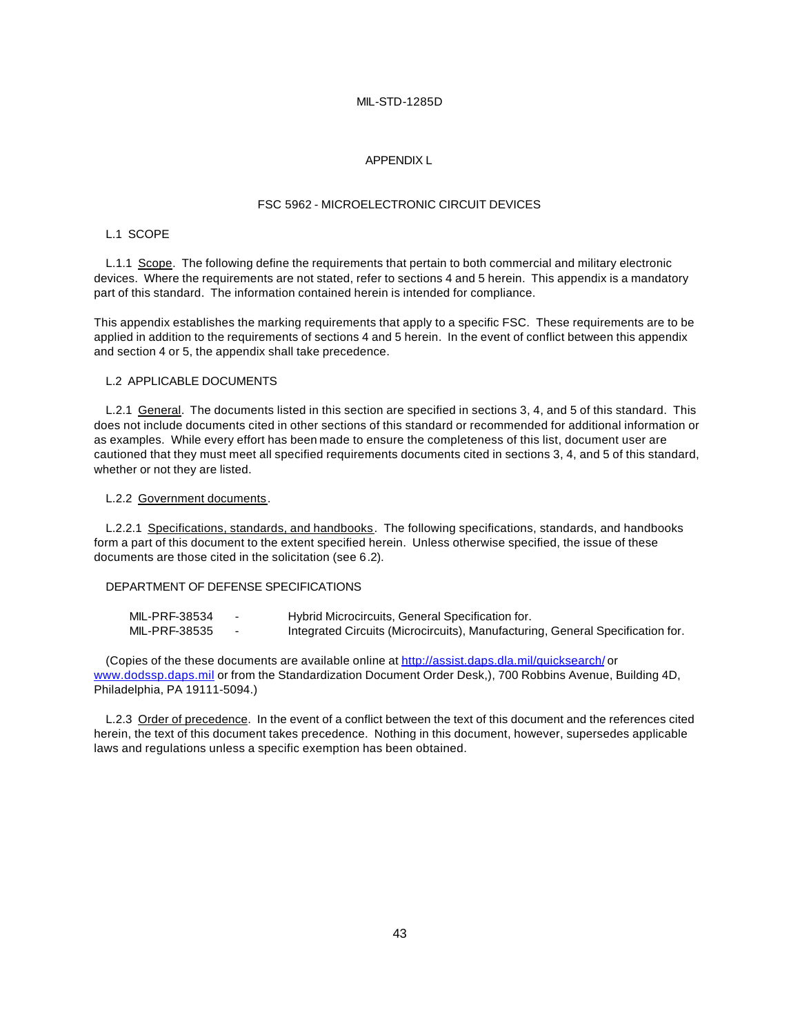#### APPENDIX L

### FSC 5962 - MICROELECTRONIC CIRCUIT DEVICES

#### L.1 SCOPE

L.1.1 Scope. The following define the requirements that pertain to both commercial and military electronic devices. Where the requirements are not stated, refer to sections 4 and 5 herein. This appendix is a mandatory part of this standard. The information contained herein is intended for compliance.

This appendix establishes the marking requirements that apply to a specific FSC. These requirements are to be applied in addition to the requirements of sections 4 and 5 herein. In the event of conflict between this appendix and section 4 or 5, the appendix shall take precedence.

#### L.2 APPLICABLE DOCUMENTS

L.2.1 General. The documents listed in this section are specified in sections 3, 4, and 5 of this standard. This does not include documents cited in other sections of this standard or recommended for additional information or as examples. While every effort has been made to ensure the completeness of this list, document user are cautioned that they must meet all specified requirements documents cited in sections 3, 4, and 5 of this standard, whether or not they are listed.

#### L.2.2 Government documents.

L.2.2.1 Specifications, standards, and handbooks. The following specifications, standards, and handbooks form a part of this document to the extent specified herein. Unless otherwise specified, the issue of these documents are those cited in the solicitation (see 6.2).

#### DEPARTMENT OF DEFENSE SPECIFICATIONS

| MIL-PRF-38534 | Hybrid Microcircuits, General Specification for.                               |
|---------------|--------------------------------------------------------------------------------|
| MIL-PRF-38535 | Integrated Circuits (Microcircuits), Manufacturing, General Specification for. |

(Copies of the these documents are available online at http://assist.daps.dla.mil/quicksearch/ or www.dodssp.daps.mil or from the Standardization Document Order Desk,), 700 Robbins Avenue, Building 4D, Philadelphia, PA 19111-5094.)

L.2.3 Order of precedence. In the event of a conflict between the text of this document and the references cited herein, the text of this document takes precedence. Nothing in this document, however, supersedes applicable laws and regulations unless a specific exemption has been obtained.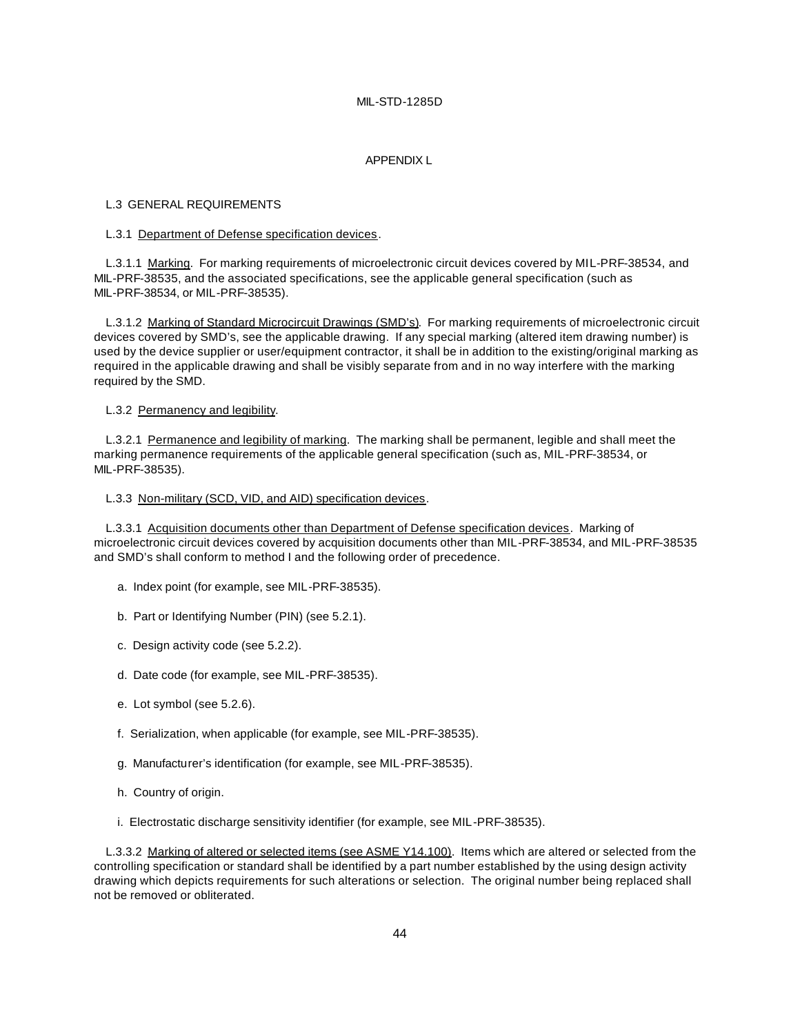#### APPENDIX L

#### L.3 GENERAL REQUIREMENTS

#### L.3.1 Department of Defense specification devices.

L.3.1.1 Marking. For marking requirements of microelectronic circuit devices covered by MIL-PRF-38534, and MIL-PRF-38535, and the associated specifications, see the applicable general specification (such as MIL-PRF-38534, or MIL-PRF-38535).

L.3.1.2 Marking of Standard Microcircuit Drawings (SMD's). For marking requirements of microelectronic circuit devices covered by SMD's, see the applicable drawing. If any special marking (altered item drawing number) is used by the device supplier or user/equipment contractor, it shall be in addition to the existing/original marking as required in the applicable drawing and shall be visibly separate from and in no way interfere with the marking required by the SMD.

L.3.2 Permanency and legibility.

L.3.2.1 Permanence and legibility of marking. The marking shall be permanent, legible and shall meet the marking permanence requirements of the applicable general specification (such as, MIL-PRF-38534, or MIL-PRF-38535).

#### L.3.3 Non-military (SCD, VID, and AID) specification devices.

L.3.3.1 Acquisition documents other than Department of Defense specification devices. Marking of microelectronic circuit devices covered by acquisition documents other than MIL-PRF-38534, and MIL-PRF-38535 and SMD's shall conform to method I and the following order of precedence.

- a. Index point (for example, see MIL-PRF-38535).
- b. Part or Identifying Number (PIN) (see 5.2.1).
- c. Design activity code (see 5.2.2).
- d. Date code (for example, see MIL-PRF-38535).
- e. Lot symbol (see 5.2.6).
- f. Serialization, when applicable (for example, see MIL-PRF-38535).
- g. Manufacturer's identification (for example, see MIL-PRF-38535).
- h. Country of origin.
- i. Electrostatic discharge sensitivity identifier (for example, see MIL-PRF-38535).

L.3.3.2 Marking of altered or selected items (see ASME Y14.100). Items which are altered or selected from the controlling specification or standard shall be identified by a part number established by the using design activity drawing which depicts requirements for such alterations or selection. The original number being replaced shall not be removed or obliterated.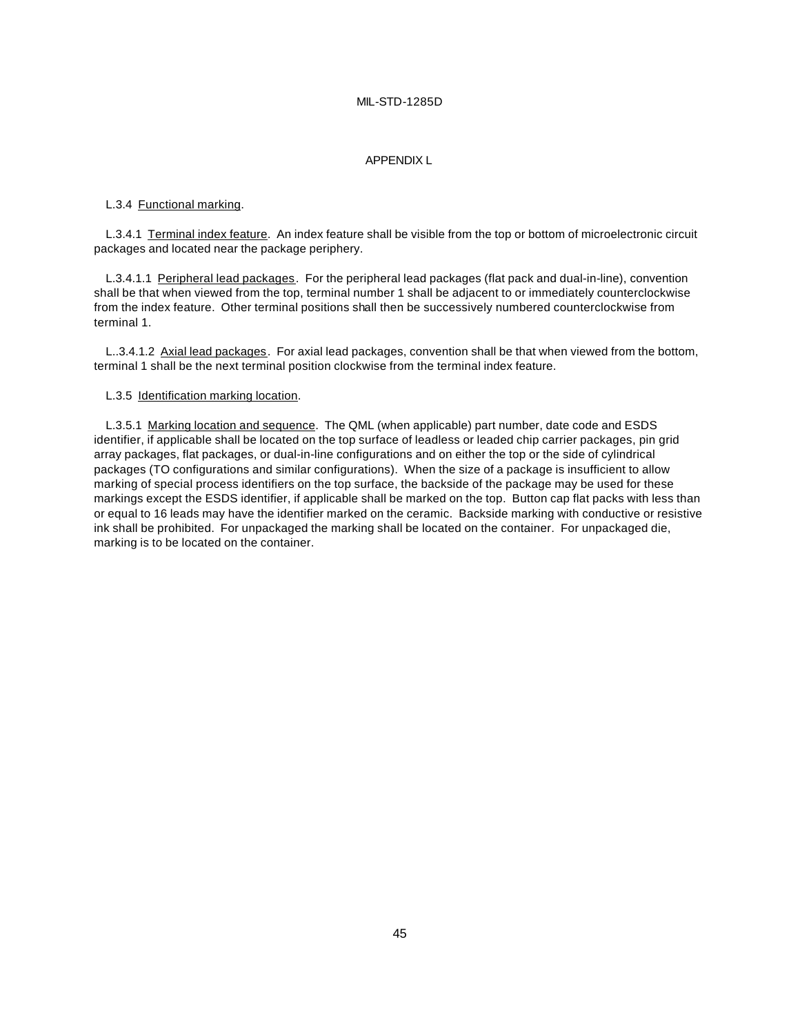#### APPENDIX L

#### L.3.4 Functional marking.

L.3.4.1 Terminal index feature. An index feature shall be visible from the top or bottom of microelectronic circuit packages and located near the package periphery.

L.3.4.1.1 Peripheral lead packages. For the peripheral lead packages (flat pack and dual-in-line), convention shall be that when viewed from the top, terminal number 1 shall be adjacent to or immediately counterclockwise from the index feature. Other terminal positions shall then be successively numbered counterclockwise from terminal 1.

L..3.4.1.2 Axial lead packages. For axial lead packages, convention shall be that when viewed from the bottom, terminal 1 shall be the next terminal position clockwise from the terminal index feature.

#### L.3.5 Identification marking location.

L.3.5.1 Marking location and sequence. The QML (when applicable) part number, date code and ESDS identifier, if applicable shall be located on the top surface of leadless or leaded chip carrier packages, pin grid array packages, flat packages, or dual-in-line configurations and on either the top or the side of cylindrical packages (TO configurations and similar configurations). When the size of a package is insufficient to allow marking of special process identifiers on the top surface, the backside of the package may be used for these markings except the ESDS identifier, if applicable shall be marked on the top. Button cap flat packs with less than or equal to 16 leads may have the identifier marked on the ceramic. Backside marking with conductive or resistive ink shall be prohibited. For unpackaged the marking shall be located on the container. For unpackaged die, marking is to be located on the container.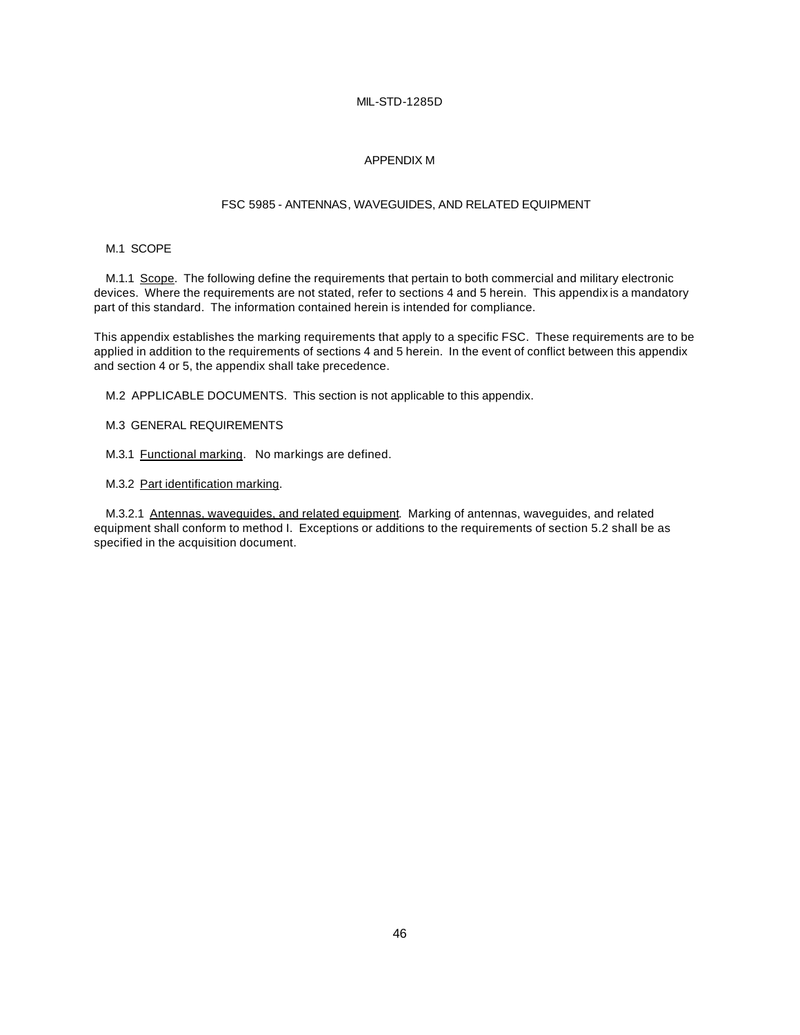#### APPENDIX M

### FSC 5985 - ANTENNAS, WAVEGUIDES, AND RELATED EQUIPMENT

#### M.1 SCOPE

M.1.1 Scope. The following define the requirements that pertain to both commercial and military electronic devices. Where the requirements are not stated, refer to sections 4 and 5 herein. This appendix is a mandatory part of this standard. The information contained herein is intended for compliance.

This appendix establishes the marking requirements that apply to a specific FSC. These requirements are to be applied in addition to the requirements of sections 4 and 5 herein. In the event of conflict between this appendix and section 4 or 5, the appendix shall take precedence.

M.2 APPLICABLE DOCUMENTS. This section is not applicable to this appendix.

- M.3 GENERAL REQUIREMENTS
- M.3.1 Functional marking. No markings are defined.
- M.3.2 Part identification marking.

M.3.2.1 Antennas, waveguides, and related equipment. Marking of antennas, waveguides, and related equipment shall conform to method I. Exceptions or additions to the requirements of section 5.2 shall be as specified in the acquisition document.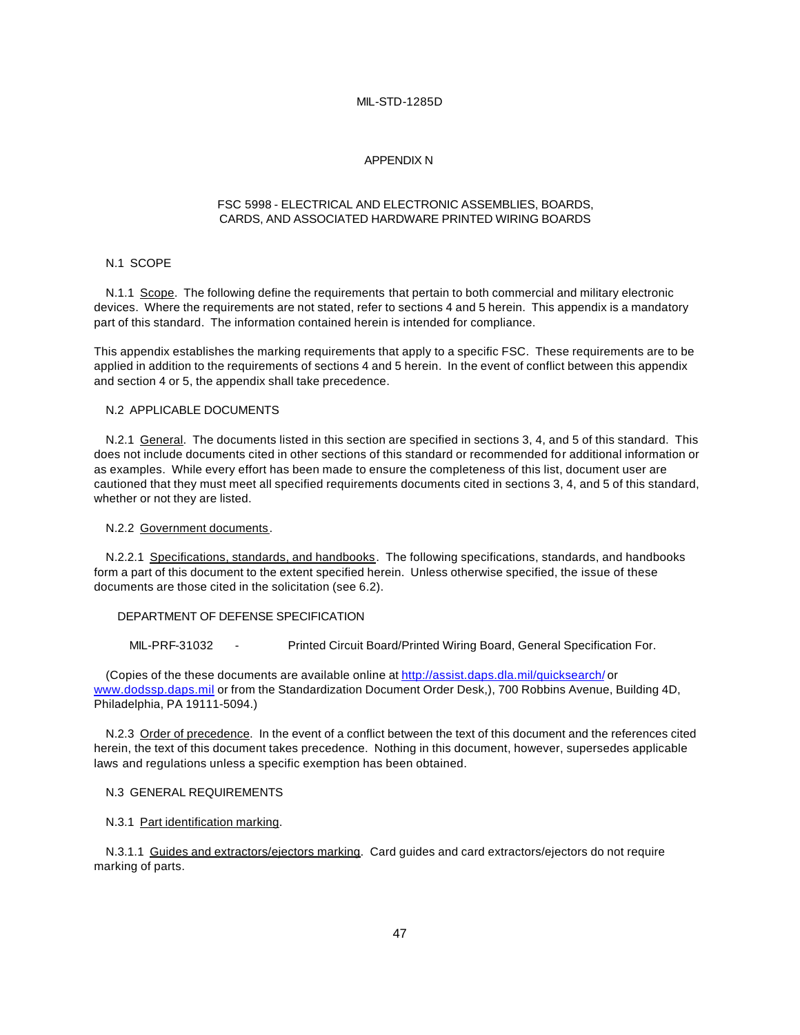#### APPENDIX N

#### FSC 5998 - ELECTRICAL AND ELECTRONIC ASSEMBLIES, BOARDS, CARDS, AND ASSOCIATED HARDWARE PRINTED WIRING BOARDS

#### N.1 SCOPE

N.1.1 Scope. The following define the requirements that pertain to both commercial and military electronic devices. Where the requirements are not stated, refer to sections 4 and 5 herein. This appendix is a mandatory part of this standard. The information contained herein is intended for compliance.

This appendix establishes the marking requirements that apply to a specific FSC. These requirements are to be applied in addition to the requirements of sections 4 and 5 herein. In the event of conflict between this appendix and section 4 or 5, the appendix shall take precedence.

#### N.2 APPLICABLE DOCUMENTS

N.2.1 General. The documents listed in this section are specified in sections 3, 4, and 5 of this standard. This does not include documents cited in other sections of this standard or recommended for additional information or as examples. While every effort has been made to ensure the completeness of this list, document user are cautioned that they must meet all specified requirements documents cited in sections 3, 4, and 5 of this standard, whether or not they are listed.

N.2.2 Government documents.

N.2.2.1 Specifications, standards, and handbooks. The following specifications, standards, and handbooks form a part of this document to the extent specified herein. Unless otherwise specified, the issue of these documents are those cited in the solicitation (see 6.2).

#### DEPARTMENT OF DEFENSE SPECIFICATION

MIL-PRF-31032 - Printed Circuit Board/Printed Wiring Board, General Specification For.

(Copies of the these documents are available online at http://assist.daps.dla.mil/quicksearch/ or www.dodssp.daps.mil or from the Standardization Document Order Desk,), 700 Robbins Avenue, Building 4D, Philadelphia, PA 19111-5094.)

N.2.3 Order of precedence. In the event of a conflict between the text of this document and the references cited herein, the text of this document takes precedence. Nothing in this document, however, supersedes applicable laws and regulations unless a specific exemption has been obtained.

#### N.3 GENERAL REQUIREMENTS

#### N.3.1 Part identification marking.

N.3.1.1 Guides and extractors/ejectors marking. Card guides and card extractors/ejectors do not require marking of parts.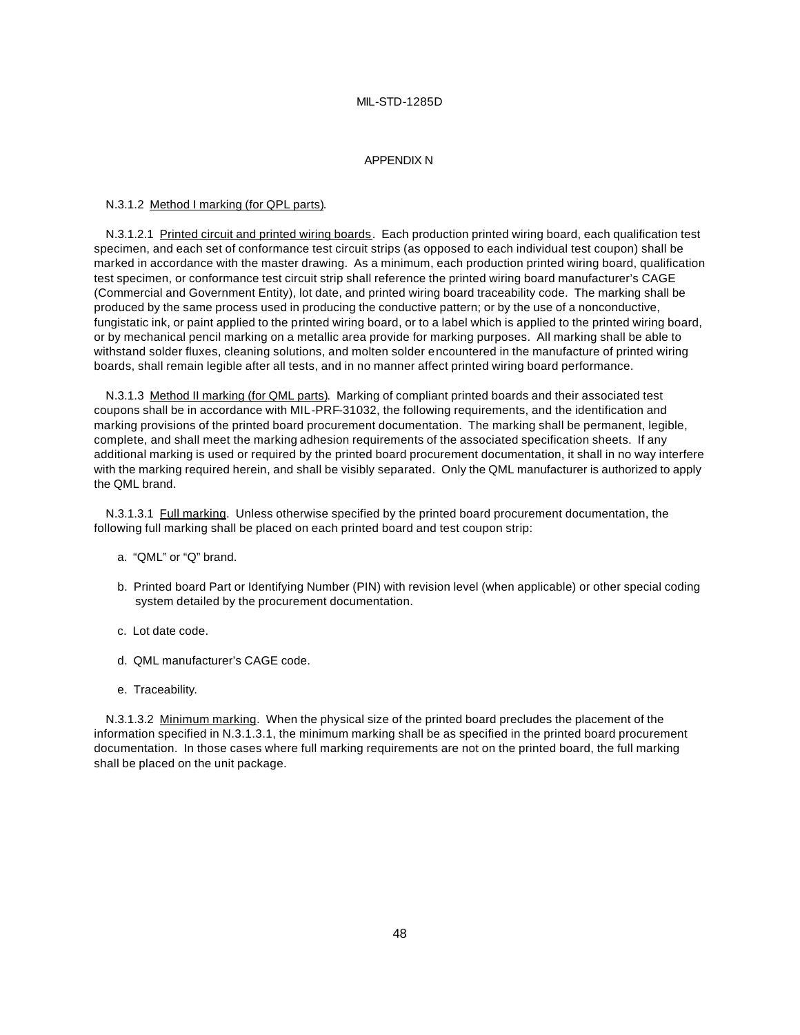#### APPENDIX N

#### N.3.1.2 Method I marking (for QPL parts).

N.3.1.2.1 Printed circuit and printed wiring boards. Each production printed wiring board, each qualification test specimen, and each set of conformance test circuit strips (as opposed to each individual test coupon) shall be marked in accordance with the master drawing. As a minimum, each production printed wiring board, qualification test specimen, or conformance test circuit strip shall reference the printed wiring board manufacturer's CAGE (Commercial and Government Entity), lot date, and printed wiring board traceability code. The marking shall be produced by the same process used in producing the conductive pattern; or by the use of a nonconductive, fungistatic ink, or paint applied to the printed wiring board, or to a label which is applied to the printed wiring board, or by mechanical pencil marking on a metallic area provide for marking purposes. All marking shall be able to withstand solder fluxes, cleaning solutions, and molten solder encountered in the manufacture of printed wiring boards, shall remain legible after all tests, and in no manner affect printed wiring board performance.

N.3.1.3 Method II marking (for QML parts). Marking of compliant printed boards and their associated test coupons shall be in accordance with MIL-PRF-31032, the following requirements, and the identification and marking provisions of the printed board procurement documentation. The marking shall be permanent, legible, complete, and shall meet the marking adhesion requirements of the associated specification sheets. If any additional marking is used or required by the printed board procurement documentation, it shall in no way interfere with the marking required herein, and shall be visibly separated. Only the QML manufacturer is authorized to apply the QML brand.

N.3.1.3.1 Full marking. Unless otherwise specified by the printed board procurement documentation, the following full marking shall be placed on each printed board and test coupon strip:

- a. "QML" or "Q" brand.
- b. Printed board Part or Identifying Number (PIN) with revision level (when applicable) or other special coding system detailed by the procurement documentation.
- c. Lot date code.
- d. QML manufacturer's CAGE code.
- e. Traceability.

N.3.1.3.2 Minimum marking. When the physical size of the printed board precludes the placement of the information specified in N.3.1.3.1, the minimum marking shall be as specified in the printed board procurement documentation. In those cases where full marking requirements are not on the printed board, the full marking shall be placed on the unit package.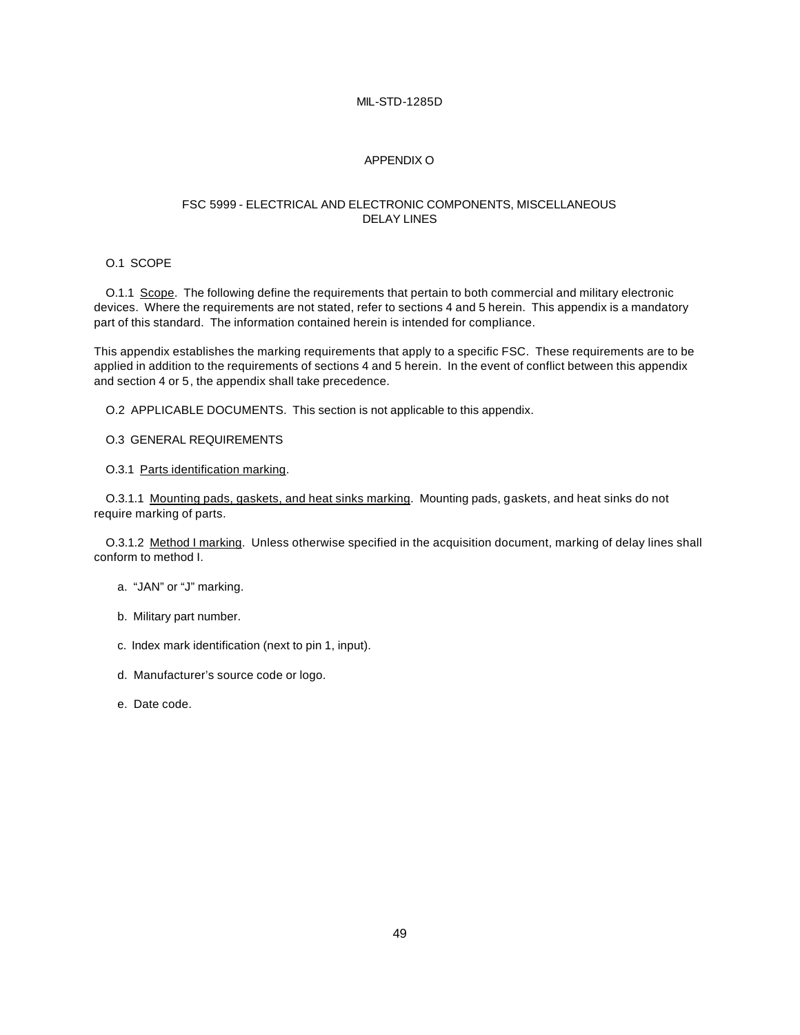#### APPENDIX O

#### FSC 5999 - ELECTRICAL AND ELECTRONIC COMPONENTS, MISCELLANEOUS DELAY LINES

#### O.1 SCOPE

O.1.1 Scope. The following define the requirements that pertain to both commercial and military electronic devices. Where the requirements are not stated, refer to sections 4 and 5 herein. This appendix is a mandatory part of this standard. The information contained herein is intended for compliance.

This appendix establishes the marking requirements that apply to a specific FSC. These requirements are to be applied in addition to the requirements of sections 4 and 5 herein. In the event of conflict between this appendix and section 4 or 5, the appendix shall take precedence.

O.2 APPLICABLE DOCUMENTS. This section is not applicable to this appendix.

O.3 GENERAL REQUIREMENTS

O.3.1 Parts identification marking.

O.3.1.1 Mounting pads, gaskets, and heat sinks marking. Mounting pads, gaskets, and heat sinks do not require marking of parts.

O.3.1.2 Method I marking. Unless otherwise specified in the acquisition document, marking of delay lines shall conform to method I.

- a. "JAN" or "J" marking.
- b. Military part number.
- c. Index mark identification (next to pin 1, input).
- d. Manufacturer's source code or logo.
- e. Date code.